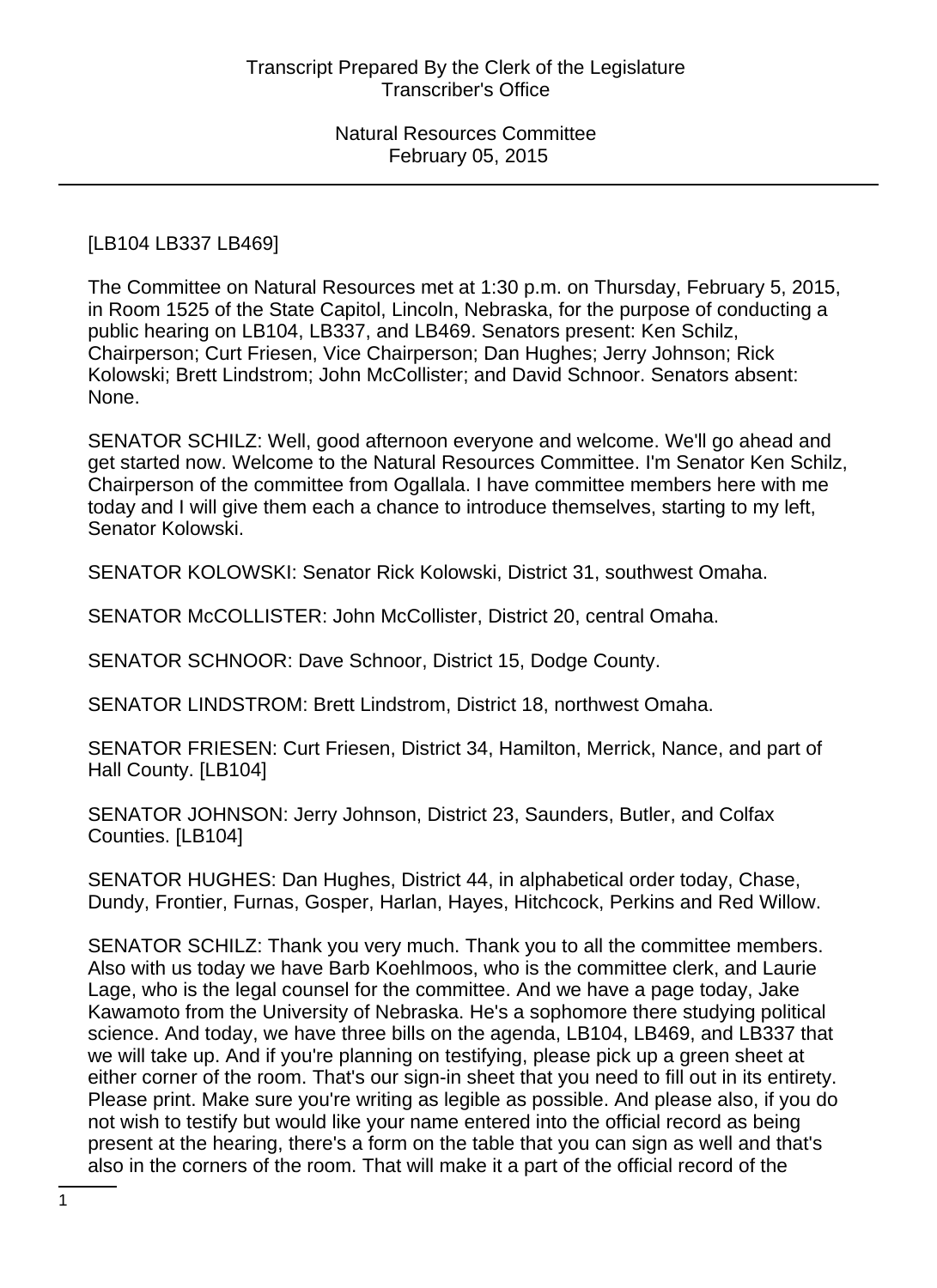# [LB104 LB337 LB469]

The Committee on Natural Resources met at 1:30 p.m. on Thursday, February 5, 2015, in Room 1525 of the State Capitol, Lincoln, Nebraska, for the purpose of conducting a public hearing on LB104, LB337, and LB469. Senators present: Ken Schilz, Chairperson; Curt Friesen, Vice Chairperson; Dan Hughes; Jerry Johnson; Rick Kolowski; Brett Lindstrom; John McCollister; and David Schnoor. Senators absent: None.

SENATOR SCHILZ: Well, good afternoon everyone and welcome. We'll go ahead and get started now. Welcome to the Natural Resources Committee. I'm Senator Ken Schilz, Chairperson of the committee from Ogallala. I have committee members here with me today and I will give them each a chance to introduce themselves, starting to my left, Senator Kolowski.

SENATOR KOLOWSKI: Senator Rick Kolowski, District 31, southwest Omaha.

SENATOR McCOLLISTER: John McCollister, District 20, central Omaha.

SENATOR SCHNOOR: Dave Schnoor, District 15, Dodge County.

SENATOR LINDSTROM: Brett Lindstrom, District 18, northwest Omaha.

SENATOR FRIESEN: Curt Friesen, District 34, Hamilton, Merrick, Nance, and part of Hall County. [LB104]

SENATOR JOHNSON: Jerry Johnson, District 23, Saunders, Butler, and Colfax Counties. [LB104]

SENATOR HUGHES: Dan Hughes, District 44, in alphabetical order today, Chase, Dundy, Frontier, Furnas, Gosper, Harlan, Hayes, Hitchcock, Perkins and Red Willow.

SENATOR SCHILZ: Thank you very much. Thank you to all the committee members. Also with us today we have Barb Koehlmoos, who is the committee clerk, and Laurie Lage, who is the legal counsel for the committee. And we have a page today, Jake Kawamoto from the University of Nebraska. He's a sophomore there studying political science. And today, we have three bills on the agenda, LB104, LB469, and LB337 that we will take up. And if you're planning on testifying, please pick up a green sheet at either corner of the room. That's our sign-in sheet that you need to fill out in its entirety. Please print. Make sure you're writing as legible as possible. And please also, if you do not wish to testify but would like your name entered into the official record as being present at the hearing, there's a form on the table that you can sign as well and that's also in the corners of the room. That will make it a part of the official record of the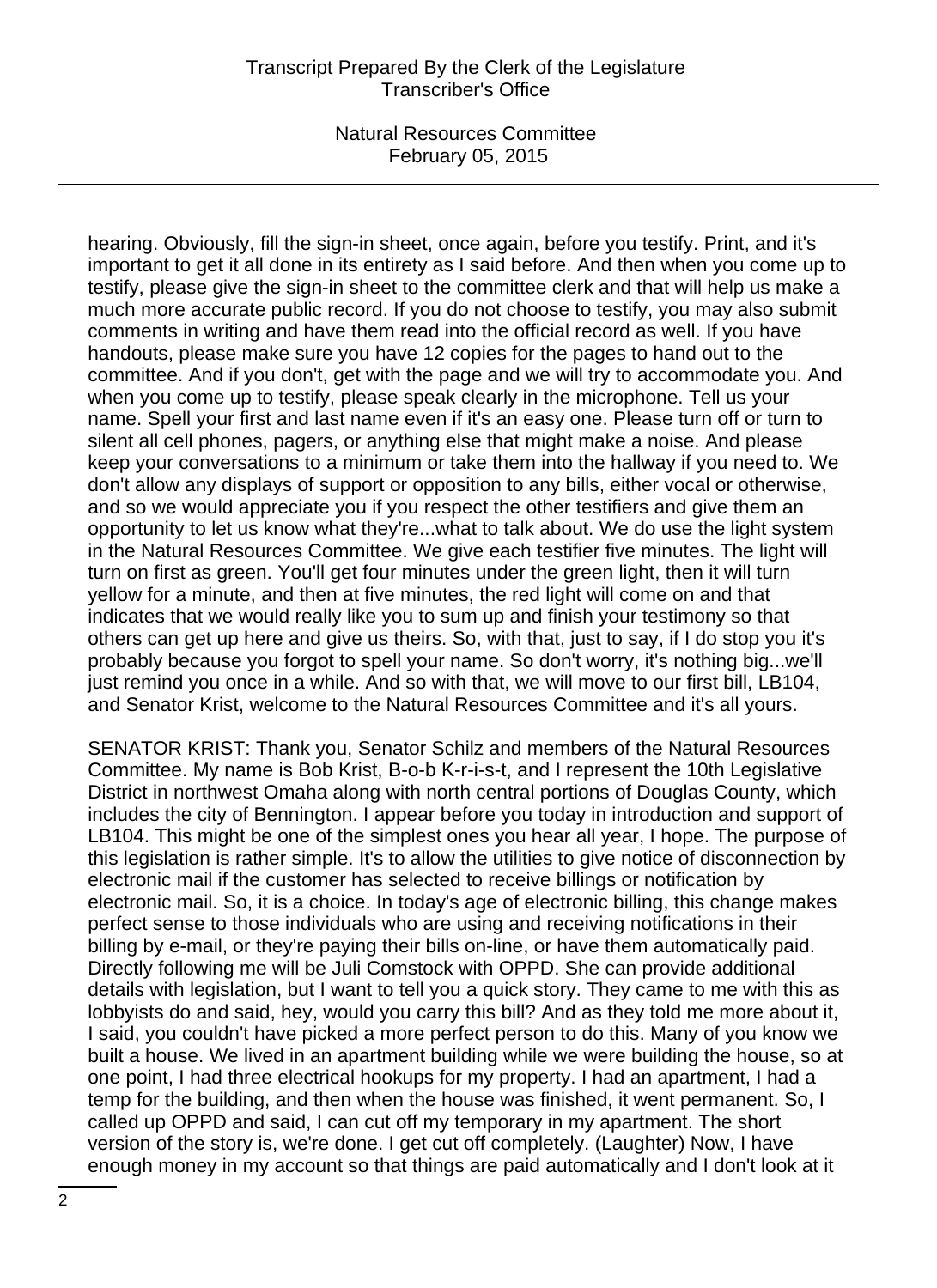# Transcript Prepared By the Clerk of the Legislature Transcriber's Office

Natural Resources Committee February 05, 2015

hearing. Obviously, fill the sign-in sheet, once again, before you testify. Print, and it's important to get it all done in its entirety as I said before. And then when you come up to testify, please give the sign-in sheet to the committee clerk and that will help us make a much more accurate public record. If you do not choose to testify, you may also submit comments in writing and have them read into the official record as well. If you have handouts, please make sure you have 12 copies for the pages to hand out to the committee. And if you don't, get with the page and we will try to accommodate you. And when you come up to testify, please speak clearly in the microphone. Tell us your name. Spell your first and last name even if it's an easy one. Please turn off or turn to silent all cell phones, pagers, or anything else that might make a noise. And please keep your conversations to a minimum or take them into the hallway if you need to. We don't allow any displays of support or opposition to any bills, either vocal or otherwise, and so we would appreciate you if you respect the other testifiers and give them an opportunity to let us know what they're...what to talk about. We do use the light system in the Natural Resources Committee. We give each testifier five minutes. The light will turn on first as green. You'll get four minutes under the green light, then it will turn yellow for a minute, and then at five minutes, the red light will come on and that indicates that we would really like you to sum up and finish your testimony so that others can get up here and give us theirs. So, with that, just to say, if I do stop you it's probably because you forgot to spell your name. So don't worry, it's nothing big...we'll just remind you once in a while. And so with that, we will move to our first bill, LB104, and Senator Krist, welcome to the Natural Resources Committee and it's all yours.

SENATOR KRIST: Thank you, Senator Schilz and members of the Natural Resources Committee. My name is Bob Krist, B-o-b K-r-i-s-t, and I represent the 10th Legislative District in northwest Omaha along with north central portions of Douglas County, which includes the city of Bennington. I appear before you today in introduction and support of LB104. This might be one of the simplest ones you hear all year, I hope. The purpose of this legislation is rather simple. It's to allow the utilities to give notice of disconnection by electronic mail if the customer has selected to receive billings or notification by electronic mail. So, it is a choice. In today's age of electronic billing, this change makes perfect sense to those individuals who are using and receiving notifications in their billing by e-mail, or they're paying their bills on-line, or have them automatically paid. Directly following me will be Juli Comstock with OPPD. She can provide additional details with legislation, but I want to tell you a quick story. They came to me with this as lobbyists do and said, hey, would you carry this bill? And as they told me more about it, I said, you couldn't have picked a more perfect person to do this. Many of you know we built a house. We lived in an apartment building while we were building the house, so at one point, I had three electrical hookups for my property. I had an apartment, I had a temp for the building, and then when the house was finished, it went permanent. So, I called up OPPD and said, I can cut off my temporary in my apartment. The short version of the story is, we're done. I get cut off completely. (Laughter) Now, I have enough money in my account so that things are paid automatically and I don't look at it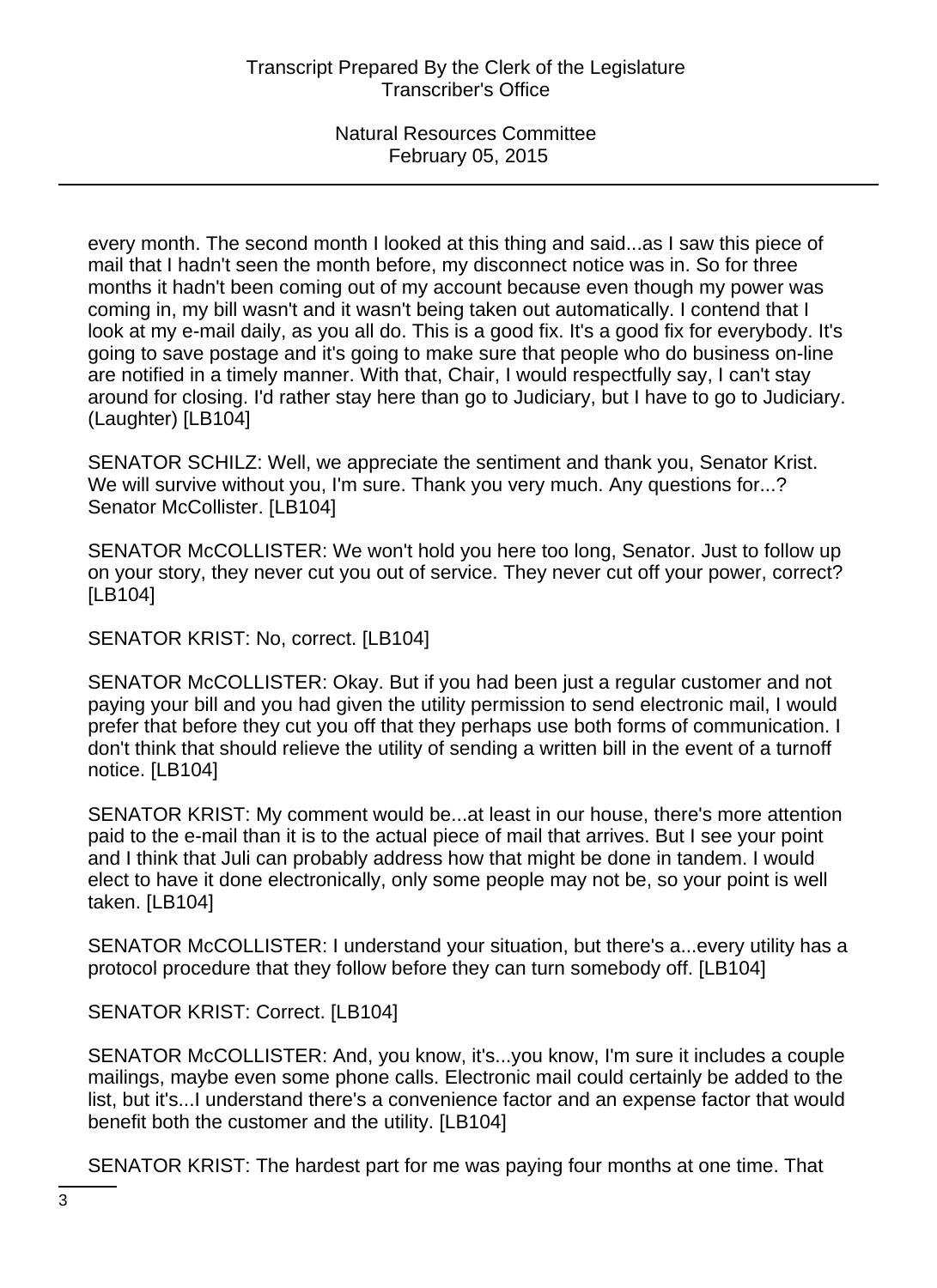every month. The second month I looked at this thing and said...as I saw this piece of mail that I hadn't seen the month before, my disconnect notice was in. So for three months it hadn't been coming out of my account because even though my power was coming in, my bill wasn't and it wasn't being taken out automatically. I contend that I look at my e-mail daily, as you all do. This is a good fix. It's a good fix for everybody. It's going to save postage and it's going to make sure that people who do business on-line are notified in a timely manner. With that, Chair, I would respectfully say, I can't stay around for closing. I'd rather stay here than go to Judiciary, but I have to go to Judiciary. (Laughter) [LB104]

SENATOR SCHILZ: Well, we appreciate the sentiment and thank you, Senator Krist. We will survive without you, I'm sure. Thank you very much. Any questions for...? Senator McCollister. [LB104]

SENATOR McCOLLISTER: We won't hold you here too long, Senator. Just to follow up on your story, they never cut you out of service. They never cut off your power, correct? [LB104]

SENATOR KRIST: No, correct. [LB104]

SENATOR McCOLLISTER: Okay. But if you had been just a regular customer and not paying your bill and you had given the utility permission to send electronic mail, I would prefer that before they cut you off that they perhaps use both forms of communication. I don't think that should relieve the utility of sending a written bill in the event of a turnoff notice. [LB104]

SENATOR KRIST: My comment would be...at least in our house, there's more attention paid to the e-mail than it is to the actual piece of mail that arrives. But I see your point and I think that Juli can probably address how that might be done in tandem. I would elect to have it done electronically, only some people may not be, so your point is well taken. [LB104]

SENATOR McCOLLISTER: I understand your situation, but there's a...every utility has a protocol procedure that they follow before they can turn somebody off. [LB104]

SENATOR KRIST: Correct. [LB104]

SENATOR McCOLLISTER: And, you know, it's...you know, I'm sure it includes a couple mailings, maybe even some phone calls. Electronic mail could certainly be added to the list, but it's...I understand there's a convenience factor and an expense factor that would benefit both the customer and the utility. [LB104]

SENATOR KRIST: The hardest part for me was paying four months at one time. That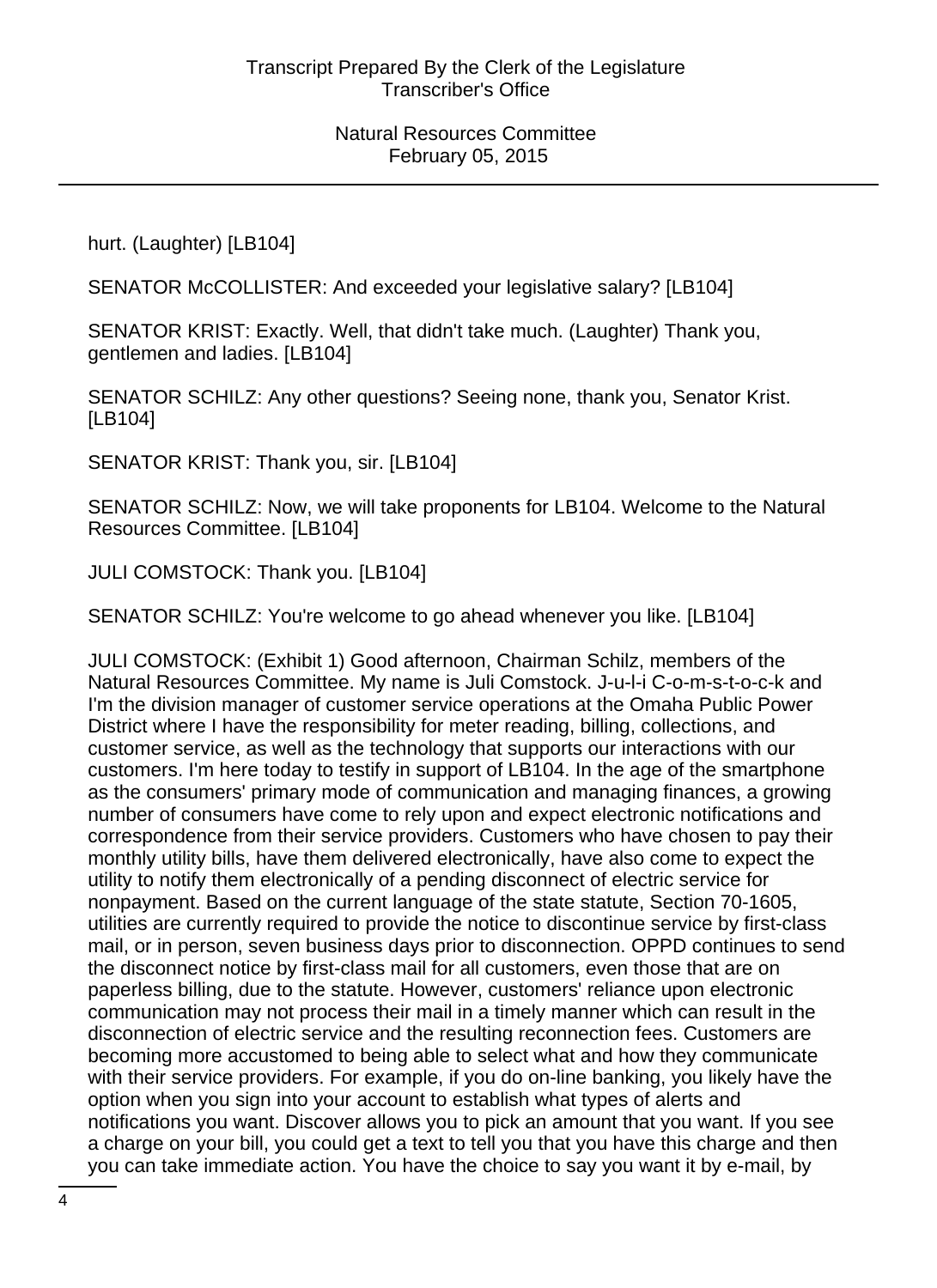hurt. (Laughter) [LB104]

SENATOR McCOLLISTER: And exceeded your legislative salary? [LB104]

SENATOR KRIST: Exactly. Well, that didn't take much. (Laughter) Thank you, gentlemen and ladies. [LB104]

SENATOR SCHILZ: Any other questions? Seeing none, thank you, Senator Krist. [LB104]

SENATOR KRIST: Thank you, sir. [LB104]

SENATOR SCHILZ: Now, we will take proponents for LB104. Welcome to the Natural Resources Committee. [LB104]

JULI COMSTOCK: Thank you. [LB104]

SENATOR SCHILZ: You're welcome to go ahead whenever you like. [LB104]

JULI COMSTOCK: (Exhibit 1) Good afternoon, Chairman Schilz, members of the Natural Resources Committee. My name is Juli Comstock. J-u-l-i C-o-m-s-t-o-c-k and I'm the division manager of customer service operations at the Omaha Public Power District where I have the responsibility for meter reading, billing, collections, and customer service, as well as the technology that supports our interactions with our customers. I'm here today to testify in support of LB104. In the age of the smartphone as the consumers' primary mode of communication and managing finances, a growing number of consumers have come to rely upon and expect electronic notifications and correspondence from their service providers. Customers who have chosen to pay their monthly utility bills, have them delivered electronically, have also come to expect the utility to notify them electronically of a pending disconnect of electric service for nonpayment. Based on the current language of the state statute, Section 70-1605, utilities are currently required to provide the notice to discontinue service by first-class mail, or in person, seven business days prior to disconnection. OPPD continues to send the disconnect notice by first-class mail for all customers, even those that are on paperless billing, due to the statute. However, customers' reliance upon electronic communication may not process their mail in a timely manner which can result in the disconnection of electric service and the resulting reconnection fees. Customers are becoming more accustomed to being able to select what and how they communicate with their service providers. For example, if you do on-line banking, you likely have the option when you sign into your account to establish what types of alerts and notifications you want. Discover allows you to pick an amount that you want. If you see a charge on your bill, you could get a text to tell you that you have this charge and then you can take immediate action. You have the choice to say you want it by e-mail, by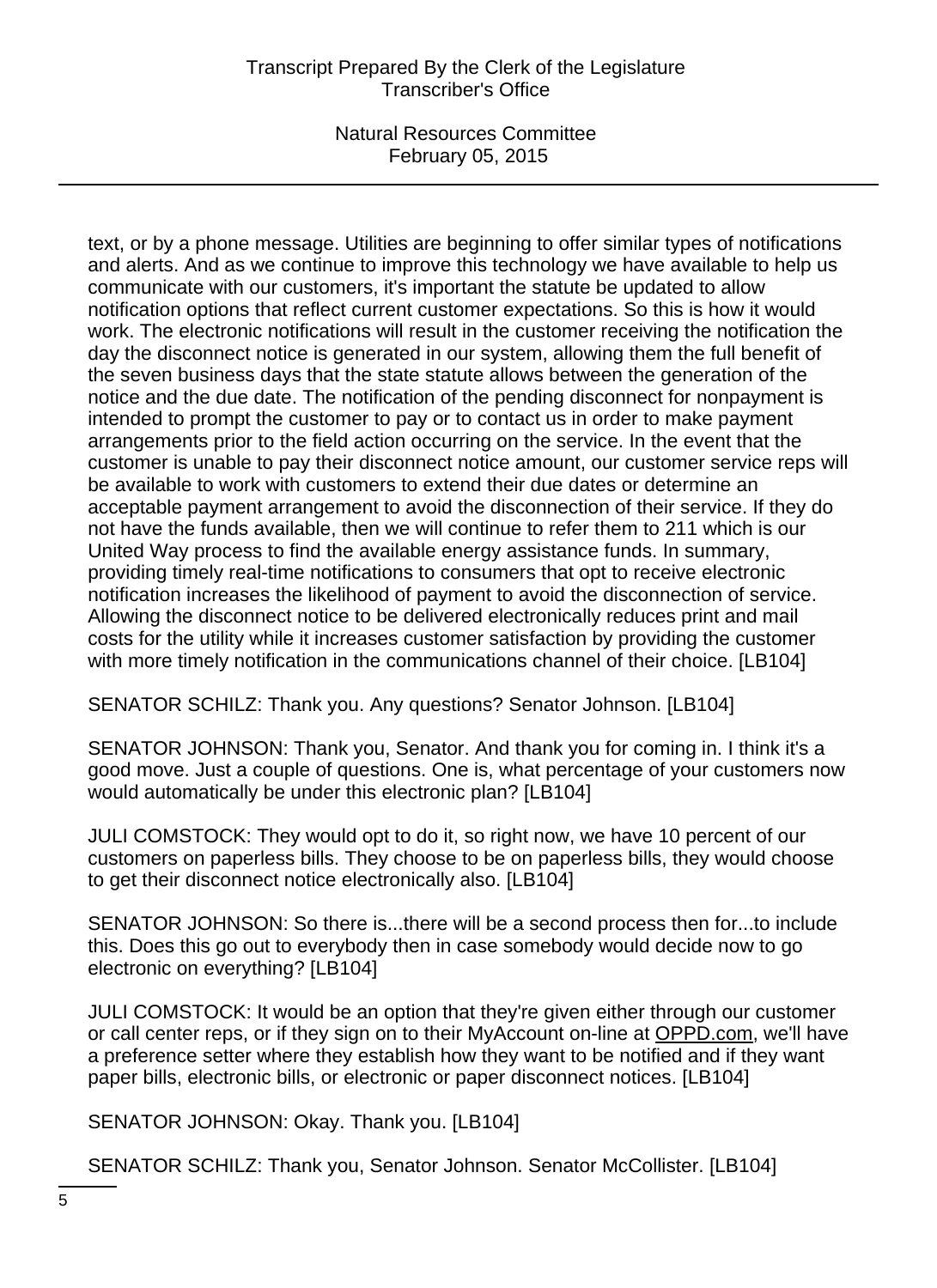text, or by a phone message. Utilities are beginning to offer similar types of notifications and alerts. And as we continue to improve this technology we have available to help us communicate with our customers, it's important the statute be updated to allow notification options that reflect current customer expectations. So this is how it would work. The electronic notifications will result in the customer receiving the notification the day the disconnect notice is generated in our system, allowing them the full benefit of the seven business days that the state statute allows between the generation of the notice and the due date. The notification of the pending disconnect for nonpayment is intended to prompt the customer to pay or to contact us in order to make payment arrangements prior to the field action occurring on the service. In the event that the customer is unable to pay their disconnect notice amount, our customer service reps will be available to work with customers to extend their due dates or determine an acceptable payment arrangement to avoid the disconnection of their service. If they do not have the funds available, then we will continue to refer them to 211 which is our United Way process to find the available energy assistance funds. In summary, providing timely real-time notifications to consumers that opt to receive electronic notification increases the likelihood of payment to avoid the disconnection of service. Allowing the disconnect notice to be delivered electronically reduces print and mail costs for the utility while it increases customer satisfaction by providing the customer with more timely notification in the communications channel of their choice. [LB104]

SENATOR SCHILZ: Thank you. Any questions? Senator Johnson. [LB104]

SENATOR JOHNSON: Thank you, Senator. And thank you for coming in. I think it's a good move. Just a couple of questions. One is, what percentage of your customers now would automatically be under this electronic plan? [LB104]

JULI COMSTOCK: They would opt to do it, so right now, we have 10 percent of our customers on paperless bills. They choose to be on paperless bills, they would choose to get their disconnect notice electronically also. [LB104]

SENATOR JOHNSON: So there is...there will be a second process then for...to include this. Does this go out to everybody then in case somebody would decide now to go electronic on everything? [LB104]

JULI COMSTOCK: It would be an option that they're given either through our customer or call center reps, or if they sign on to their MyAccount on-line at OPPD.com, we'll have a preference setter where they establish how they want to be notified and if they want paper bills, electronic bills, or electronic or paper disconnect notices. [LB104]

SENATOR JOHNSON: Okay. Thank you. [LB104]

SENATOR SCHILZ: Thank you, Senator Johnson. Senator McCollister. [LB104]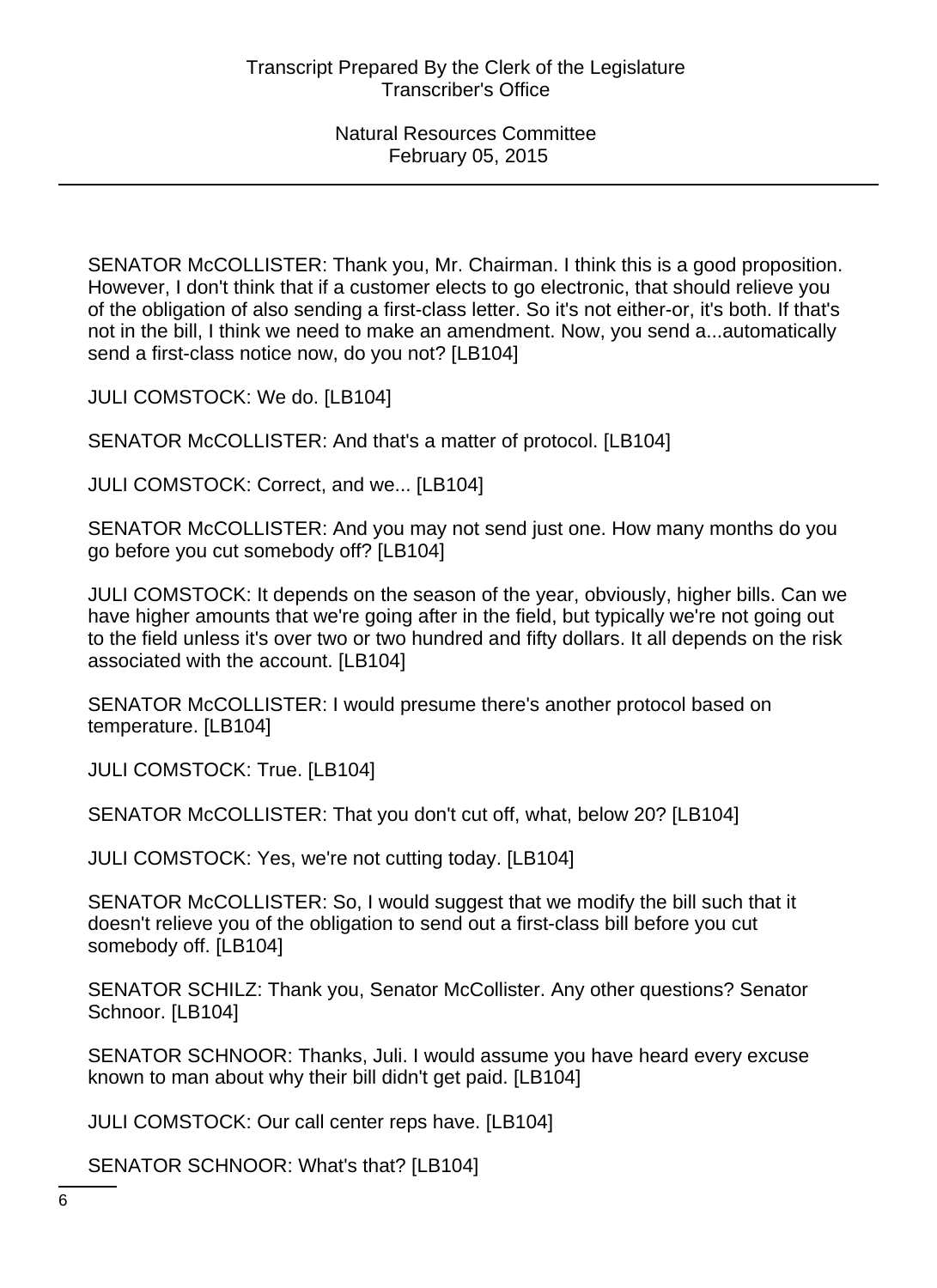SENATOR McCOLLISTER: Thank you, Mr. Chairman. I think this is a good proposition. However, I don't think that if a customer elects to go electronic, that should relieve you of the obligation of also sending a first-class letter. So it's not either-or, it's both. If that's not in the bill, I think we need to make an amendment. Now, you send a...automatically send a first-class notice now, do you not? [LB104]

JULI COMSTOCK: We do. [LB104]

SENATOR McCOLLISTER: And that's a matter of protocol. [LB104]

JULI COMSTOCK: Correct, and we... [LB104]

SENATOR McCOLLISTER: And you may not send just one. How many months do you go before you cut somebody off? [LB104]

JULI COMSTOCK: It depends on the season of the year, obviously, higher bills. Can we have higher amounts that we're going after in the field, but typically we're not going out to the field unless it's over two or two hundred and fifty dollars. It all depends on the risk associated with the account. [LB104]

SENATOR McCOLLISTER: I would presume there's another protocol based on temperature. [LB104]

JULI COMSTOCK: True. [LB104]

SENATOR McCOLLISTER: That you don't cut off, what, below 20? [LB104]

JULI COMSTOCK: Yes, we're not cutting today. [LB104]

SENATOR McCOLLISTER: So, I would suggest that we modify the bill such that it doesn't relieve you of the obligation to send out a first-class bill before you cut somebody off. [LB104]

SENATOR SCHILZ: Thank you, Senator McCollister. Any other questions? Senator Schnoor. [LB104]

SENATOR SCHNOOR: Thanks, Juli. I would assume you have heard every excuse known to man about why their bill didn't get paid. [LB104]

JULI COMSTOCK: Our call center reps have. [LB104]

SENATOR SCHNOOR: What's that? [LB104]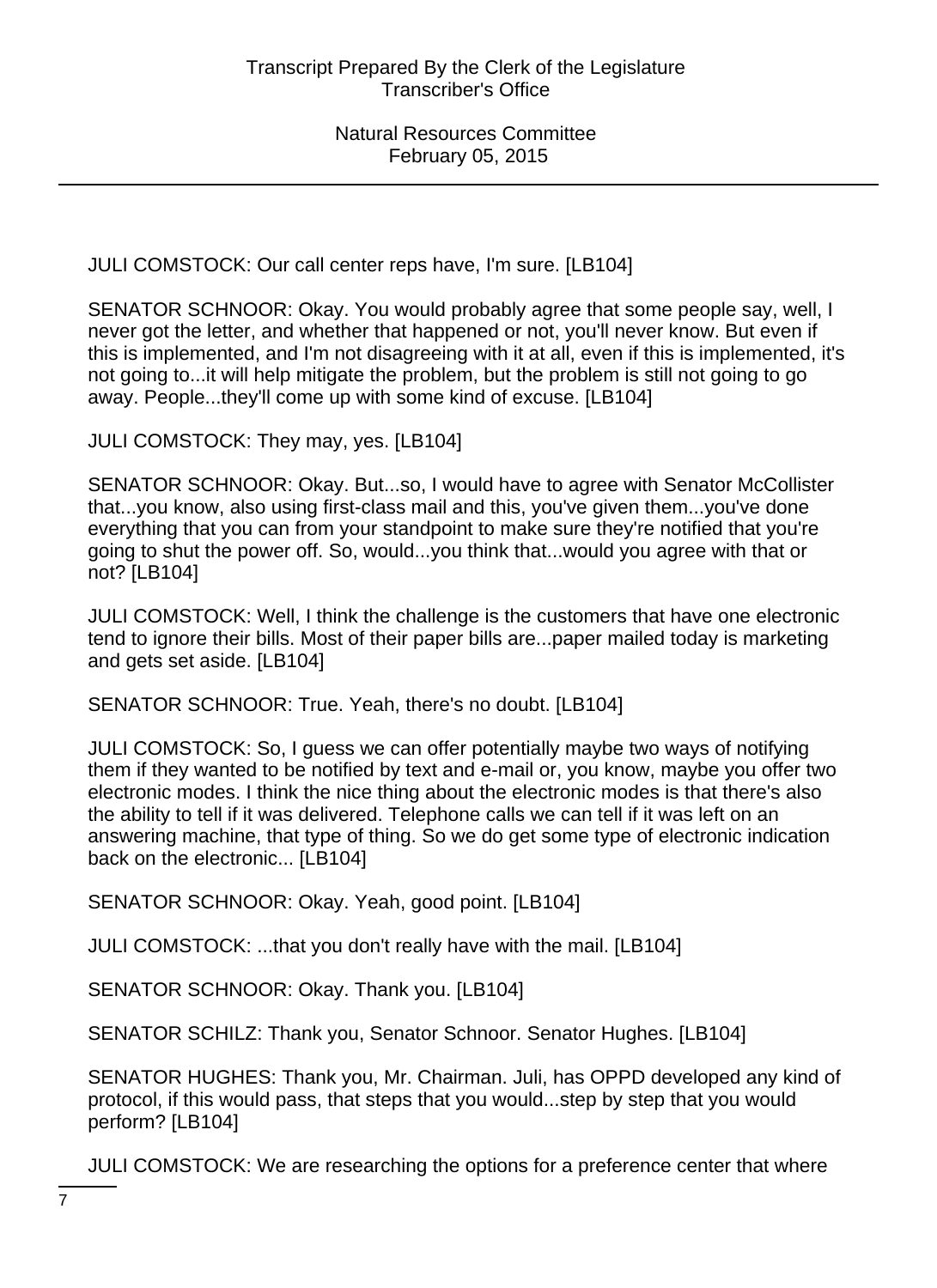JULI COMSTOCK: Our call center reps have, I'm sure. [LB104]

SENATOR SCHNOOR: Okay. You would probably agree that some people say, well, I never got the letter, and whether that happened or not, you'll never know. But even if this is implemented, and I'm not disagreeing with it at all, even if this is implemented, it's not going to...it will help mitigate the problem, but the problem is still not going to go away. People...they'll come up with some kind of excuse. [LB104]

JULI COMSTOCK: They may, yes. [LB104]

SENATOR SCHNOOR: Okay. But...so, I would have to agree with Senator McCollister that...you know, also using first-class mail and this, you've given them...you've done everything that you can from your standpoint to make sure they're notified that you're going to shut the power off. So, would...you think that...would you agree with that or not? [LB104]

JULI COMSTOCK: Well, I think the challenge is the customers that have one electronic tend to ignore their bills. Most of their paper bills are...paper mailed today is marketing and gets set aside. [LB104]

SENATOR SCHNOOR: True. Yeah, there's no doubt. [LB104]

JULI COMSTOCK: So, I guess we can offer potentially maybe two ways of notifying them if they wanted to be notified by text and e-mail or, you know, maybe you offer two electronic modes. I think the nice thing about the electronic modes is that there's also the ability to tell if it was delivered. Telephone calls we can tell if it was left on an answering machine, that type of thing. So we do get some type of electronic indication back on the electronic... [LB104]

SENATOR SCHNOOR: Okay. Yeah, good point. [LB104]

JULI COMSTOCK: ...that you don't really have with the mail. [LB104]

SENATOR SCHNOOR: Okay. Thank you. [LB104]

SENATOR SCHILZ: Thank you, Senator Schnoor. Senator Hughes. [LB104]

SENATOR HUGHES: Thank you, Mr. Chairman. Juli, has OPPD developed any kind of protocol, if this would pass, that steps that you would...step by step that you would perform? [LB104]

JULI COMSTOCK: We are researching the options for a preference center that where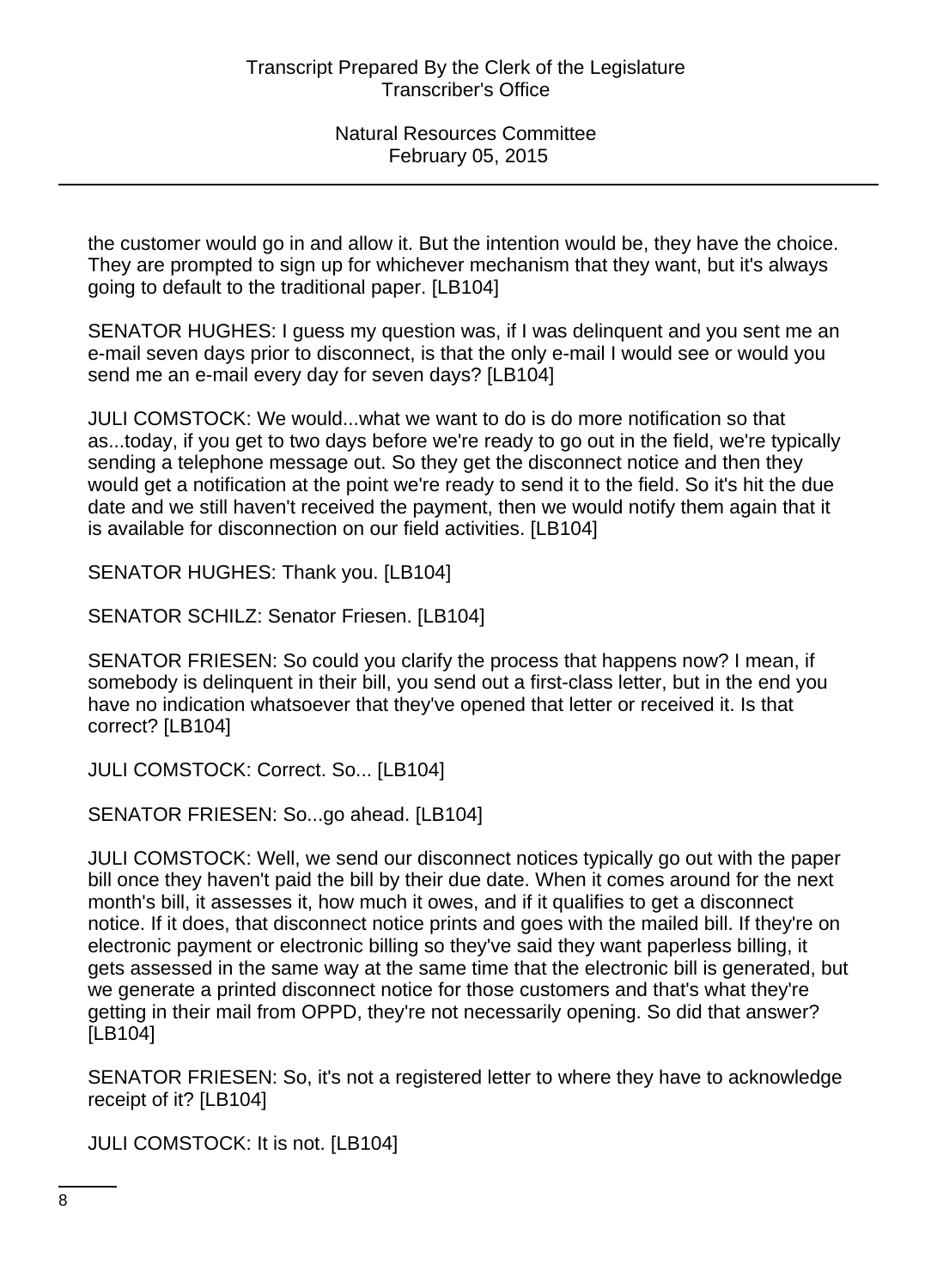the customer would go in and allow it. But the intention would be, they have the choice. They are prompted to sign up for whichever mechanism that they want, but it's always going to default to the traditional paper. [LB104]

SENATOR HUGHES: I guess my question was, if I was delinquent and you sent me an e-mail seven days prior to disconnect, is that the only e-mail I would see or would you send me an e-mail every day for seven days? [LB104]

JULI COMSTOCK: We would...what we want to do is do more notification so that as...today, if you get to two days before we're ready to go out in the field, we're typically sending a telephone message out. So they get the disconnect notice and then they would get a notification at the point we're ready to send it to the field. So it's hit the due date and we still haven't received the payment, then we would notify them again that it is available for disconnection on our field activities. [LB104]

SENATOR HUGHES: Thank you. [LB104]

SENATOR SCHILZ: Senator Friesen. [LB104]

SENATOR FRIESEN: So could you clarify the process that happens now? I mean, if somebody is delinquent in their bill, you send out a first-class letter, but in the end you have no indication whatsoever that they've opened that letter or received it. Is that correct? [LB104]

JULI COMSTOCK: Correct. So... [LB104]

SENATOR FRIESEN: So...go ahead. [LB104]

JULI COMSTOCK: Well, we send our disconnect notices typically go out with the paper bill once they haven't paid the bill by their due date. When it comes around for the next month's bill, it assesses it, how much it owes, and if it qualifies to get a disconnect notice. If it does, that disconnect notice prints and goes with the mailed bill. If they're on electronic payment or electronic billing so they've said they want paperless billing, it gets assessed in the same way at the same time that the electronic bill is generated, but we generate a printed disconnect notice for those customers and that's what they're getting in their mail from OPPD, they're not necessarily opening. So did that answer? [LB104]

SENATOR FRIESEN: So, it's not a registered letter to where they have to acknowledge receipt of it? [LB104]

JULI COMSTOCK: It is not. [LB104]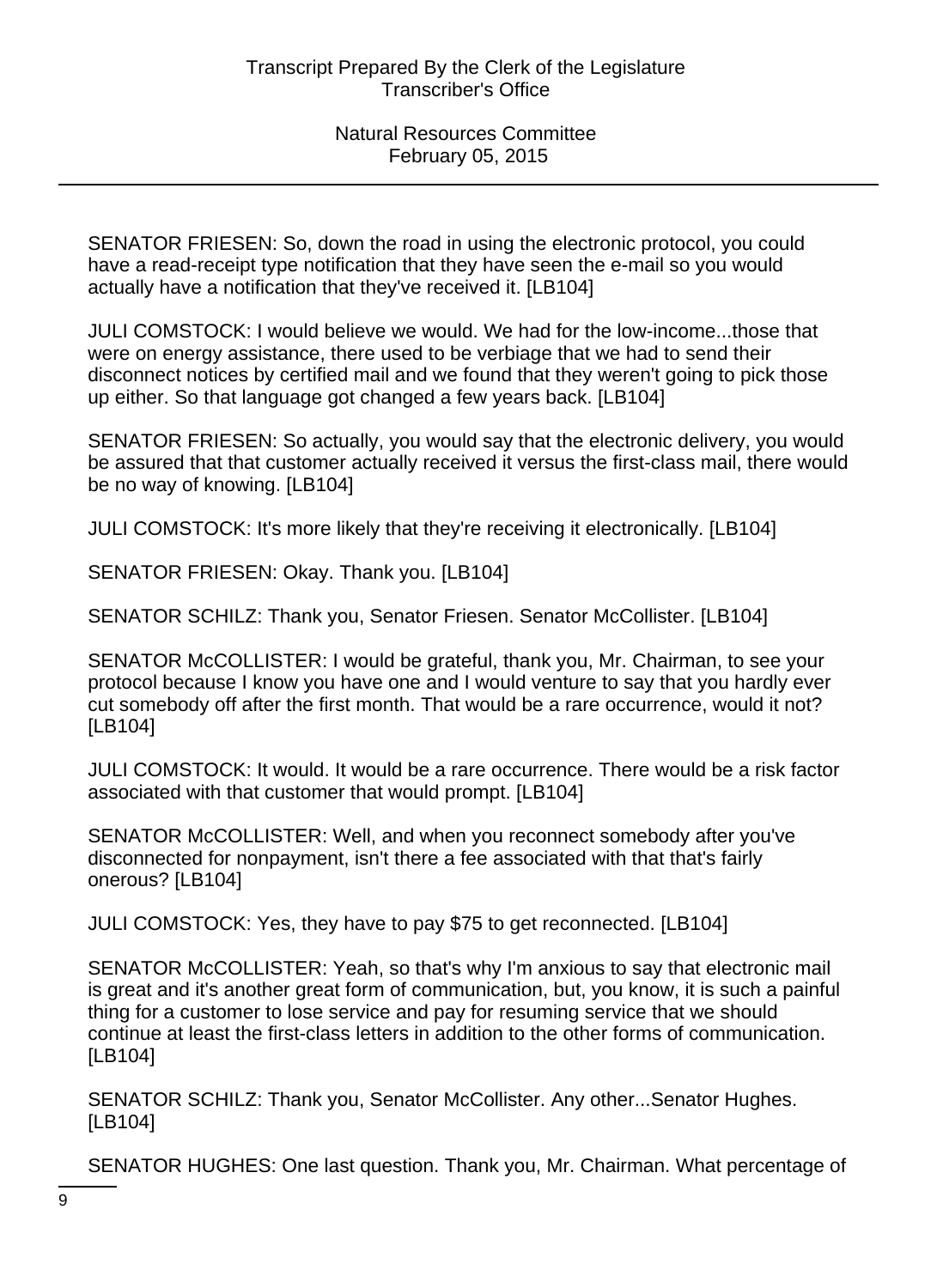SENATOR FRIESEN: So, down the road in using the electronic protocol, you could have a read-receipt type notification that they have seen the e-mail so you would actually have a notification that they've received it. [LB104]

JULI COMSTOCK: I would believe we would. We had for the low-income...those that were on energy assistance, there used to be verbiage that we had to send their disconnect notices by certified mail and we found that they weren't going to pick those up either. So that language got changed a few years back. [LB104]

SENATOR FRIESEN: So actually, you would say that the electronic delivery, you would be assured that that customer actually received it versus the first-class mail, there would be no way of knowing. [LB104]

JULI COMSTOCK: It's more likely that they're receiving it electronically. [LB104]

SENATOR FRIESEN: Okay. Thank you. [LB104]

SENATOR SCHILZ: Thank you, Senator Friesen. Senator McCollister. [LB104]

SENATOR McCOLLISTER: I would be grateful, thank you, Mr. Chairman, to see your protocol because I know you have one and I would venture to say that you hardly ever cut somebody off after the first month. That would be a rare occurrence, would it not? [LB104]

JULI COMSTOCK: It would. It would be a rare occurrence. There would be a risk factor associated with that customer that would prompt. [LB104]

SENATOR McCOLLISTER: Well, and when you reconnect somebody after you've disconnected for nonpayment, isn't there a fee associated with that that's fairly onerous? [LB104]

JULI COMSTOCK: Yes, they have to pay \$75 to get reconnected. [LB104]

SENATOR McCOLLISTER: Yeah, so that's why I'm anxious to say that electronic mail is great and it's another great form of communication, but, you know, it is such a painful thing for a customer to lose service and pay for resuming service that we should continue at least the first-class letters in addition to the other forms of communication. [LB104]

SENATOR SCHILZ: Thank you, Senator McCollister. Any other...Senator Hughes. [LB104]

SENATOR HUGHES: One last question. Thank you, Mr. Chairman. What percentage of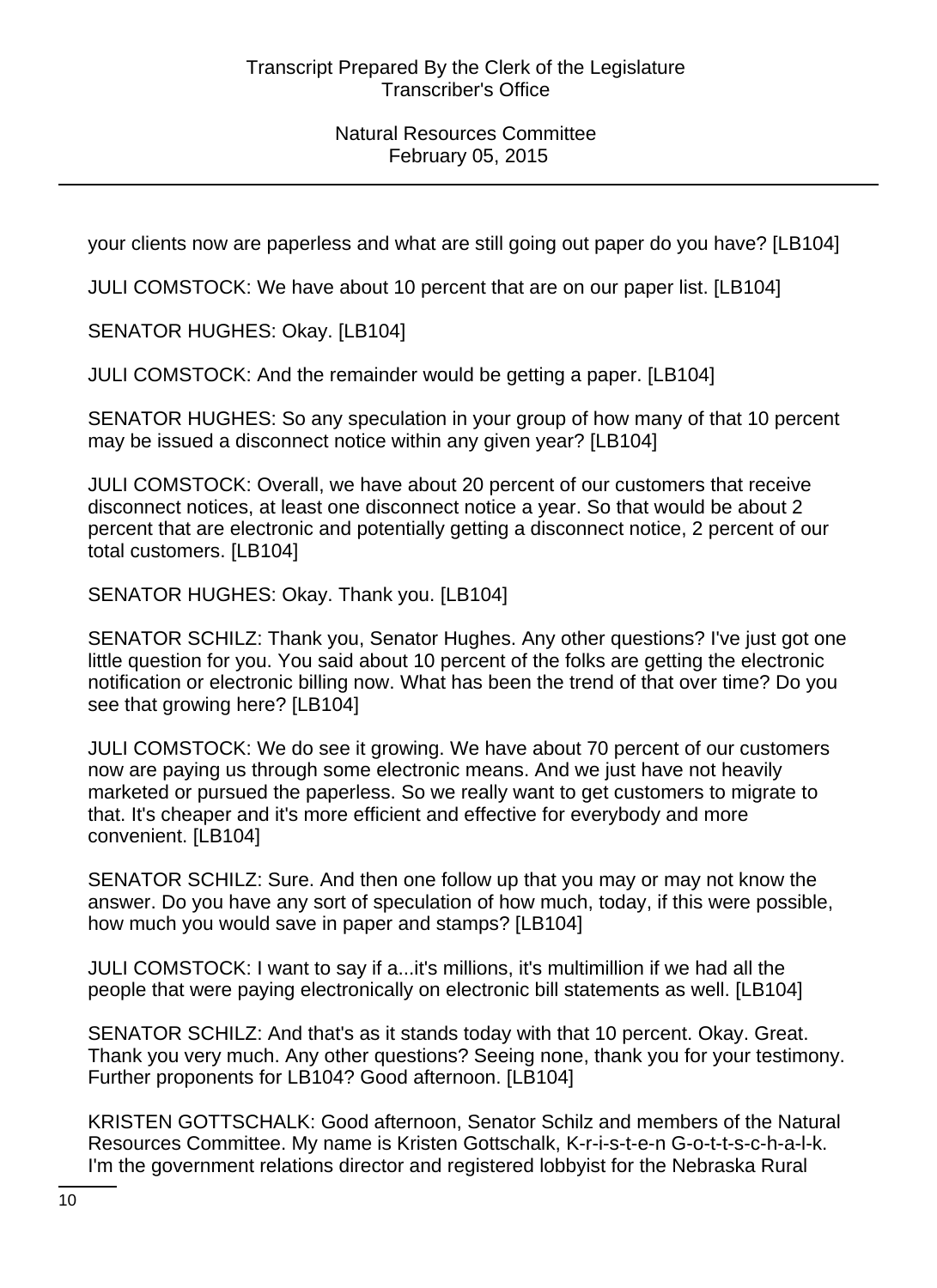your clients now are paperless and what are still going out paper do you have? [LB104]

JULI COMSTOCK: We have about 10 percent that are on our paper list. [LB104]

SENATOR HUGHES: Okay. [LB104]

JULI COMSTOCK: And the remainder would be getting a paper. [LB104]

SENATOR HUGHES: So any speculation in your group of how many of that 10 percent may be issued a disconnect notice within any given year? [LB104]

JULI COMSTOCK: Overall, we have about 20 percent of our customers that receive disconnect notices, at least one disconnect notice a year. So that would be about 2 percent that are electronic and potentially getting a disconnect notice, 2 percent of our total customers. [LB104]

SENATOR HUGHES: Okay. Thank you. [LB104]

SENATOR SCHILZ: Thank you, Senator Hughes. Any other questions? I've just got one little question for you. You said about 10 percent of the folks are getting the electronic notification or electronic billing now. What has been the trend of that over time? Do you see that growing here? [LB104]

JULI COMSTOCK: We do see it growing. We have about 70 percent of our customers now are paying us through some electronic means. And we just have not heavily marketed or pursued the paperless. So we really want to get customers to migrate to that. It's cheaper and it's more efficient and effective for everybody and more convenient. [LB104]

SENATOR SCHILZ: Sure. And then one follow up that you may or may not know the answer. Do you have any sort of speculation of how much, today, if this were possible, how much you would save in paper and stamps? [LB104]

JULI COMSTOCK: I want to say if a...it's millions, it's multimillion if we had all the people that were paying electronically on electronic bill statements as well. [LB104]

SENATOR SCHILZ: And that's as it stands today with that 10 percent. Okay. Great. Thank you very much. Any other questions? Seeing none, thank you for your testimony. Further proponents for LB104? Good afternoon. [LB104]

KRISTEN GOTTSCHALK: Good afternoon, Senator Schilz and members of the Natural Resources Committee. My name is Kristen Gottschalk, K-r-i-s-t-e-n G-o-t-t-s-c-h-a-l-k. I'm the government relations director and registered lobbyist for the Nebraska Rural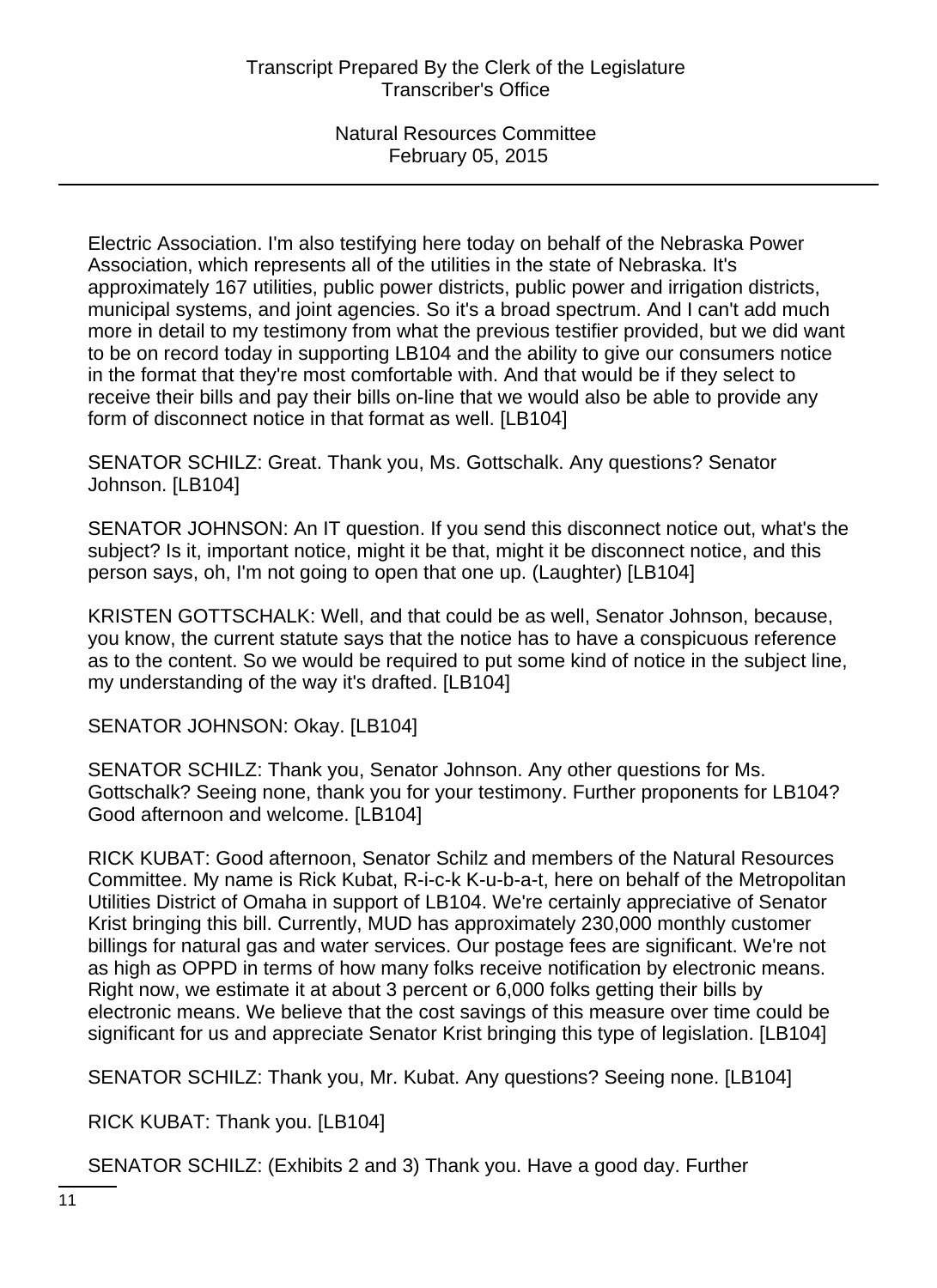Electric Association. I'm also testifying here today on behalf of the Nebraska Power Association, which represents all of the utilities in the state of Nebraska. It's approximately 167 utilities, public power districts, public power and irrigation districts, municipal systems, and joint agencies. So it's a broad spectrum. And I can't add much more in detail to my testimony from what the previous testifier provided, but we did want to be on record today in supporting LB104 and the ability to give our consumers notice in the format that they're most comfortable with. And that would be if they select to receive their bills and pay their bills on-line that we would also be able to provide any form of disconnect notice in that format as well. [LB104]

SENATOR SCHILZ: Great. Thank you, Ms. Gottschalk. Any questions? Senator Johnson. [LB104]

SENATOR JOHNSON: An IT question. If you send this disconnect notice out, what's the subject? Is it, important notice, might it be that, might it be disconnect notice, and this person says, oh, I'm not going to open that one up. (Laughter) [LB104]

KRISTEN GOTTSCHALK: Well, and that could be as well, Senator Johnson, because, you know, the current statute says that the notice has to have a conspicuous reference as to the content. So we would be required to put some kind of notice in the subject line, my understanding of the way it's drafted. [LB104]

SENATOR JOHNSON: Okay. [LB104]

SENATOR SCHILZ: Thank you, Senator Johnson. Any other questions for Ms. Gottschalk? Seeing none, thank you for your testimony. Further proponents for LB104? Good afternoon and welcome. [LB104]

RICK KUBAT: Good afternoon, Senator Schilz and members of the Natural Resources Committee. My name is Rick Kubat, R-i-c-k K-u-b-a-t, here on behalf of the Metropolitan Utilities District of Omaha in support of LB104. We're certainly appreciative of Senator Krist bringing this bill. Currently, MUD has approximately 230,000 monthly customer billings for natural gas and water services. Our postage fees are significant. We're not as high as OPPD in terms of how many folks receive notification by electronic means. Right now, we estimate it at about 3 percent or 6,000 folks getting their bills by electronic means. We believe that the cost savings of this measure over time could be significant for us and appreciate Senator Krist bringing this type of legislation. [LB104]

SENATOR SCHILZ: Thank you, Mr. Kubat. Any questions? Seeing none. [LB104]

RICK KUBAT: Thank you. [LB104]

SENATOR SCHILZ: (Exhibits 2 and 3) Thank you. Have a good day. Further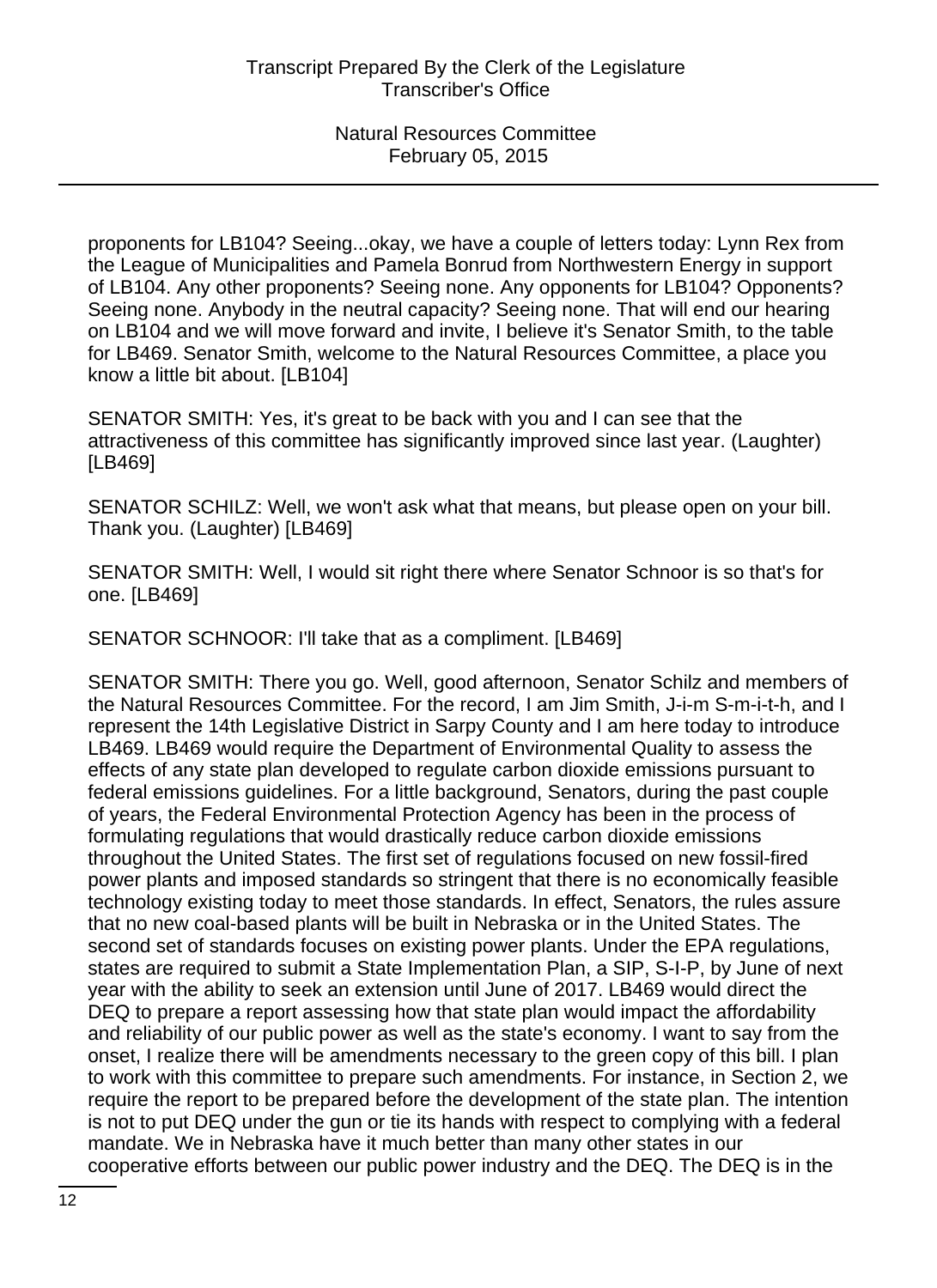proponents for LB104? Seeing...okay, we have a couple of letters today: Lynn Rex from the League of Municipalities and Pamela Bonrud from Northwestern Energy in support of LB104. Any other proponents? Seeing none. Any opponents for LB104? Opponents? Seeing none. Anybody in the neutral capacity? Seeing none. That will end our hearing on LB104 and we will move forward and invite, I believe it's Senator Smith, to the table for LB469. Senator Smith, welcome to the Natural Resources Committee, a place you know a little bit about. [LB104]

SENATOR SMITH: Yes, it's great to be back with you and I can see that the attractiveness of this committee has significantly improved since last year. (Laughter) [LB469]

SENATOR SCHILZ: Well, we won't ask what that means, but please open on your bill. Thank you. (Laughter) [LB469]

SENATOR SMITH: Well, I would sit right there where Senator Schnoor is so that's for one. [LB469]

SENATOR SCHNOOR: I'll take that as a compliment. [LB469]

SENATOR SMITH: There you go. Well, good afternoon, Senator Schilz and members of the Natural Resources Committee. For the record, I am Jim Smith, J-i-m S-m-i-t-h, and I represent the 14th Legislative District in Sarpy County and I am here today to introduce LB469. LB469 would require the Department of Environmental Quality to assess the effects of any state plan developed to regulate carbon dioxide emissions pursuant to federal emissions guidelines. For a little background, Senators, during the past couple of years, the Federal Environmental Protection Agency has been in the process of formulating regulations that would drastically reduce carbon dioxide emissions throughout the United States. The first set of regulations focused on new fossil-fired power plants and imposed standards so stringent that there is no economically feasible technology existing today to meet those standards. In effect, Senators, the rules assure that no new coal-based plants will be built in Nebraska or in the United States. The second set of standards focuses on existing power plants. Under the EPA regulations, states are required to submit a State Implementation Plan, a SIP, S-I-P, by June of next year with the ability to seek an extension until June of 2017. LB469 would direct the DEQ to prepare a report assessing how that state plan would impact the affordability and reliability of our public power as well as the state's economy. I want to say from the onset, I realize there will be amendments necessary to the green copy of this bill. I plan to work with this committee to prepare such amendments. For instance, in Section 2, we require the report to be prepared before the development of the state plan. The intention is not to put DEQ under the gun or tie its hands with respect to complying with a federal mandate. We in Nebraska have it much better than many other states in our cooperative efforts between our public power industry and the DEQ. The DEQ is in the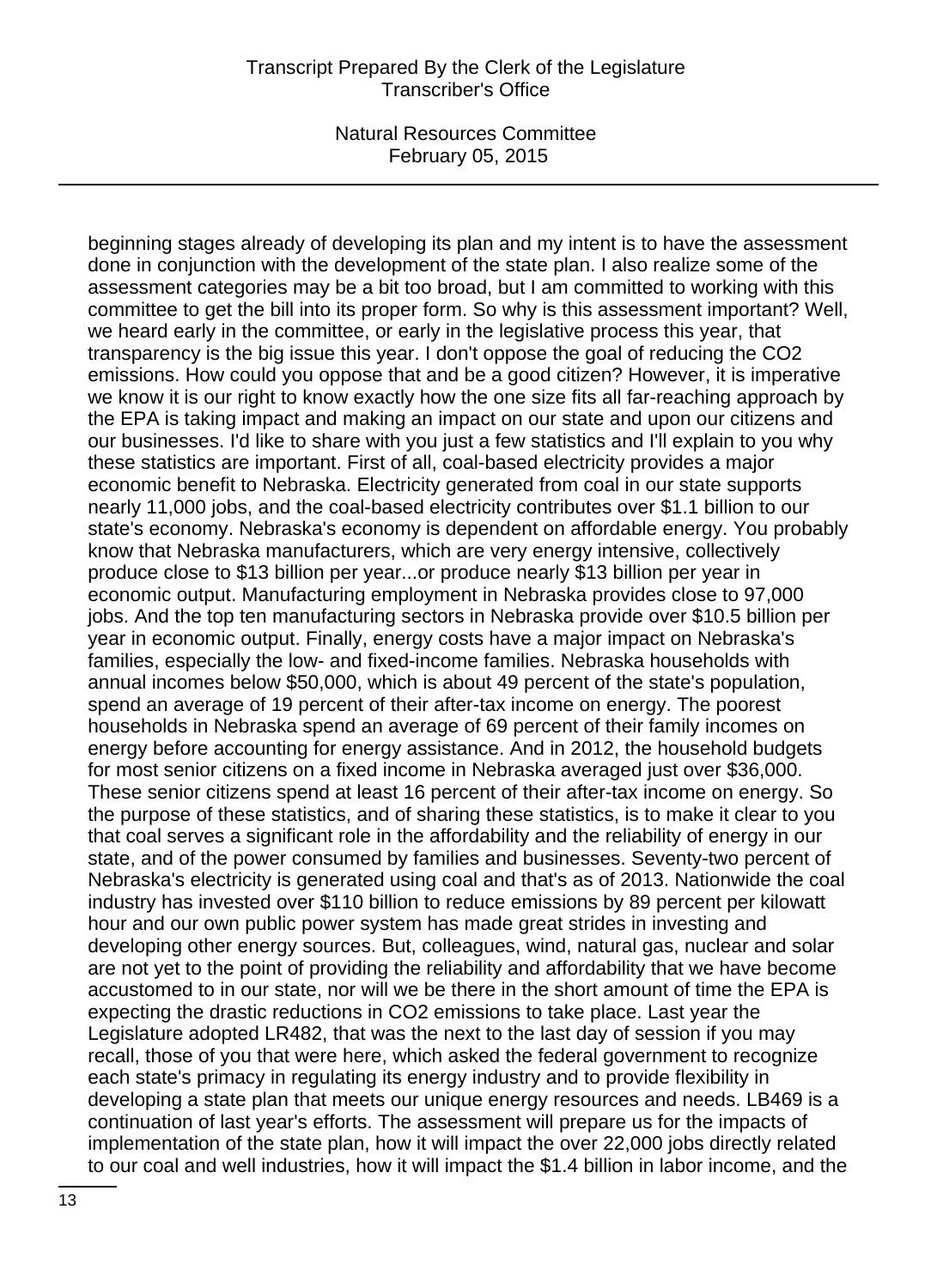beginning stages already of developing its plan and my intent is to have the assessment done in conjunction with the development of the state plan. I also realize some of the assessment categories may be a bit too broad, but I am committed to working with this committee to get the bill into its proper form. So why is this assessment important? Well, we heard early in the committee, or early in the legislative process this year, that transparency is the big issue this year. I don't oppose the goal of reducing the CO2 emissions. How could you oppose that and be a good citizen? However, it is imperative we know it is our right to know exactly how the one size fits all far-reaching approach by the EPA is taking impact and making an impact on our state and upon our citizens and our businesses. I'd like to share with you just a few statistics and I'll explain to you why these statistics are important. First of all, coal-based electricity provides a major economic benefit to Nebraska. Electricity generated from coal in our state supports nearly 11,000 jobs, and the coal-based electricity contributes over \$1.1 billion to our state's economy. Nebraska's economy is dependent on affordable energy. You probably know that Nebraska manufacturers, which are very energy intensive, collectively produce close to \$13 billion per year...or produce nearly \$13 billion per year in economic output. Manufacturing employment in Nebraska provides close to 97,000 jobs. And the top ten manufacturing sectors in Nebraska provide over \$10.5 billion per year in economic output. Finally, energy costs have a major impact on Nebraska's families, especially the low- and fixed-income families. Nebraska households with annual incomes below \$50,000, which is about 49 percent of the state's population, spend an average of 19 percent of their after-tax income on energy. The poorest households in Nebraska spend an average of 69 percent of their family incomes on energy before accounting for energy assistance. And in 2012, the household budgets for most senior citizens on a fixed income in Nebraska averaged just over \$36,000. These senior citizens spend at least 16 percent of their after-tax income on energy. So the purpose of these statistics, and of sharing these statistics, is to make it clear to you that coal serves a significant role in the affordability and the reliability of energy in our state, and of the power consumed by families and businesses. Seventy-two percent of Nebraska's electricity is generated using coal and that's as of 2013. Nationwide the coal industry has invested over \$110 billion to reduce emissions by 89 percent per kilowatt hour and our own public power system has made great strides in investing and developing other energy sources. But, colleagues, wind, natural gas, nuclear and solar are not yet to the point of providing the reliability and affordability that we have become accustomed to in our state, nor will we be there in the short amount of time the EPA is expecting the drastic reductions in CO2 emissions to take place. Last year the Legislature adopted LR482, that was the next to the last day of session if you may recall, those of you that were here, which asked the federal government to recognize each state's primacy in regulating its energy industry and to provide flexibility in developing a state plan that meets our unique energy resources and needs. LB469 is a continuation of last year's efforts. The assessment will prepare us for the impacts of implementation of the state plan, how it will impact the over 22,000 jobs directly related to our coal and well industries, how it will impact the \$1.4 billion in labor income, and the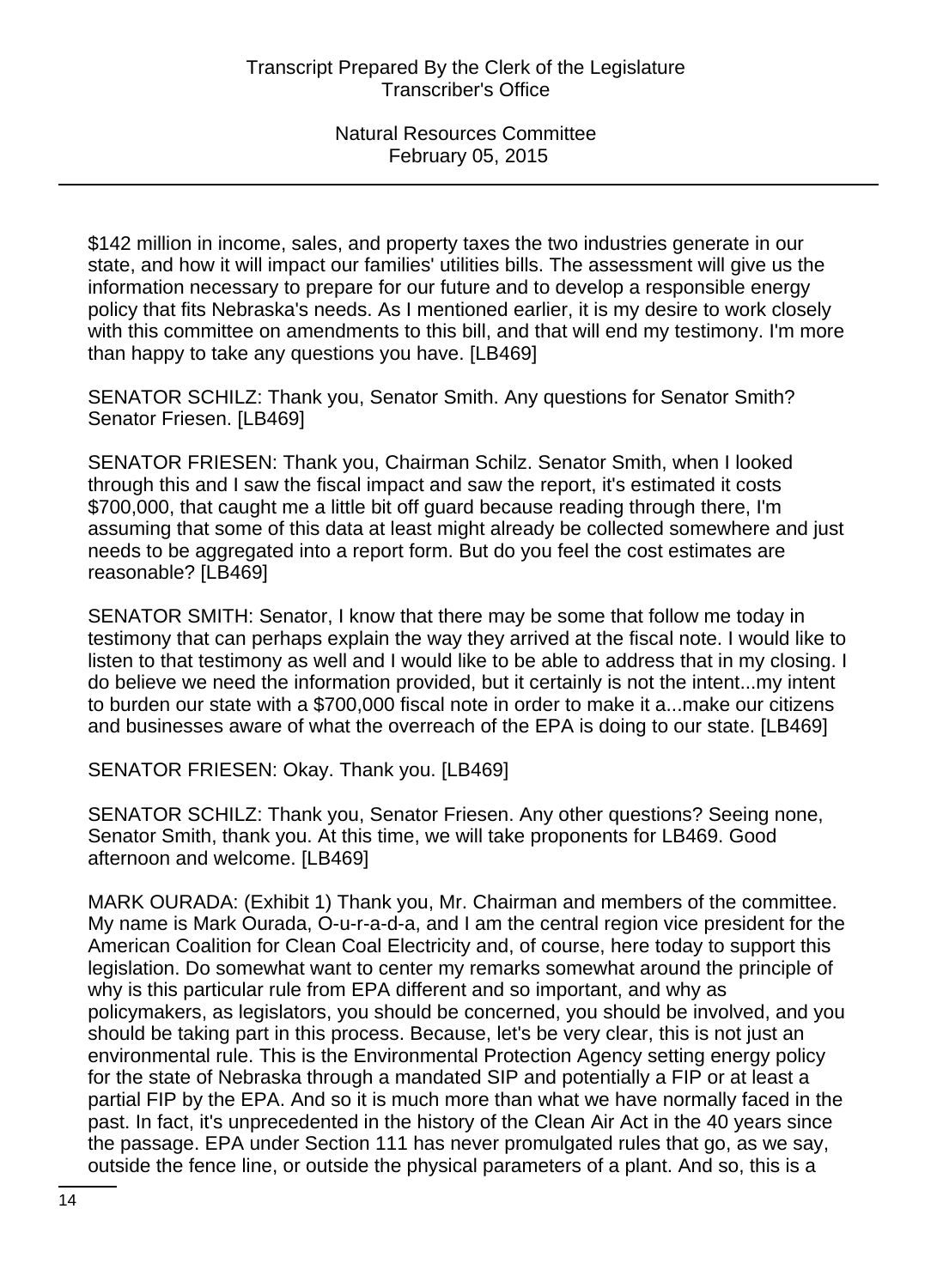\$142 million in income, sales, and property taxes the two industries generate in our state, and how it will impact our families' utilities bills. The assessment will give us the information necessary to prepare for our future and to develop a responsible energy policy that fits Nebraska's needs. As I mentioned earlier, it is my desire to work closely with this committee on amendments to this bill, and that will end my testimony. I'm more than happy to take any questions you have. [LB469]

SENATOR SCHILZ: Thank you, Senator Smith. Any questions for Senator Smith? Senator Friesen. [LB469]

SENATOR FRIESEN: Thank you, Chairman Schilz. Senator Smith, when I looked through this and I saw the fiscal impact and saw the report, it's estimated it costs \$700,000, that caught me a little bit off guard because reading through there, I'm assuming that some of this data at least might already be collected somewhere and just needs to be aggregated into a report form. But do you feel the cost estimates are reasonable? [LB469]

SENATOR SMITH: Senator, I know that there may be some that follow me today in testimony that can perhaps explain the way they arrived at the fiscal note. I would like to listen to that testimony as well and I would like to be able to address that in my closing. I do believe we need the information provided, but it certainly is not the intent...my intent to burden our state with a \$700,000 fiscal note in order to make it a...make our citizens and businesses aware of what the overreach of the EPA is doing to our state. [LB469]

SENATOR FRIESEN: Okay. Thank you. [LB469]

SENATOR SCHILZ: Thank you, Senator Friesen. Any other questions? Seeing none, Senator Smith, thank you. At this time, we will take proponents for LB469. Good afternoon and welcome. [LB469]

MARK OURADA: (Exhibit 1) Thank you, Mr. Chairman and members of the committee. My name is Mark Ourada, O-u-r-a-d-a, and I am the central region vice president for the American Coalition for Clean Coal Electricity and, of course, here today to support this legislation. Do somewhat want to center my remarks somewhat around the principle of why is this particular rule from EPA different and so important, and why as policymakers, as legislators, you should be concerned, you should be involved, and you should be taking part in this process. Because, let's be very clear, this is not just an environmental rule. This is the Environmental Protection Agency setting energy policy for the state of Nebraska through a mandated SIP and potentially a FIP or at least a partial FIP by the EPA. And so it is much more than what we have normally faced in the past. In fact, it's unprecedented in the history of the Clean Air Act in the 40 years since the passage. EPA under Section 111 has never promulgated rules that go, as we say, outside the fence line, or outside the physical parameters of a plant. And so, this is a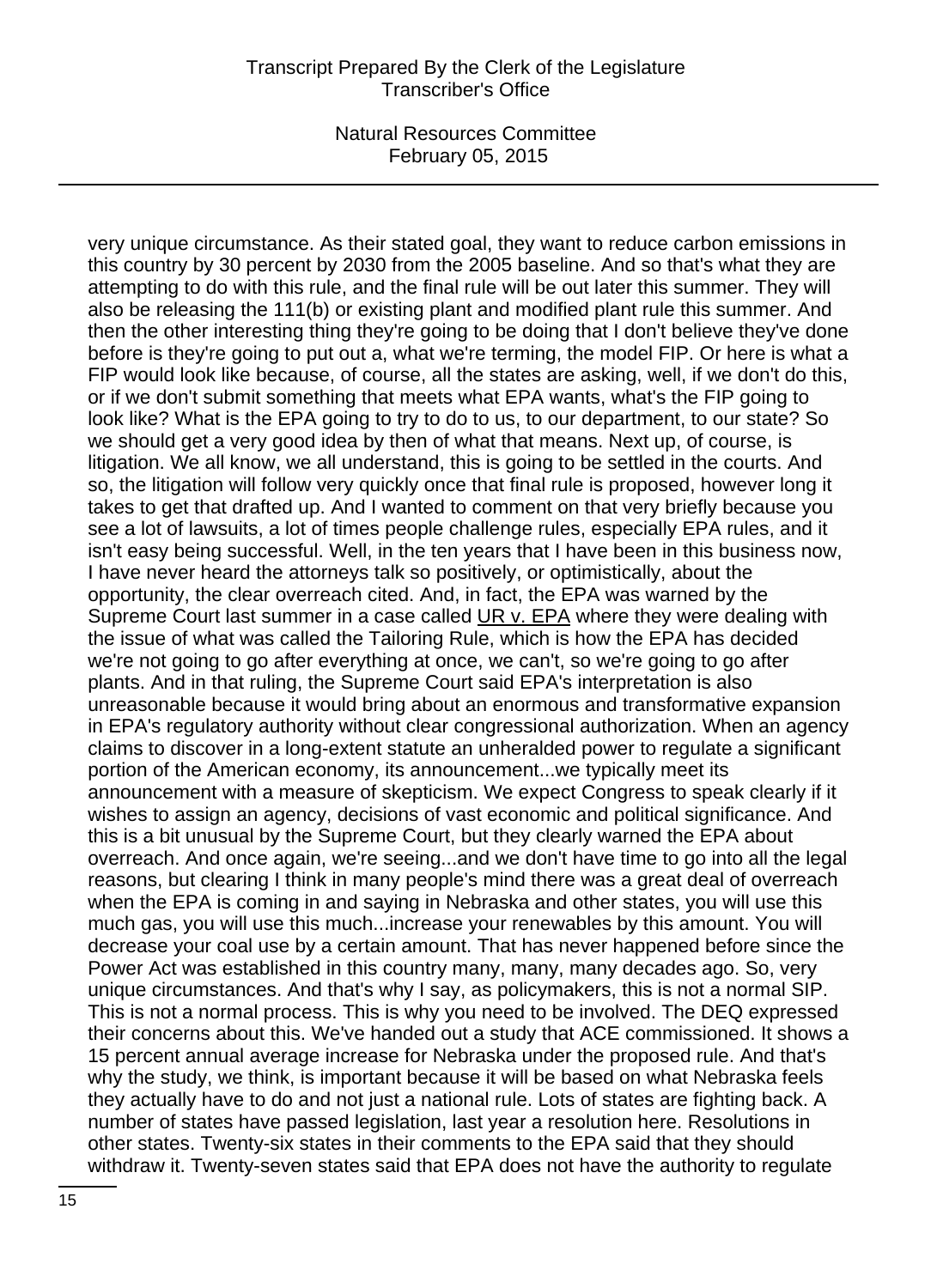very unique circumstance. As their stated goal, they want to reduce carbon emissions in this country by 30 percent by 2030 from the 2005 baseline. And so that's what they are attempting to do with this rule, and the final rule will be out later this summer. They will also be releasing the 111(b) or existing plant and modified plant rule this summer. And then the other interesting thing they're going to be doing that I don't believe they've done before is they're going to put out a, what we're terming, the model FIP. Or here is what a FIP would look like because, of course, all the states are asking, well, if we don't do this, or if we don't submit something that meets what EPA wants, what's the FIP going to look like? What is the EPA going to try to do to us, to our department, to our state? So we should get a very good idea by then of what that means. Next up, of course, is litigation. We all know, we all understand, this is going to be settled in the courts. And so, the litigation will follow very quickly once that final rule is proposed, however long it takes to get that drafted up. And I wanted to comment on that very briefly because you see a lot of lawsuits, a lot of times people challenge rules, especially EPA rules, and it isn't easy being successful. Well, in the ten years that I have been in this business now, I have never heard the attorneys talk so positively, or optimistically, about the opportunity, the clear overreach cited. And, in fact, the EPA was warned by the Supreme Court last summer in a case called UR v. EPA where they were dealing with the issue of what was called the Tailoring Rule, which is how the EPA has decided we're not going to go after everything at once, we can't, so we're going to go after plants. And in that ruling, the Supreme Court said EPA's interpretation is also unreasonable because it would bring about an enormous and transformative expansion in EPA's regulatory authority without clear congressional authorization. When an agency claims to discover in a long-extent statute an unheralded power to regulate a significant portion of the American economy, its announcement...we typically meet its announcement with a measure of skepticism. We expect Congress to speak clearly if it wishes to assign an agency, decisions of vast economic and political significance. And this is a bit unusual by the Supreme Court, but they clearly warned the EPA about overreach. And once again, we're seeing...and we don't have time to go into all the legal reasons, but clearing I think in many people's mind there was a great deal of overreach when the EPA is coming in and saying in Nebraska and other states, you will use this much gas, you will use this much...increase your renewables by this amount. You will decrease your coal use by a certain amount. That has never happened before since the Power Act was established in this country many, many, many decades ago. So, very unique circumstances. And that's why I say, as policymakers, this is not a normal SIP. This is not a normal process. This is why you need to be involved. The DEQ expressed their concerns about this. We've handed out a study that ACE commissioned. It shows a 15 percent annual average increase for Nebraska under the proposed rule. And that's why the study, we think, is important because it will be based on what Nebraska feels they actually have to do and not just a national rule. Lots of states are fighting back. A number of states have passed legislation, last year a resolution here. Resolutions in other states. Twenty-six states in their comments to the EPA said that they should withdraw it. Twenty-seven states said that EPA does not have the authority to regulate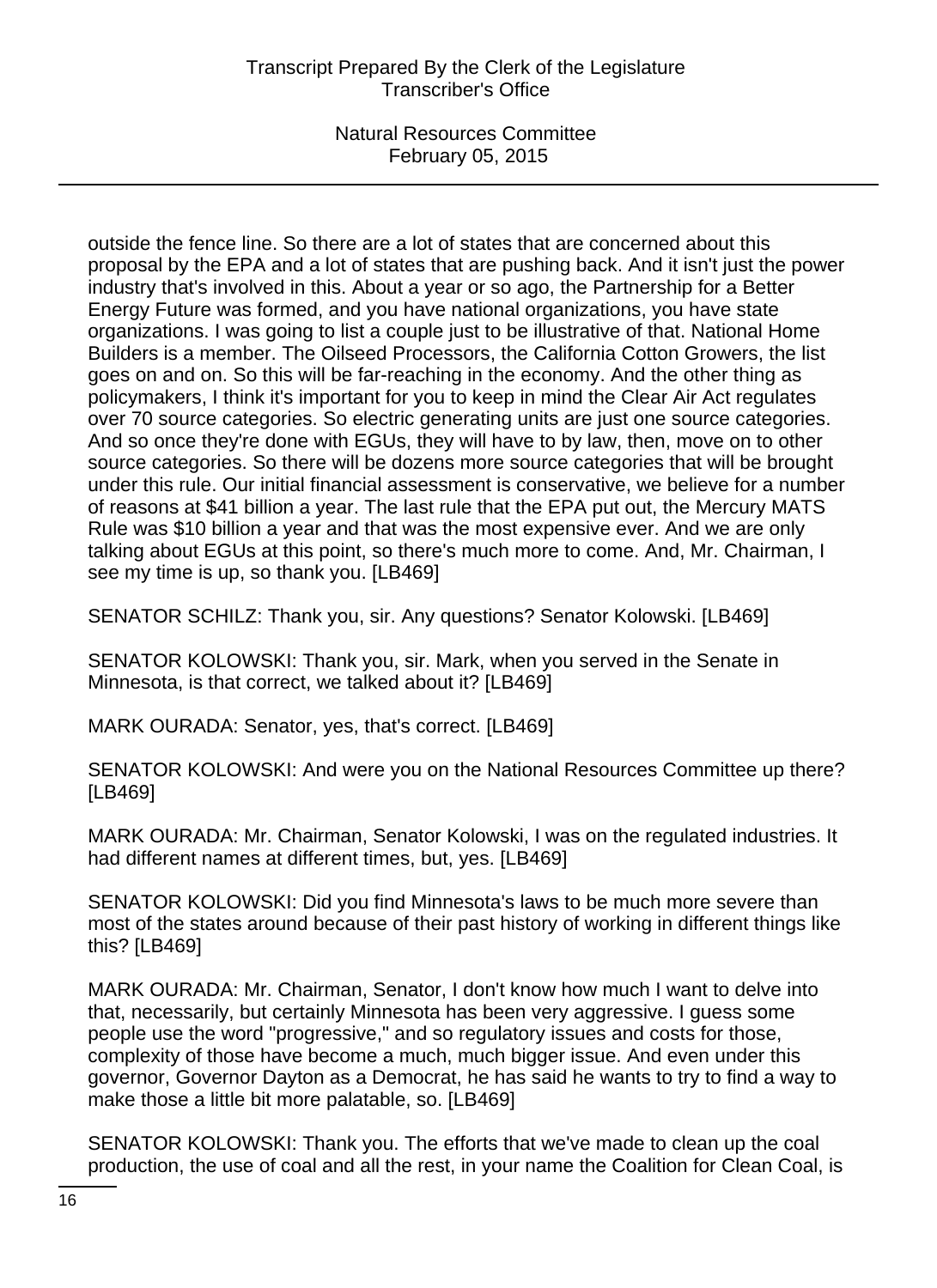outside the fence line. So there are a lot of states that are concerned about this proposal by the EPA and a lot of states that are pushing back. And it isn't just the power industry that's involved in this. About a year or so ago, the Partnership for a Better Energy Future was formed, and you have national organizations, you have state organizations. I was going to list a couple just to be illustrative of that. National Home Builders is a member. The Oilseed Processors, the California Cotton Growers, the list goes on and on. So this will be far-reaching in the economy. And the other thing as policymakers, I think it's important for you to keep in mind the Clear Air Act regulates over 70 source categories. So electric generating units are just one source categories. And so once they're done with EGUs, they will have to by law, then, move on to other source categories. So there will be dozens more source categories that will be brought under this rule. Our initial financial assessment is conservative, we believe for a number of reasons at \$41 billion a year. The last rule that the EPA put out, the Mercury MATS Rule was \$10 billion a year and that was the most expensive ever. And we are only talking about EGUs at this point, so there's much more to come. And, Mr. Chairman, I see my time is up, so thank you. [LB469]

SENATOR SCHILZ: Thank you, sir. Any questions? Senator Kolowski. [LB469]

SENATOR KOLOWSKI: Thank you, sir. Mark, when you served in the Senate in Minnesota, is that correct, we talked about it? [LB469]

MARK OURADA: Senator, yes, that's correct. [LB469]

SENATOR KOLOWSKI: And were you on the National Resources Committee up there? [LB469]

MARK OURADA: Mr. Chairman, Senator Kolowski, I was on the regulated industries. It had different names at different times, but, yes. [LB469]

SENATOR KOLOWSKI: Did you find Minnesota's laws to be much more severe than most of the states around because of their past history of working in different things like this? [LB469]

MARK OURADA: Mr. Chairman, Senator, I don't know how much I want to delve into that, necessarily, but certainly Minnesota has been very aggressive. I guess some people use the word "progressive," and so regulatory issues and costs for those, complexity of those have become a much, much bigger issue. And even under this governor, Governor Dayton as a Democrat, he has said he wants to try to find a way to make those a little bit more palatable, so. [LB469]

SENATOR KOLOWSKI: Thank you. The efforts that we've made to clean up the coal production, the use of coal and all the rest, in your name the Coalition for Clean Coal, is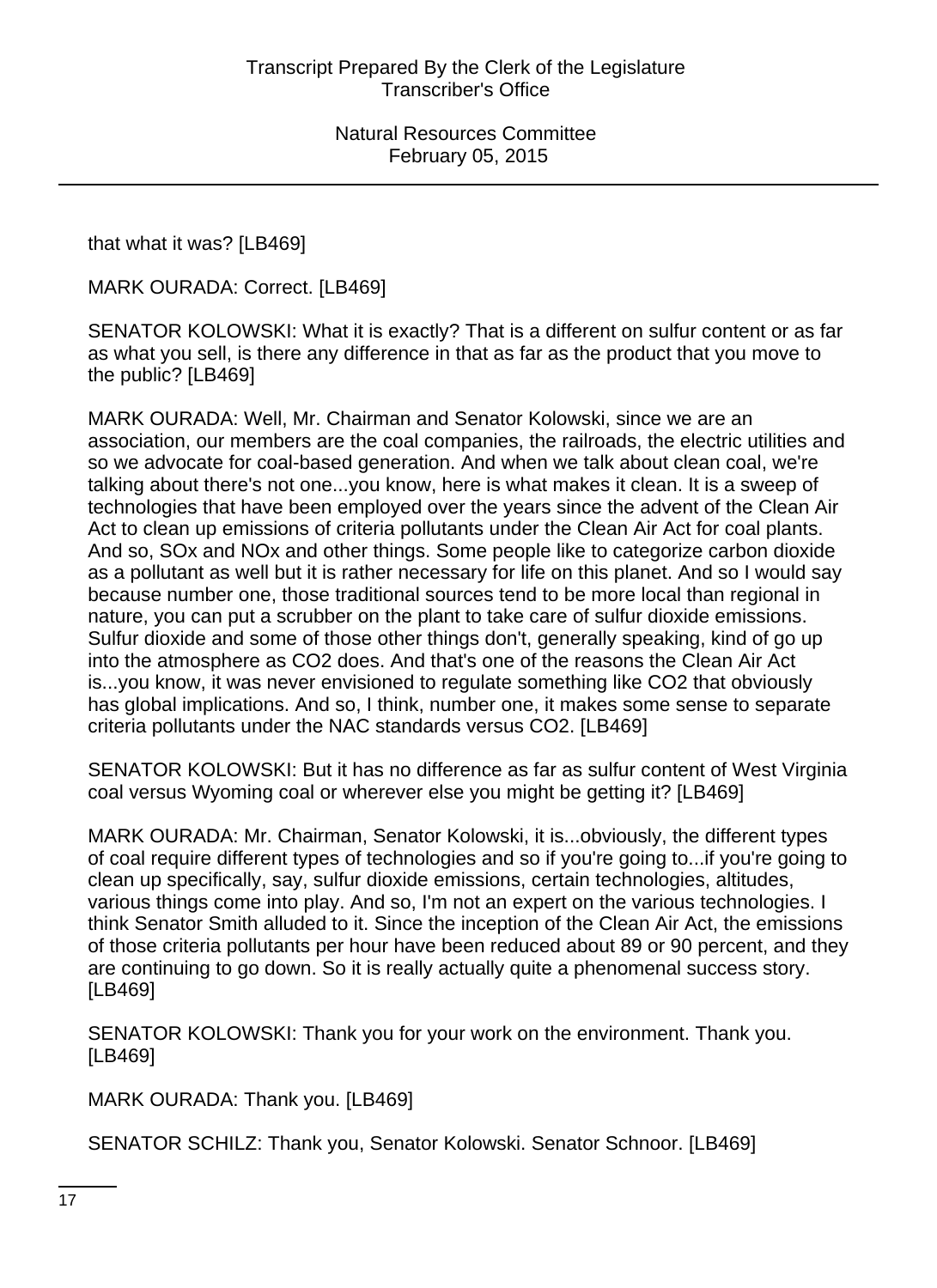that what it was? [LB469]

MARK OURADA: Correct. [LB469]

SENATOR KOLOWSKI: What it is exactly? That is a different on sulfur content or as far as what you sell, is there any difference in that as far as the product that you move to the public? [LB469]

MARK OURADA: Well, Mr. Chairman and Senator Kolowski, since we are an association, our members are the coal companies, the railroads, the electric utilities and so we advocate for coal-based generation. And when we talk about clean coal, we're talking about there's not one...you know, here is what makes it clean. It is a sweep of technologies that have been employed over the years since the advent of the Clean Air Act to clean up emissions of criteria pollutants under the Clean Air Act for coal plants. And so, SOx and NOx and other things. Some people like to categorize carbon dioxide as a pollutant as well but it is rather necessary for life on this planet. And so I would say because number one, those traditional sources tend to be more local than regional in nature, you can put a scrubber on the plant to take care of sulfur dioxide emissions. Sulfur dioxide and some of those other things don't, generally speaking, kind of go up into the atmosphere as CO2 does. And that's one of the reasons the Clean Air Act is...you know, it was never envisioned to regulate something like CO2 that obviously has global implications. And so, I think, number one, it makes some sense to separate criteria pollutants under the NAC standards versus CO2. [LB469]

SENATOR KOLOWSKI: But it has no difference as far as sulfur content of West Virginia coal versus Wyoming coal or wherever else you might be getting it? [LB469]

MARK OURADA: Mr. Chairman, Senator Kolowski, it is...obviously, the different types of coal require different types of technologies and so if you're going to...if you're going to clean up specifically, say, sulfur dioxide emissions, certain technologies, altitudes, various things come into play. And so, I'm not an expert on the various technologies. I think Senator Smith alluded to it. Since the inception of the Clean Air Act, the emissions of those criteria pollutants per hour have been reduced about 89 or 90 percent, and they are continuing to go down. So it is really actually quite a phenomenal success story. [LB469]

SENATOR KOLOWSKI: Thank you for your work on the environment. Thank you. [LB469]

MARK OURADA: Thank you. [LB469]

SENATOR SCHILZ: Thank you, Senator Kolowski. Senator Schnoor. [LB469]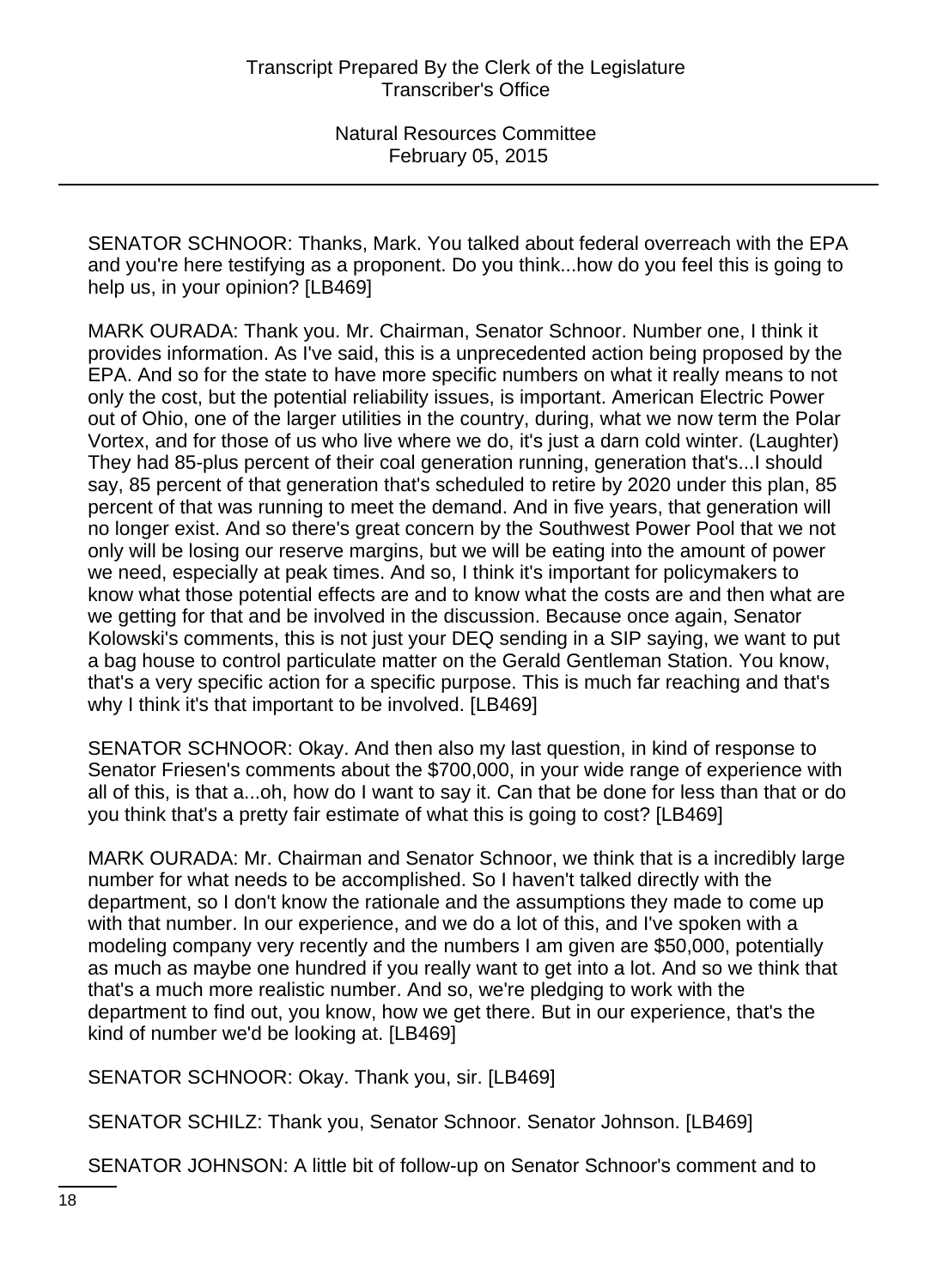SENATOR SCHNOOR: Thanks, Mark. You talked about federal overreach with the EPA and you're here testifying as a proponent. Do you think...how do you feel this is going to help us, in your opinion? [LB469]

MARK OURADA: Thank you. Mr. Chairman, Senator Schnoor. Number one, I think it provides information. As I've said, this is a unprecedented action being proposed by the EPA. And so for the state to have more specific numbers on what it really means to not only the cost, but the potential reliability issues, is important. American Electric Power out of Ohio, one of the larger utilities in the country, during, what we now term the Polar Vortex, and for those of us who live where we do, it's just a darn cold winter. (Laughter) They had 85-plus percent of their coal generation running, generation that's...I should say, 85 percent of that generation that's scheduled to retire by 2020 under this plan, 85 percent of that was running to meet the demand. And in five years, that generation will no longer exist. And so there's great concern by the Southwest Power Pool that we not only will be losing our reserve margins, but we will be eating into the amount of power we need, especially at peak times. And so, I think it's important for policymakers to know what those potential effects are and to know what the costs are and then what are we getting for that and be involved in the discussion. Because once again, Senator Kolowski's comments, this is not just your DEQ sending in a SIP saying, we want to put a bag house to control particulate matter on the Gerald Gentleman Station. You know, that's a very specific action for a specific purpose. This is much far reaching and that's why I think it's that important to be involved. [LB469]

SENATOR SCHNOOR: Okay. And then also my last question, in kind of response to Senator Friesen's comments about the \$700,000, in your wide range of experience with all of this, is that a...oh, how do I want to say it. Can that be done for less than that or do you think that's a pretty fair estimate of what this is going to cost? [LB469]

MARK OURADA: Mr. Chairman and Senator Schnoor, we think that is a incredibly large number for what needs to be accomplished. So I haven't talked directly with the department, so I don't know the rationale and the assumptions they made to come up with that number. In our experience, and we do a lot of this, and I've spoken with a modeling company very recently and the numbers I am given are \$50,000, potentially as much as maybe one hundred if you really want to get into a lot. And so we think that that's a much more realistic number. And so, we're pledging to work with the department to find out, you know, how we get there. But in our experience, that's the kind of number we'd be looking at. [LB469]

SENATOR SCHNOOR: Okay. Thank you, sir. [LB469]

SENATOR SCHILZ: Thank you, Senator Schnoor. Senator Johnson. [LB469]

SENATOR JOHNSON: A little bit of follow-up on Senator Schnoor's comment and to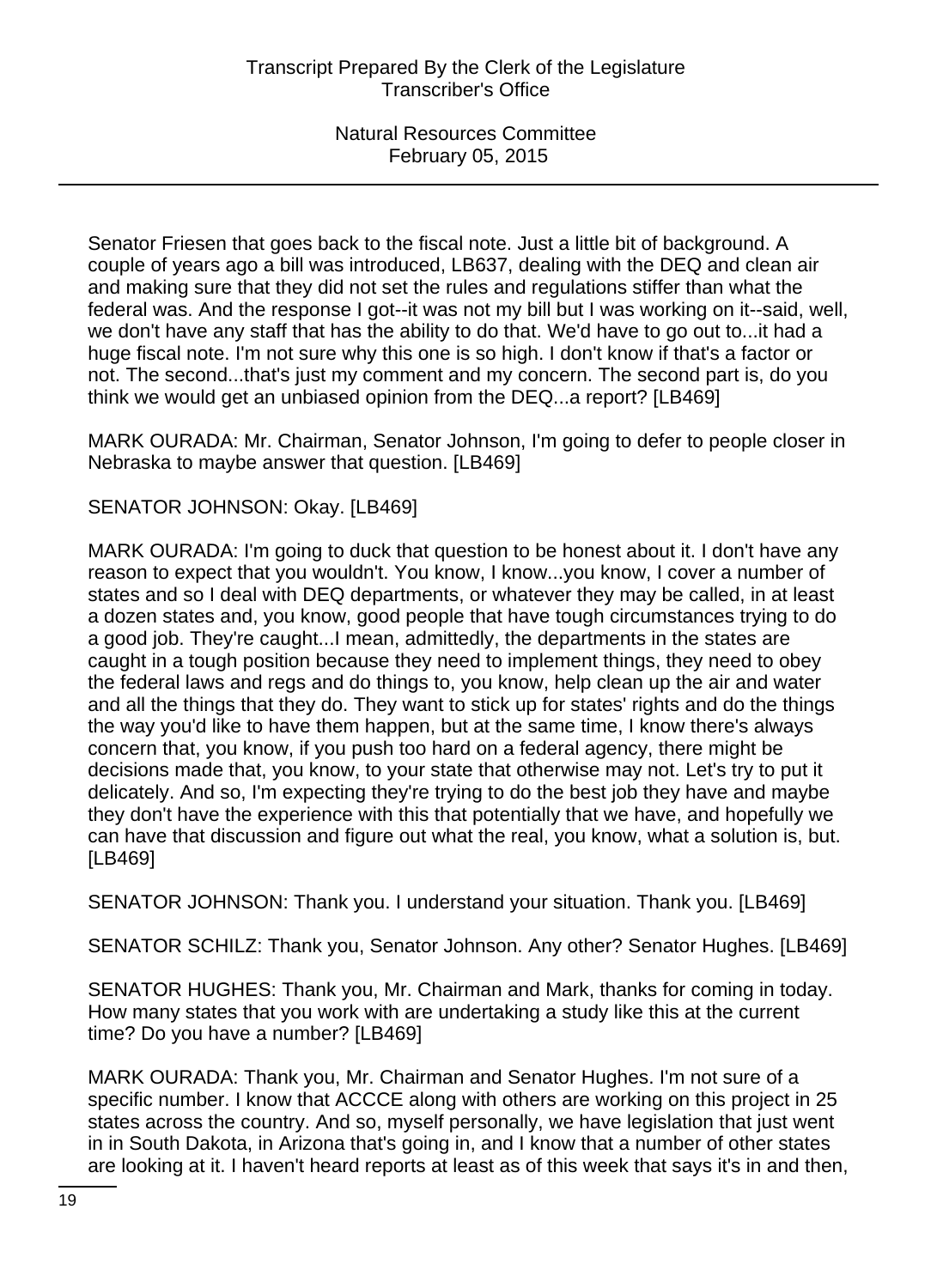Senator Friesen that goes back to the fiscal note. Just a little bit of background. A couple of years ago a bill was introduced, LB637, dealing with the DEQ and clean air and making sure that they did not set the rules and regulations stiffer than what the federal was. And the response I got--it was not my bill but I was working on it--said, well, we don't have any staff that has the ability to do that. We'd have to go out to...it had a huge fiscal note. I'm not sure why this one is so high. I don't know if that's a factor or not. The second...that's just my comment and my concern. The second part is, do you think we would get an unbiased opinion from the DEQ...a report? [LB469]

MARK OURADA: Mr. Chairman, Senator Johnson, I'm going to defer to people closer in Nebraska to maybe answer that question. [LB469]

SENATOR JOHNSON: Okay. [LB469]

MARK OURADA: I'm going to duck that question to be honest about it. I don't have any reason to expect that you wouldn't. You know, I know...you know, I cover a number of states and so I deal with DEQ departments, or whatever they may be called, in at least a dozen states and, you know, good people that have tough circumstances trying to do a good job. They're caught...I mean, admittedly, the departments in the states are caught in a tough position because they need to implement things, they need to obey the federal laws and regs and do things to, you know, help clean up the air and water and all the things that they do. They want to stick up for states' rights and do the things the way you'd like to have them happen, but at the same time, I know there's always concern that, you know, if you push too hard on a federal agency, there might be decisions made that, you know, to your state that otherwise may not. Let's try to put it delicately. And so, I'm expecting they're trying to do the best job they have and maybe they don't have the experience with this that potentially that we have, and hopefully we can have that discussion and figure out what the real, you know, what a solution is, but. [LB469]

SENATOR JOHNSON: Thank you. I understand your situation. Thank you. [LB469]

SENATOR SCHILZ: Thank you, Senator Johnson. Any other? Senator Hughes. [LB469]

SENATOR HUGHES: Thank you, Mr. Chairman and Mark, thanks for coming in today. How many states that you work with are undertaking a study like this at the current time? Do you have a number? [LB469]

MARK OURADA: Thank you, Mr. Chairman and Senator Hughes. I'm not sure of a specific number. I know that ACCCE along with others are working on this project in 25 states across the country. And so, myself personally, we have legislation that just went in in South Dakota, in Arizona that's going in, and I know that a number of other states are looking at it. I haven't heard reports at least as of this week that says it's in and then,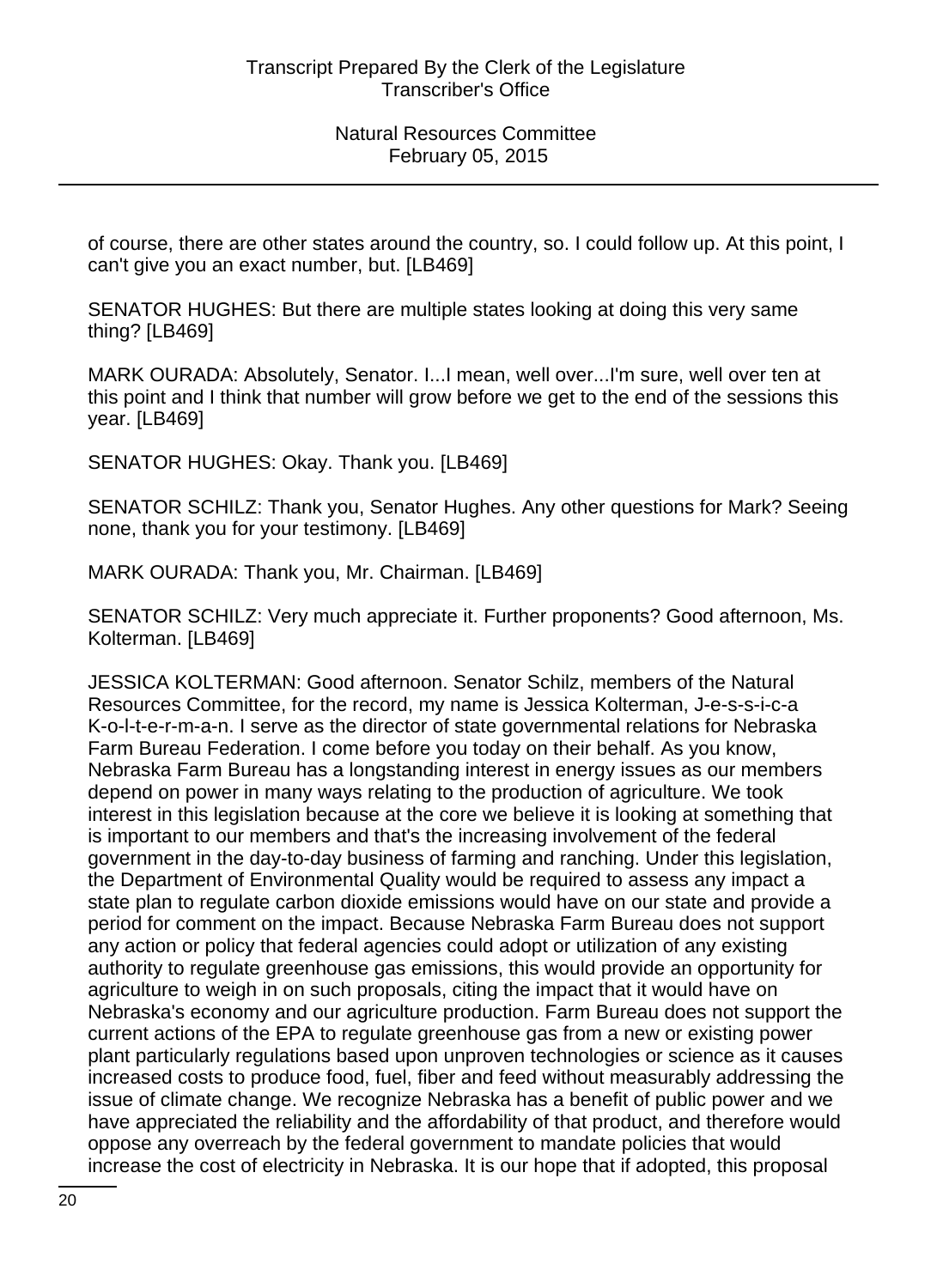of course, there are other states around the country, so. I could follow up. At this point, I can't give you an exact number, but. [LB469]

SENATOR HUGHES: But there are multiple states looking at doing this very same thing? [LB469]

MARK OURADA: Absolutely, Senator. I...I mean, well over...I'm sure, well over ten at this point and I think that number will grow before we get to the end of the sessions this year. [LB469]

SENATOR HUGHES: Okay. Thank you. [LB469]

SENATOR SCHILZ: Thank you, Senator Hughes. Any other questions for Mark? Seeing none, thank you for your testimony. [LB469]

MARK OURADA: Thank you, Mr. Chairman. [LB469]

SENATOR SCHILZ: Very much appreciate it. Further proponents? Good afternoon, Ms. Kolterman. [LB469]

JESSICA KOLTERMAN: Good afternoon. Senator Schilz, members of the Natural Resources Committee, for the record, my name is Jessica Kolterman, J-e-s-s-i-c-a K-o-l-t-e-r-m-a-n. I serve as the director of state governmental relations for Nebraska Farm Bureau Federation. I come before you today on their behalf. As you know, Nebraska Farm Bureau has a longstanding interest in energy issues as our members depend on power in many ways relating to the production of agriculture. We took interest in this legislation because at the core we believe it is looking at something that is important to our members and that's the increasing involvement of the federal government in the day-to-day business of farming and ranching. Under this legislation, the Department of Environmental Quality would be required to assess any impact a state plan to regulate carbon dioxide emissions would have on our state and provide a period for comment on the impact. Because Nebraska Farm Bureau does not support any action or policy that federal agencies could adopt or utilization of any existing authority to regulate greenhouse gas emissions, this would provide an opportunity for agriculture to weigh in on such proposals, citing the impact that it would have on Nebraska's economy and our agriculture production. Farm Bureau does not support the current actions of the EPA to regulate greenhouse gas from a new or existing power plant particularly regulations based upon unproven technologies or science as it causes increased costs to produce food, fuel, fiber and feed without measurably addressing the issue of climate change. We recognize Nebraska has a benefit of public power and we have appreciated the reliability and the affordability of that product, and therefore would oppose any overreach by the federal government to mandate policies that would increase the cost of electricity in Nebraska. It is our hope that if adopted, this proposal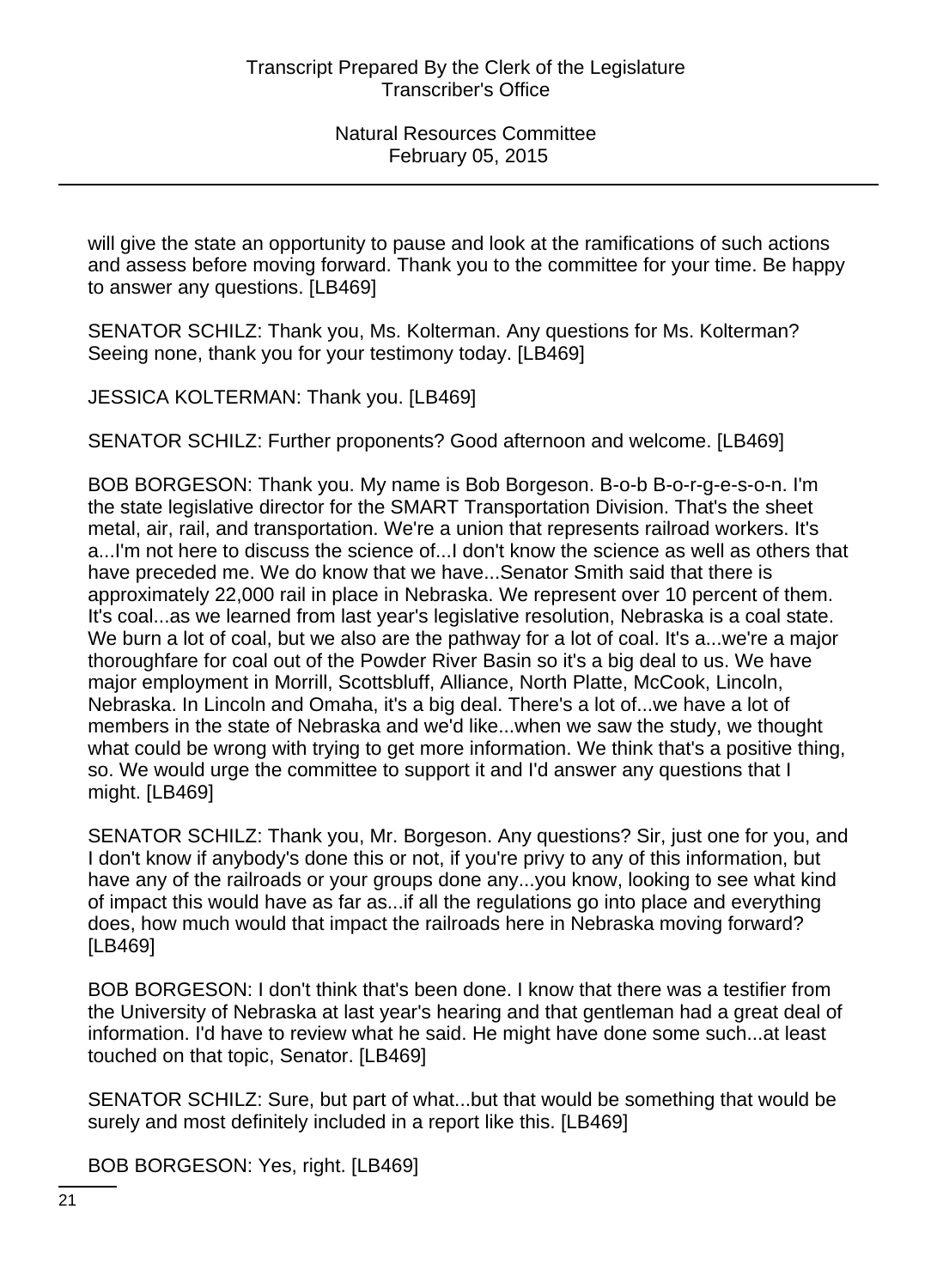will give the state an opportunity to pause and look at the ramifications of such actions and assess before moving forward. Thank you to the committee for your time. Be happy to answer any questions. [LB469]

SENATOR SCHILZ: Thank you, Ms. Kolterman. Any questions for Ms. Kolterman? Seeing none, thank you for your testimony today. [LB469]

JESSICA KOLTERMAN: Thank you. [LB469]

SENATOR SCHILZ: Further proponents? Good afternoon and welcome. [LB469]

BOB BORGESON: Thank you. My name is Bob Borgeson. B-o-b B-o-r-g-e-s-o-n. I'm the state legislative director for the SMART Transportation Division. That's the sheet metal, air, rail, and transportation. We're a union that represents railroad workers. It's a...I'm not here to discuss the science of...I don't know the science as well as others that have preceded me. We do know that we have...Senator Smith said that there is approximately 22,000 rail in place in Nebraska. We represent over 10 percent of them. It's coal...as we learned from last year's legislative resolution, Nebraska is a coal state. We burn a lot of coal, but we also are the pathway for a lot of coal. It's a...we're a major thoroughfare for coal out of the Powder River Basin so it's a big deal to us. We have major employment in Morrill, Scottsbluff, Alliance, North Platte, McCook, Lincoln, Nebraska. In Lincoln and Omaha, it's a big deal. There's a lot of...we have a lot of members in the state of Nebraska and we'd like...when we saw the study, we thought what could be wrong with trying to get more information. We think that's a positive thing, so. We would urge the committee to support it and I'd answer any questions that I might. [LB469]

SENATOR SCHILZ: Thank you, Mr. Borgeson. Any questions? Sir, just one for you, and I don't know if anybody's done this or not, if you're privy to any of this information, but have any of the railroads or your groups done any...you know, looking to see what kind of impact this would have as far as...if all the regulations go into place and everything does, how much would that impact the railroads here in Nebraska moving forward? [LB469]

BOB BORGESON: I don't think that's been done. I know that there was a testifier from the University of Nebraska at last year's hearing and that gentleman had a great deal of information. I'd have to review what he said. He might have done some such...at least touched on that topic, Senator. [LB469]

SENATOR SCHILZ: Sure, but part of what...but that would be something that would be surely and most definitely included in a report like this. [LB469]

BOB BORGESON: Yes, right. [LB469]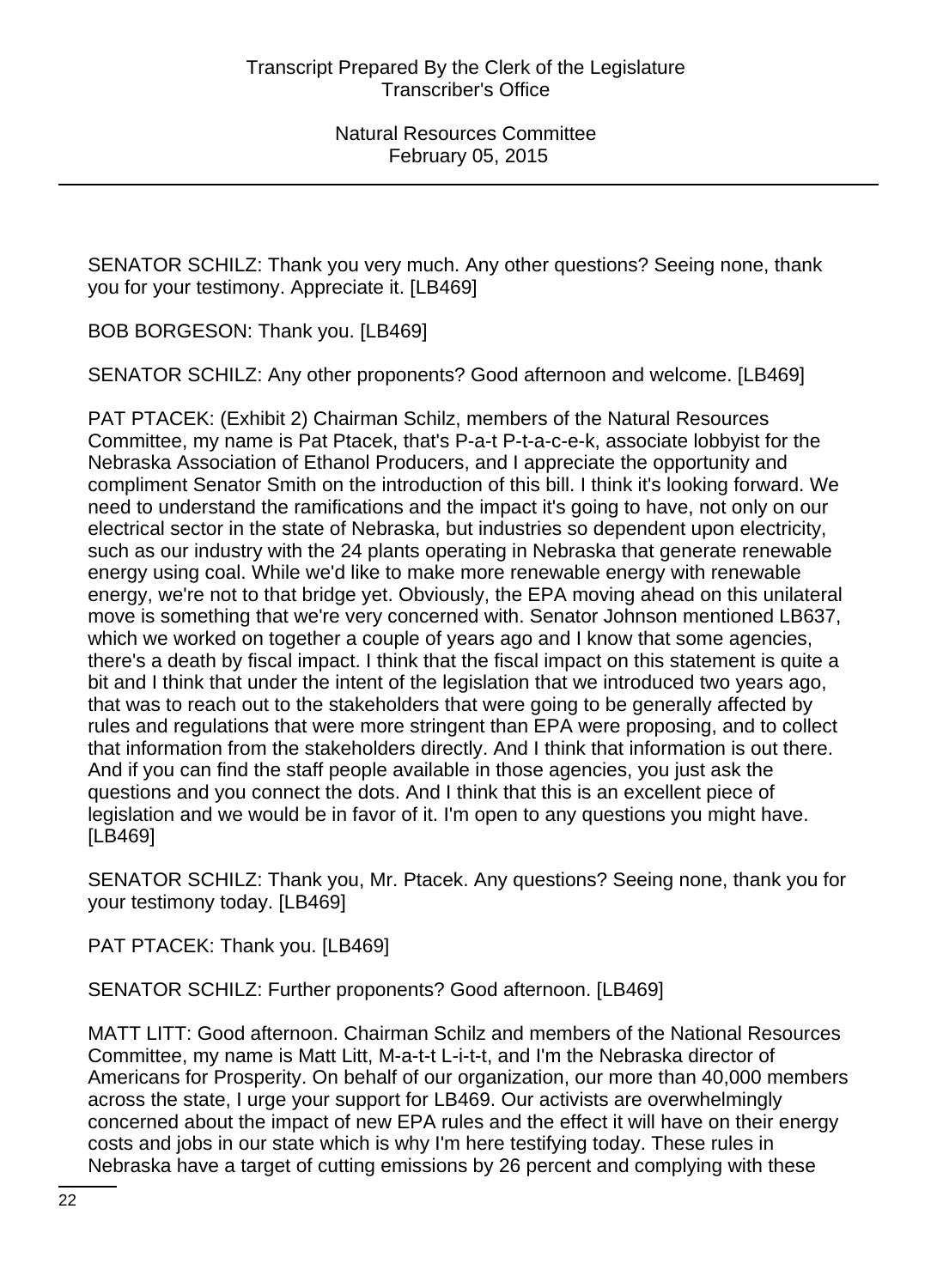SENATOR SCHILZ: Thank you very much. Any other questions? Seeing none, thank you for your testimony. Appreciate it. [LB469]

BOB BORGESON: Thank you. [LB469]

SENATOR SCHILZ: Any other proponents? Good afternoon and welcome. [LB469]

PAT PTACEK: (Exhibit 2) Chairman Schilz, members of the Natural Resources Committee, my name is Pat Ptacek, that's P-a-t P-t-a-c-e-k, associate lobbyist for the Nebraska Association of Ethanol Producers, and I appreciate the opportunity and compliment Senator Smith on the introduction of this bill. I think it's looking forward. We need to understand the ramifications and the impact it's going to have, not only on our electrical sector in the state of Nebraska, but industries so dependent upon electricity, such as our industry with the 24 plants operating in Nebraska that generate renewable energy using coal. While we'd like to make more renewable energy with renewable energy, we're not to that bridge yet. Obviously, the EPA moving ahead on this unilateral move is something that we're very concerned with. Senator Johnson mentioned LB637, which we worked on together a couple of years ago and I know that some agencies, there's a death by fiscal impact. I think that the fiscal impact on this statement is quite a bit and I think that under the intent of the legislation that we introduced two years ago, that was to reach out to the stakeholders that were going to be generally affected by rules and regulations that were more stringent than EPA were proposing, and to collect that information from the stakeholders directly. And I think that information is out there. And if you can find the staff people available in those agencies, you just ask the questions and you connect the dots. And I think that this is an excellent piece of legislation and we would be in favor of it. I'm open to any questions you might have. [LB469]

SENATOR SCHILZ: Thank you, Mr. Ptacek. Any questions? Seeing none, thank you for your testimony today. [LB469]

PAT PTACEK: Thank you. [LB469]

SENATOR SCHILZ: Further proponents? Good afternoon. [LB469]

MATT LITT: Good afternoon. Chairman Schilz and members of the National Resources Committee, my name is Matt Litt, M-a-t-t L-i-t-t, and I'm the Nebraska director of Americans for Prosperity. On behalf of our organization, our more than 40,000 members across the state, I urge your support for LB469. Our activists are overwhelmingly concerned about the impact of new EPA rules and the effect it will have on their energy costs and jobs in our state which is why I'm here testifying today. These rules in Nebraska have a target of cutting emissions by 26 percent and complying with these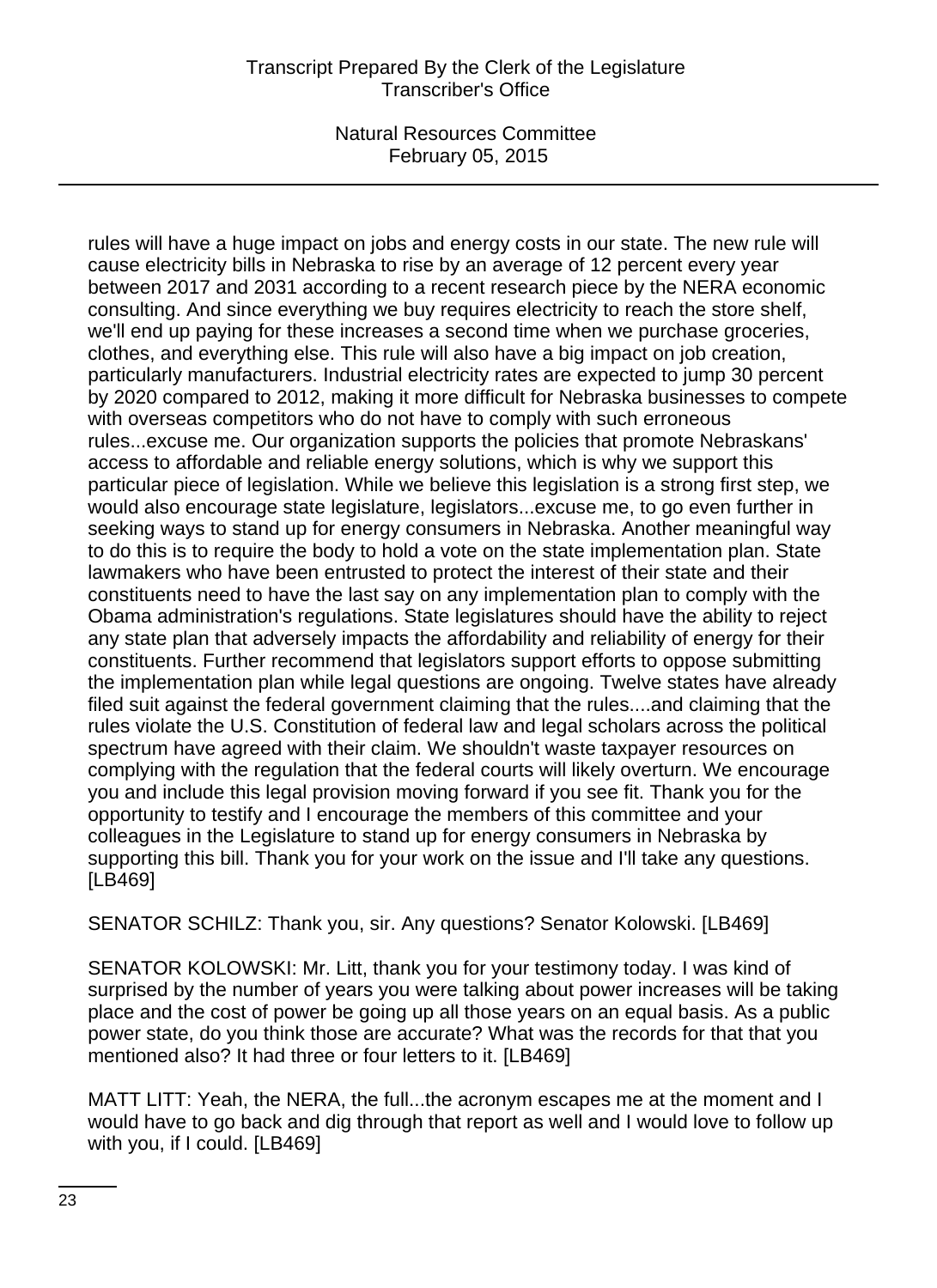# Transcript Prepared By the Clerk of the Legislature Transcriber's Office

Natural Resources Committee February 05, 2015

rules will have a huge impact on jobs and energy costs in our state. The new rule will cause electricity bills in Nebraska to rise by an average of 12 percent every year between 2017 and 2031 according to a recent research piece by the NERA economic consulting. And since everything we buy requires electricity to reach the store shelf, we'll end up paying for these increases a second time when we purchase groceries, clothes, and everything else. This rule will also have a big impact on job creation, particularly manufacturers. Industrial electricity rates are expected to jump 30 percent by 2020 compared to 2012, making it more difficult for Nebraska businesses to compete with overseas competitors who do not have to comply with such erroneous rules...excuse me. Our organization supports the policies that promote Nebraskans' access to affordable and reliable energy solutions, which is why we support this particular piece of legislation. While we believe this legislation is a strong first step, we would also encourage state legislature, legislators...excuse me, to go even further in seeking ways to stand up for energy consumers in Nebraska. Another meaningful way to do this is to require the body to hold a vote on the state implementation plan. State lawmakers who have been entrusted to protect the interest of their state and their constituents need to have the last say on any implementation plan to comply with the Obama administration's regulations. State legislatures should have the ability to reject any state plan that adversely impacts the affordability and reliability of energy for their constituents. Further recommend that legislators support efforts to oppose submitting the implementation plan while legal questions are ongoing. Twelve states have already filed suit against the federal government claiming that the rules....and claiming that the rules violate the U.S. Constitution of federal law and legal scholars across the political spectrum have agreed with their claim. We shouldn't waste taxpayer resources on complying with the regulation that the federal courts will likely overturn. We encourage you and include this legal provision moving forward if you see fit. Thank you for the opportunity to testify and I encourage the members of this committee and your colleagues in the Legislature to stand up for energy consumers in Nebraska by supporting this bill. Thank you for your work on the issue and I'll take any questions. [LB469]

SENATOR SCHILZ: Thank you, sir. Any questions? Senator Kolowski. [LB469]

SENATOR KOLOWSKI: Mr. Litt, thank you for your testimony today. I was kind of surprised by the number of years you were talking about power increases will be taking place and the cost of power be going up all those years on an equal basis. As a public power state, do you think those are accurate? What was the records for that that you mentioned also? It had three or four letters to it. [LB469]

MATT LITT: Yeah, the NERA, the full...the acronym escapes me at the moment and I would have to go back and dig through that report as well and I would love to follow up with you, if I could. [LB469]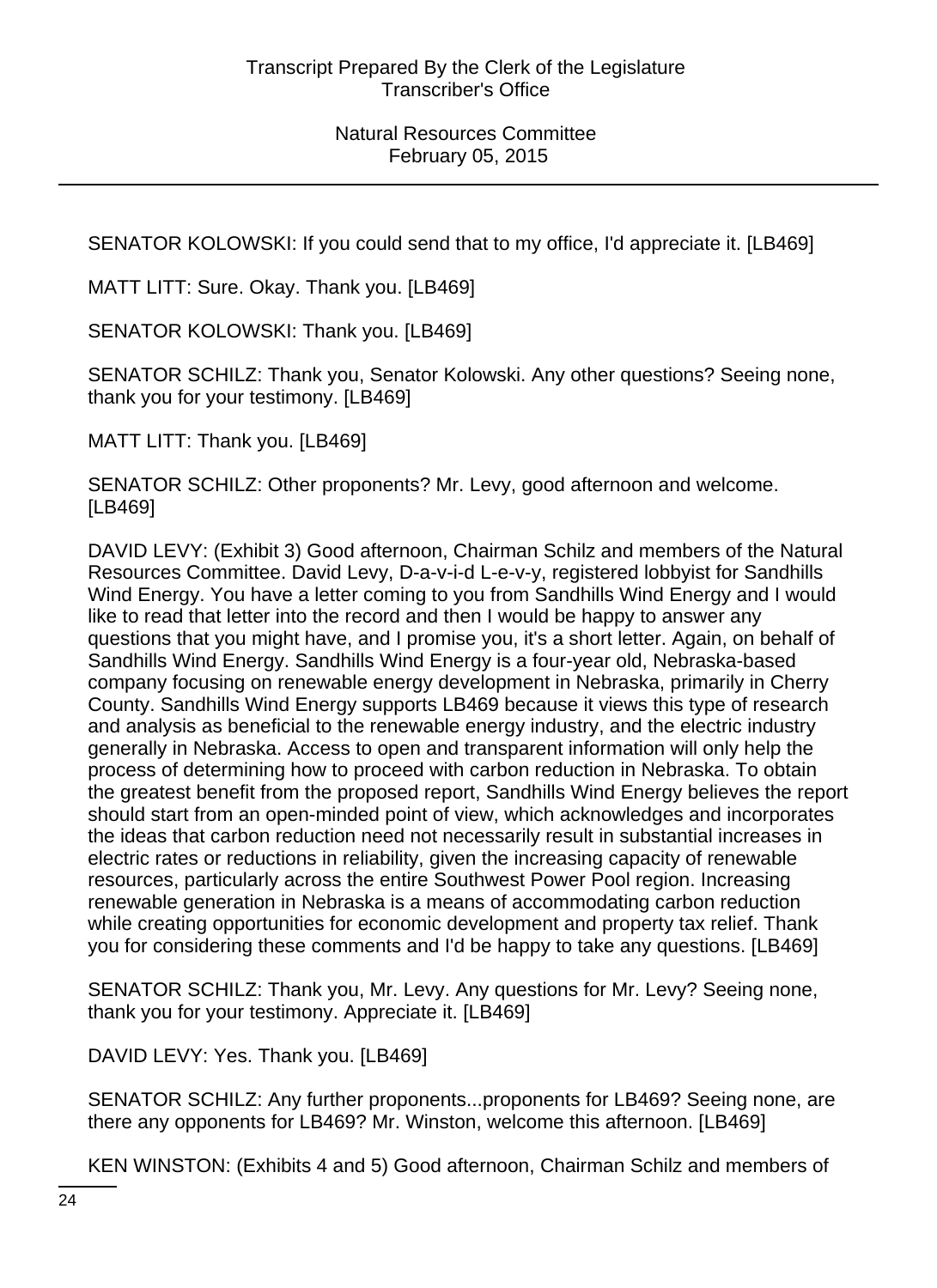SENATOR KOLOWSKI: If you could send that to my office, I'd appreciate it. [LB469]

MATT LITT: Sure. Okay. Thank you. [LB469]

SENATOR KOLOWSKI: Thank you. [LB469]

SENATOR SCHILZ: Thank you, Senator Kolowski. Any other questions? Seeing none, thank you for your testimony. [LB469]

MATT LITT: Thank you. [LB469]

SENATOR SCHILZ: Other proponents? Mr. Levy, good afternoon and welcome. [LB469]

DAVID LEVY: (Exhibit 3) Good afternoon, Chairman Schilz and members of the Natural Resources Committee. David Levy, D-a-v-i-d L-e-v-y, registered lobbyist for Sandhills Wind Energy. You have a letter coming to you from Sandhills Wind Energy and I would like to read that letter into the record and then I would be happy to answer any questions that you might have, and I promise you, it's a short letter. Again, on behalf of Sandhills Wind Energy. Sandhills Wind Energy is a four-year old, Nebraska-based company focusing on renewable energy development in Nebraska, primarily in Cherry County. Sandhills Wind Energy supports LB469 because it views this type of research and analysis as beneficial to the renewable energy industry, and the electric industry generally in Nebraska. Access to open and transparent information will only help the process of determining how to proceed with carbon reduction in Nebraska. To obtain the greatest benefit from the proposed report, Sandhills Wind Energy believes the report should start from an open-minded point of view, which acknowledges and incorporates the ideas that carbon reduction need not necessarily result in substantial increases in electric rates or reductions in reliability, given the increasing capacity of renewable resources, particularly across the entire Southwest Power Pool region. Increasing renewable generation in Nebraska is a means of accommodating carbon reduction while creating opportunities for economic development and property tax relief. Thank you for considering these comments and I'd be happy to take any questions. [LB469]

SENATOR SCHILZ: Thank you, Mr. Levy. Any questions for Mr. Levy? Seeing none, thank you for your testimony. Appreciate it. [LB469]

DAVID LEVY: Yes. Thank you. [LB469]

SENATOR SCHILZ: Any further proponents...proponents for LB469? Seeing none, are there any opponents for LB469? Mr. Winston, welcome this afternoon. [LB469]

KEN WINSTON: (Exhibits 4 and 5) Good afternoon, Chairman Schilz and members of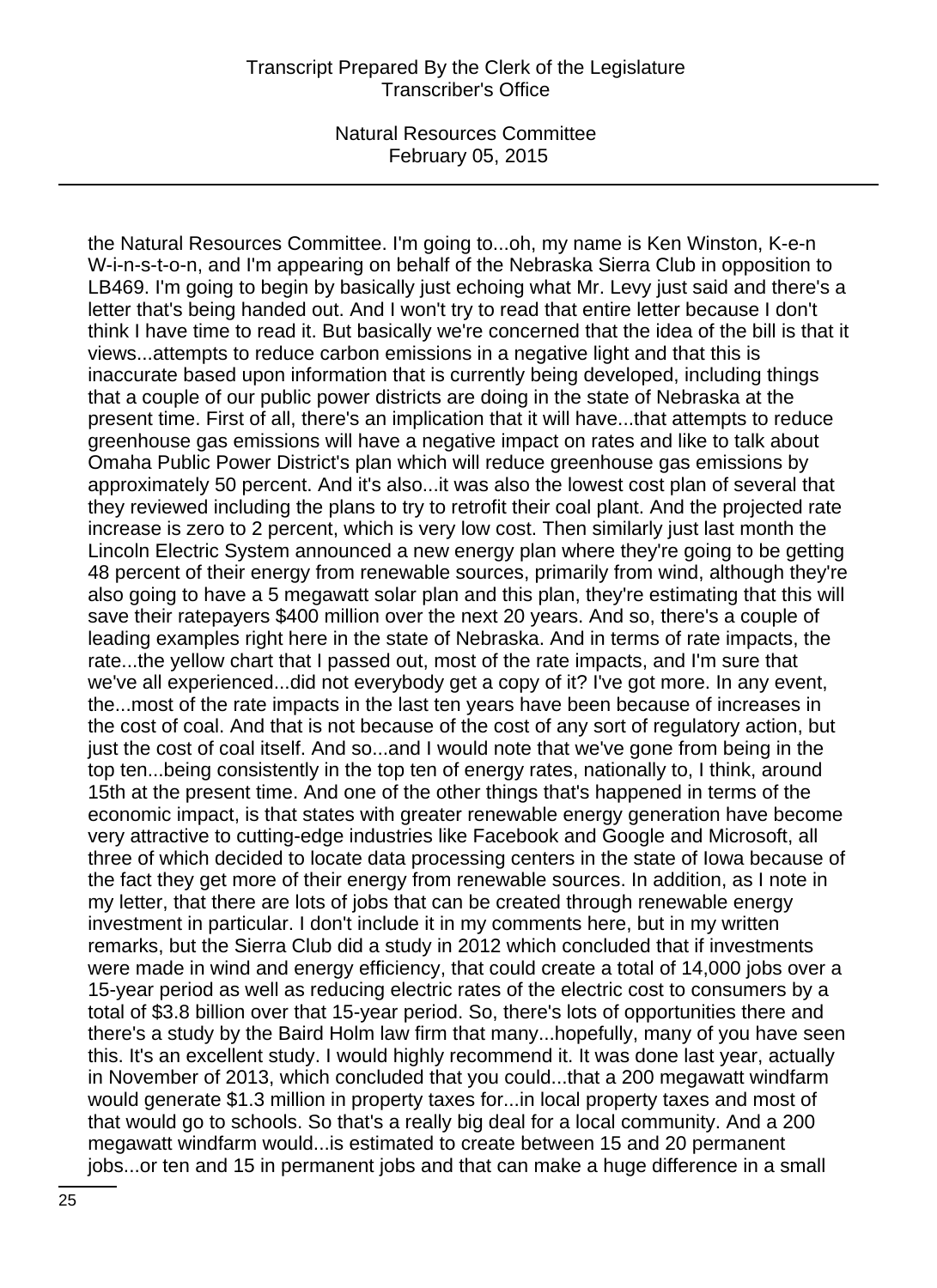the Natural Resources Committee. I'm going to...oh, my name is Ken Winston, K-e-n W-i-n-s-t-o-n, and I'm appearing on behalf of the Nebraska Sierra Club in opposition to LB469. I'm going to begin by basically just echoing what Mr. Levy just said and there's a letter that's being handed out. And I won't try to read that entire letter because I don't think I have time to read it. But basically we're concerned that the idea of the bill is that it views...attempts to reduce carbon emissions in a negative light and that this is inaccurate based upon information that is currently being developed, including things that a couple of our public power districts are doing in the state of Nebraska at the present time. First of all, there's an implication that it will have...that attempts to reduce greenhouse gas emissions will have a negative impact on rates and like to talk about Omaha Public Power District's plan which will reduce greenhouse gas emissions by approximately 50 percent. And it's also...it was also the lowest cost plan of several that they reviewed including the plans to try to retrofit their coal plant. And the projected rate increase is zero to 2 percent, which is very low cost. Then similarly just last month the Lincoln Electric System announced a new energy plan where they're going to be getting 48 percent of their energy from renewable sources, primarily from wind, although they're also going to have a 5 megawatt solar plan and this plan, they're estimating that this will save their ratepayers \$400 million over the next 20 years. And so, there's a couple of leading examples right here in the state of Nebraska. And in terms of rate impacts, the rate...the yellow chart that I passed out, most of the rate impacts, and I'm sure that we've all experienced...did not everybody get a copy of it? I've got more. In any event, the...most of the rate impacts in the last ten years have been because of increases in the cost of coal. And that is not because of the cost of any sort of regulatory action, but just the cost of coal itself. And so...and I would note that we've gone from being in the top ten...being consistently in the top ten of energy rates, nationally to, I think, around 15th at the present time. And one of the other things that's happened in terms of the economic impact, is that states with greater renewable energy generation have become very attractive to cutting-edge industries like Facebook and Google and Microsoft, all three of which decided to locate data processing centers in the state of Iowa because of the fact they get more of their energy from renewable sources. In addition, as I note in my letter, that there are lots of jobs that can be created through renewable energy investment in particular. I don't include it in my comments here, but in my written remarks, but the Sierra Club did a study in 2012 which concluded that if investments were made in wind and energy efficiency, that could create a total of 14,000 jobs over a 15-year period as well as reducing electric rates of the electric cost to consumers by a total of \$3.8 billion over that 15-year period. So, there's lots of opportunities there and there's a study by the Baird Holm law firm that many...hopefully, many of you have seen this. It's an excellent study. I would highly recommend it. It was done last year, actually in November of 2013, which concluded that you could...that a 200 megawatt windfarm would generate \$1.3 million in property taxes for...in local property taxes and most of that would go to schools. So that's a really big deal for a local community. And a 200 megawatt windfarm would...is estimated to create between 15 and 20 permanent jobs...or ten and 15 in permanent jobs and that can make a huge difference in a small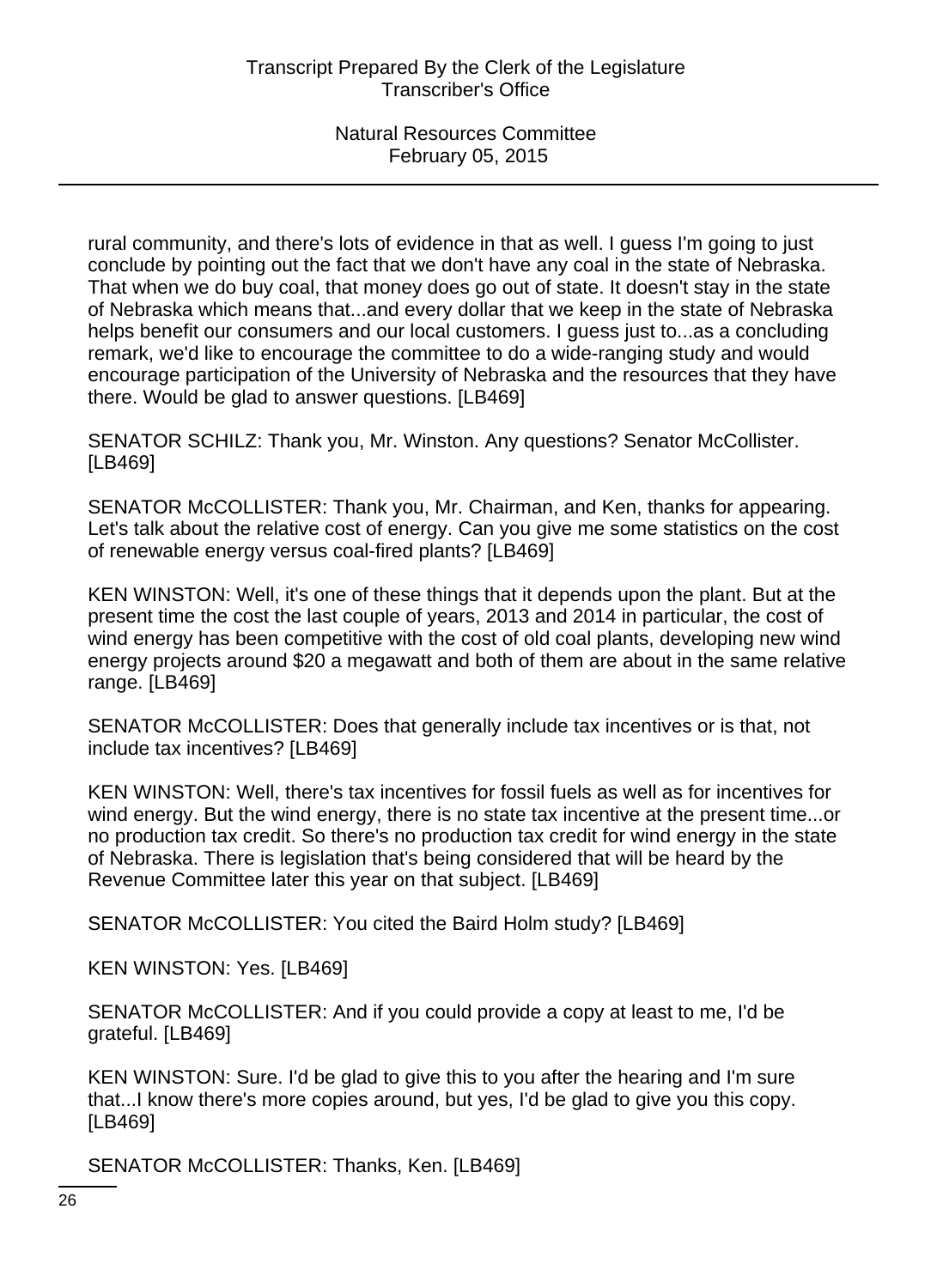rural community, and there's lots of evidence in that as well. I guess I'm going to just conclude by pointing out the fact that we don't have any coal in the state of Nebraska. That when we do buy coal, that money does go out of state. It doesn't stay in the state of Nebraska which means that...and every dollar that we keep in the state of Nebraska helps benefit our consumers and our local customers. I guess just to...as a concluding remark, we'd like to encourage the committee to do a wide-ranging study and would encourage participation of the University of Nebraska and the resources that they have there. Would be glad to answer questions. [LB469]

SENATOR SCHILZ: Thank you, Mr. Winston. Any questions? Senator McCollister. [LB469]

SENATOR McCOLLISTER: Thank you, Mr. Chairman, and Ken, thanks for appearing. Let's talk about the relative cost of energy. Can you give me some statistics on the cost of renewable energy versus coal-fired plants? [LB469]

KEN WINSTON: Well, it's one of these things that it depends upon the plant. But at the present time the cost the last couple of years, 2013 and 2014 in particular, the cost of wind energy has been competitive with the cost of old coal plants, developing new wind energy projects around \$20 a megawatt and both of them are about in the same relative range. [LB469]

SENATOR McCOLLISTER: Does that generally include tax incentives or is that, not include tax incentives? [LB469]

KEN WINSTON: Well, there's tax incentives for fossil fuels as well as for incentives for wind energy. But the wind energy, there is no state tax incentive at the present time...or no production tax credit. So there's no production tax credit for wind energy in the state of Nebraska. There is legislation that's being considered that will be heard by the Revenue Committee later this year on that subject. [LB469]

SENATOR McCOLLISTER: You cited the Baird Holm study? [LB469]

KEN WINSTON: Yes. [LB469]

SENATOR McCOLLISTER: And if you could provide a copy at least to me, I'd be grateful. [LB469]

KEN WINSTON: Sure. I'd be glad to give this to you after the hearing and I'm sure that...I know there's more copies around, but yes, I'd be glad to give you this copy. [LB469]

SENATOR McCOLLISTER: Thanks, Ken. [LB469]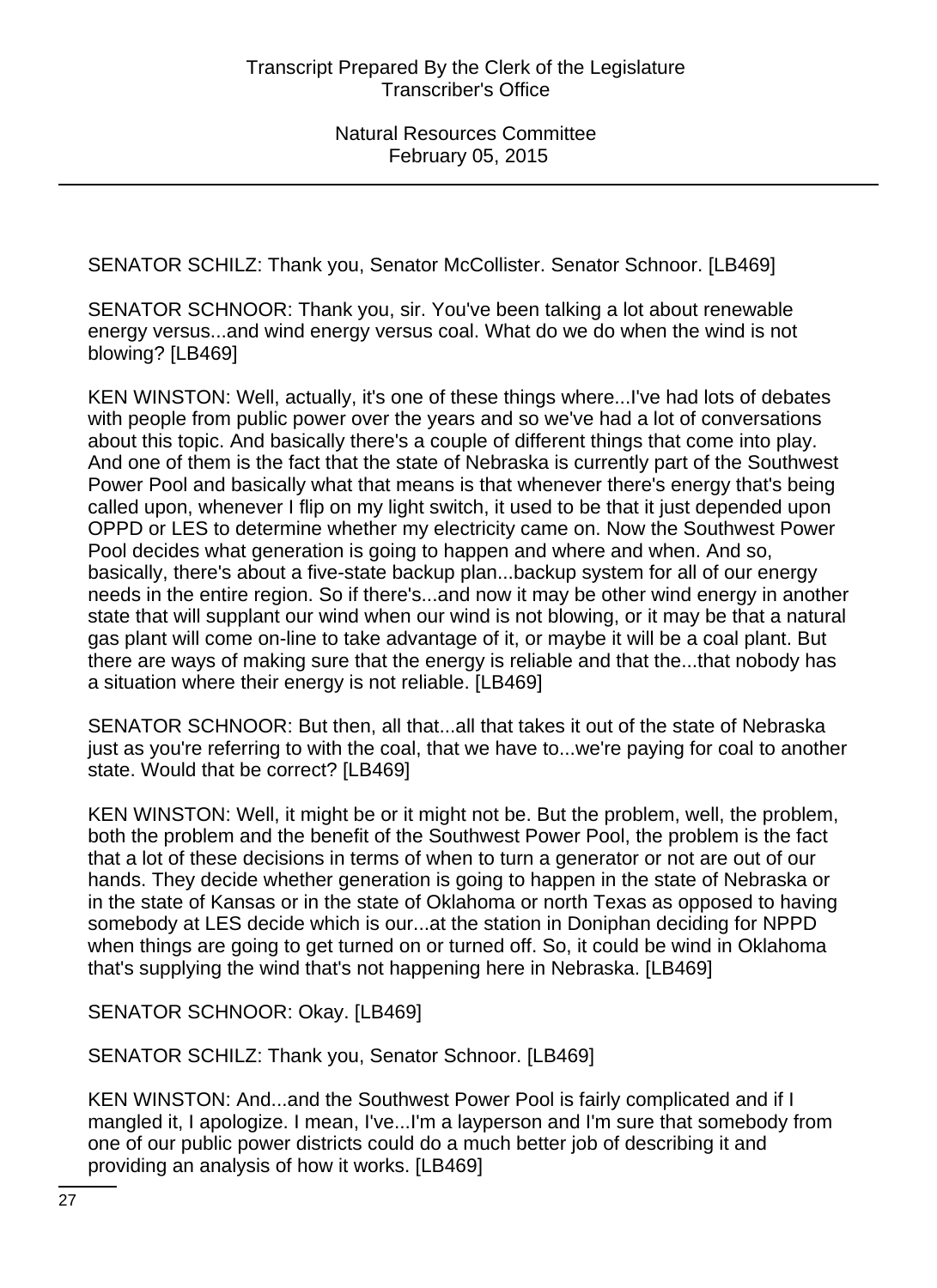SENATOR SCHILZ: Thank you, Senator McCollister. Senator Schnoor. [LB469]

SENATOR SCHNOOR: Thank you, sir. You've been talking a lot about renewable energy versus...and wind energy versus coal. What do we do when the wind is not blowing? [LB469]

KEN WINSTON: Well, actually, it's one of these things where...I've had lots of debates with people from public power over the years and so we've had a lot of conversations about this topic. And basically there's a couple of different things that come into play. And one of them is the fact that the state of Nebraska is currently part of the Southwest Power Pool and basically what that means is that whenever there's energy that's being called upon, whenever I flip on my light switch, it used to be that it just depended upon OPPD or LES to determine whether my electricity came on. Now the Southwest Power Pool decides what generation is going to happen and where and when. And so, basically, there's about a five-state backup plan...backup system for all of our energy needs in the entire region. So if there's...and now it may be other wind energy in another state that will supplant our wind when our wind is not blowing, or it may be that a natural gas plant will come on-line to take advantage of it, or maybe it will be a coal plant. But there are ways of making sure that the energy is reliable and that the...that nobody has a situation where their energy is not reliable. [LB469]

SENATOR SCHNOOR: But then, all that...all that takes it out of the state of Nebraska just as you're referring to with the coal, that we have to...we're paying for coal to another state. Would that be correct? [LB469]

KEN WINSTON: Well, it might be or it might not be. But the problem, well, the problem, both the problem and the benefit of the Southwest Power Pool, the problem is the fact that a lot of these decisions in terms of when to turn a generator or not are out of our hands. They decide whether generation is going to happen in the state of Nebraska or in the state of Kansas or in the state of Oklahoma or north Texas as opposed to having somebody at LES decide which is our...at the station in Doniphan deciding for NPPD when things are going to get turned on or turned off. So, it could be wind in Oklahoma that's supplying the wind that's not happening here in Nebraska. [LB469]

SENATOR SCHNOOR: Okay. [LB469]

SENATOR SCHILZ: Thank you, Senator Schnoor. [LB469]

KEN WINSTON: And...and the Southwest Power Pool is fairly complicated and if I mangled it, I apologize. I mean, I've...I'm a layperson and I'm sure that somebody from one of our public power districts could do a much better job of describing it and providing an analysis of how it works. [LB469]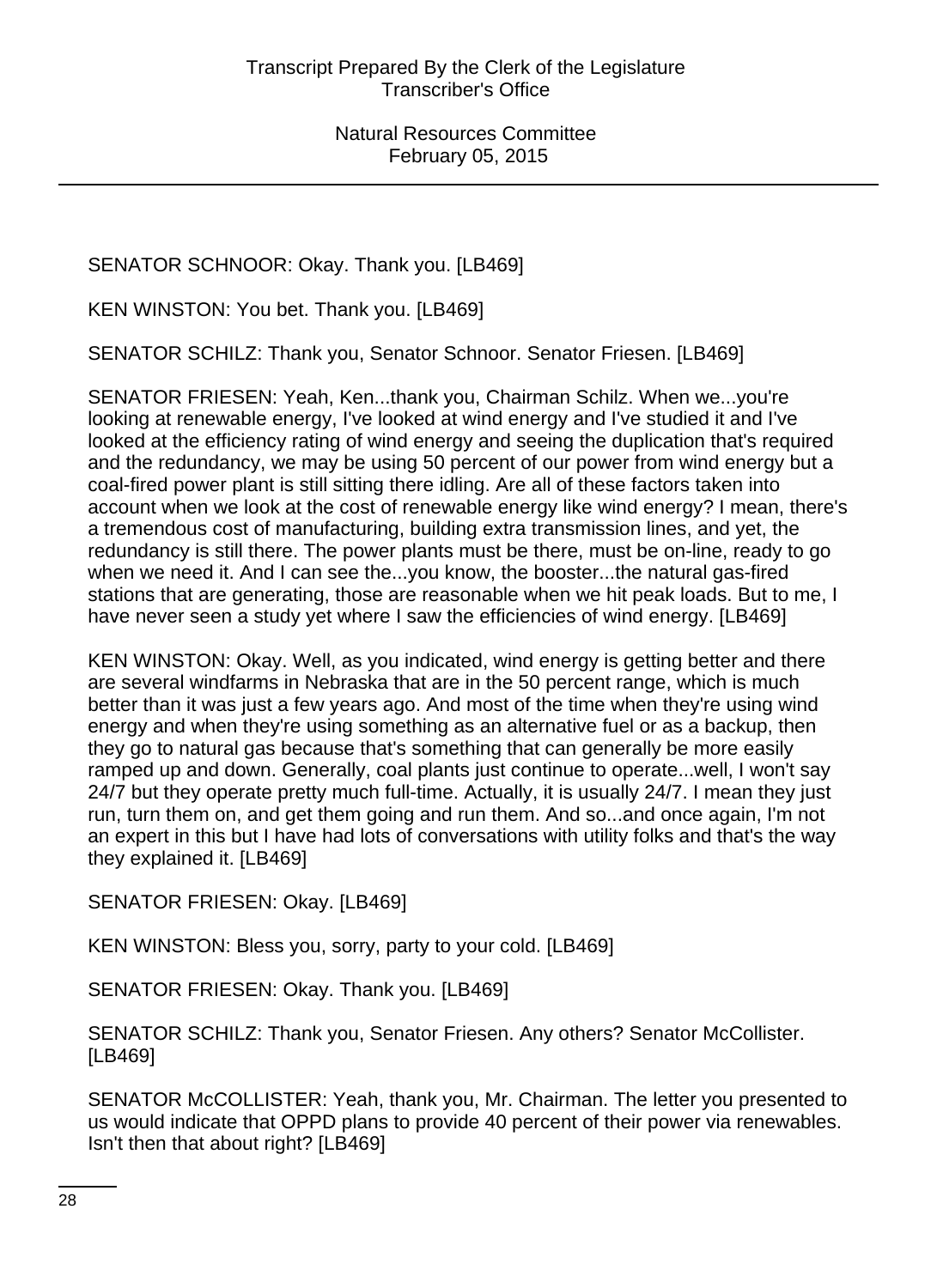SENATOR SCHNOOR: Okay. Thank you. [LB469]

KEN WINSTON: You bet. Thank you. [LB469]

SENATOR SCHILZ: Thank you, Senator Schnoor. Senator Friesen. [LB469]

SENATOR FRIESEN: Yeah, Ken...thank you, Chairman Schilz. When we...you're looking at renewable energy, I've looked at wind energy and I've studied it and I've looked at the efficiency rating of wind energy and seeing the duplication that's required and the redundancy, we may be using 50 percent of our power from wind energy but a coal-fired power plant is still sitting there idling. Are all of these factors taken into account when we look at the cost of renewable energy like wind energy? I mean, there's a tremendous cost of manufacturing, building extra transmission lines, and yet, the redundancy is still there. The power plants must be there, must be on-line, ready to go when we need it. And I can see the...you know, the booster...the natural gas-fired stations that are generating, those are reasonable when we hit peak loads. But to me, I have never seen a study yet where I saw the efficiencies of wind energy. [LB469]

KEN WINSTON: Okay. Well, as you indicated, wind energy is getting better and there are several windfarms in Nebraska that are in the 50 percent range, which is much better than it was just a few years ago. And most of the time when they're using wind energy and when they're using something as an alternative fuel or as a backup, then they go to natural gas because that's something that can generally be more easily ramped up and down. Generally, coal plants just continue to operate...well, I won't say 24/7 but they operate pretty much full-time. Actually, it is usually 24/7. I mean they just run, turn them on, and get them going and run them. And so...and once again, I'm not an expert in this but I have had lots of conversations with utility folks and that's the way they explained it. [LB469]

SENATOR FRIESEN: Okay. [LB469]

KEN WINSTON: Bless you, sorry, party to your cold. [LB469]

SENATOR FRIESEN: Okay. Thank you. [LB469]

SENATOR SCHILZ: Thank you, Senator Friesen. Any others? Senator McCollister. [LB469]

SENATOR McCOLLISTER: Yeah, thank you, Mr. Chairman. The letter you presented to us would indicate that OPPD plans to provide 40 percent of their power via renewables. Isn't then that about right? [LB469]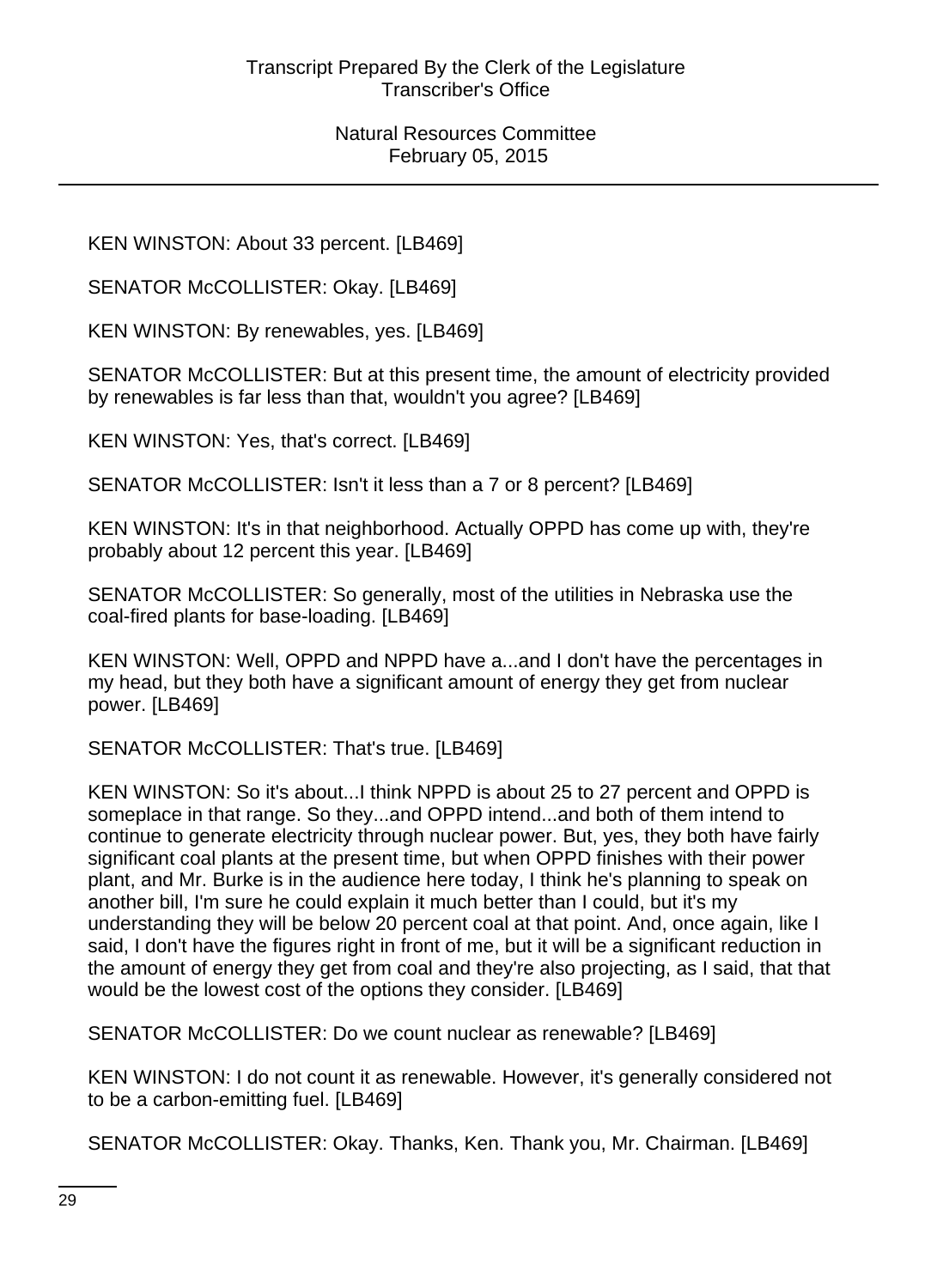KEN WINSTON: About 33 percent. [LB469]

SENATOR McCOLLISTER: Okay. [LB469]

KEN WINSTON: By renewables, yes. [LB469]

SENATOR McCOLLISTER: But at this present time, the amount of electricity provided by renewables is far less than that, wouldn't you agree? [LB469]

KEN WINSTON: Yes, that's correct. [LB469]

SENATOR McCOLLISTER: Isn't it less than a 7 or 8 percent? [LB469]

KEN WINSTON: It's in that neighborhood. Actually OPPD has come up with, they're probably about 12 percent this year. [LB469]

SENATOR McCOLLISTER: So generally, most of the utilities in Nebraska use the coal-fired plants for base-loading. [LB469]

KEN WINSTON: Well, OPPD and NPPD have a...and I don't have the percentages in my head, but they both have a significant amount of energy they get from nuclear power. [LB469]

SENATOR McCOLLISTER: That's true. [LB469]

KEN WINSTON: So it's about...I think NPPD is about 25 to 27 percent and OPPD is someplace in that range. So they...and OPPD intend...and both of them intend to continue to generate electricity through nuclear power. But, yes, they both have fairly significant coal plants at the present time, but when OPPD finishes with their power plant, and Mr. Burke is in the audience here today, I think he's planning to speak on another bill, I'm sure he could explain it much better than I could, but it's my understanding they will be below 20 percent coal at that point. And, once again, like I said, I don't have the figures right in front of me, but it will be a significant reduction in the amount of energy they get from coal and they're also projecting, as I said, that that would be the lowest cost of the options they consider. [LB469]

SENATOR McCOLLISTER: Do we count nuclear as renewable? [LB469]

KEN WINSTON: I do not count it as renewable. However, it's generally considered not to be a carbon-emitting fuel. [LB469]

SENATOR McCOLLISTER: Okay. Thanks, Ken. Thank you, Mr. Chairman. [LB469]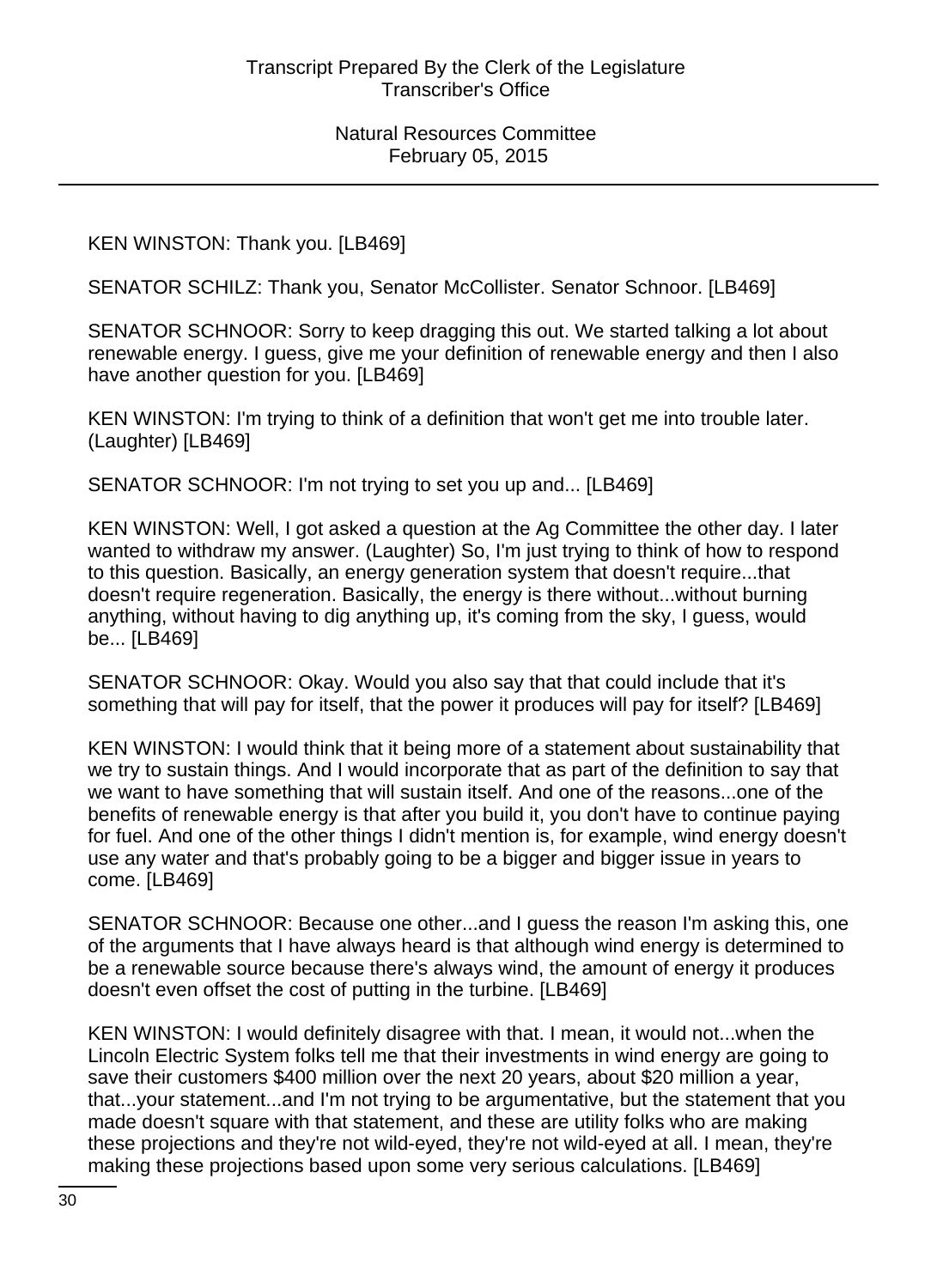KEN WINSTON: Thank you. [LB469]

SENATOR SCHILZ: Thank you, Senator McCollister. Senator Schnoor. [LB469]

SENATOR SCHNOOR: Sorry to keep dragging this out. We started talking a lot about renewable energy. I guess, give me your definition of renewable energy and then I also have another question for you. [LB469]

KEN WINSTON: I'm trying to think of a definition that won't get me into trouble later. (Laughter) [LB469]

SENATOR SCHNOOR: I'm not trying to set you up and... [LB469]

KEN WINSTON: Well, I got asked a question at the Ag Committee the other day. I later wanted to withdraw my answer. (Laughter) So, I'm just trying to think of how to respond to this question. Basically, an energy generation system that doesn't require...that doesn't require regeneration. Basically, the energy is there without...without burning anything, without having to dig anything up, it's coming from the sky, I guess, would be... [LB469]

SENATOR SCHNOOR: Okay. Would you also say that that could include that it's something that will pay for itself, that the power it produces will pay for itself? [LB469]

KEN WINSTON: I would think that it being more of a statement about sustainability that we try to sustain things. And I would incorporate that as part of the definition to say that we want to have something that will sustain itself. And one of the reasons...one of the benefits of renewable energy is that after you build it, you don't have to continue paying for fuel. And one of the other things I didn't mention is, for example, wind energy doesn't use any water and that's probably going to be a bigger and bigger issue in years to come. [LB469]

SENATOR SCHNOOR: Because one other...and I guess the reason I'm asking this, one of the arguments that I have always heard is that although wind energy is determined to be a renewable source because there's always wind, the amount of energy it produces doesn't even offset the cost of putting in the turbine. [LB469]

KEN WINSTON: I would definitely disagree with that. I mean, it would not...when the Lincoln Electric System folks tell me that their investments in wind energy are going to save their customers \$400 million over the next 20 years, about \$20 million a year, that...your statement...and I'm not trying to be argumentative, but the statement that you made doesn't square with that statement, and these are utility folks who are making these projections and they're not wild-eyed, they're not wild-eyed at all. I mean, they're making these projections based upon some very serious calculations. [LB469]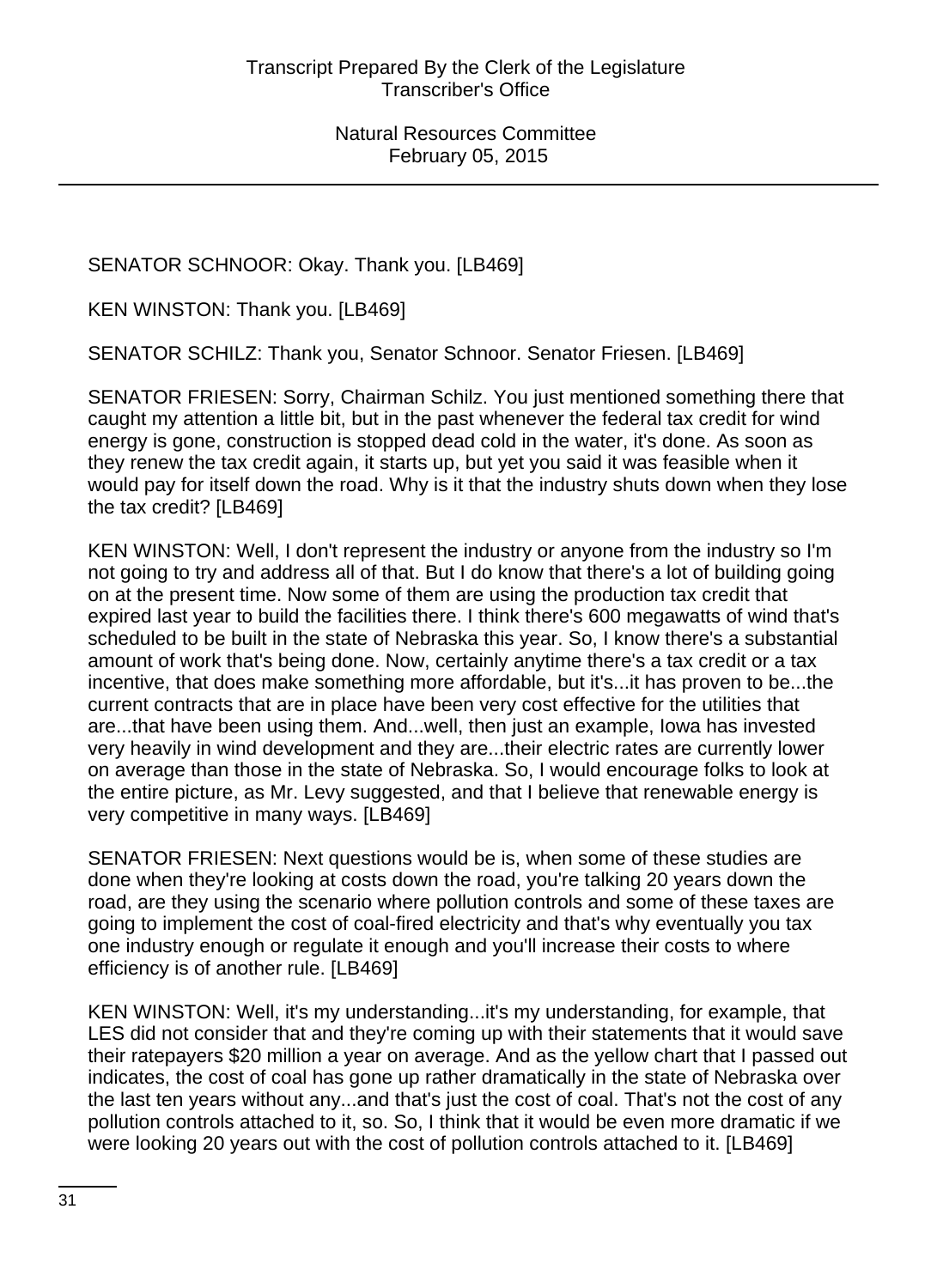SENATOR SCHNOOR: Okay. Thank you. [LB469]

KEN WINSTON: Thank you. [LB469]

SENATOR SCHILZ: Thank you, Senator Schnoor. Senator Friesen. [LB469]

SENATOR FRIESEN: Sorry, Chairman Schilz. You just mentioned something there that caught my attention a little bit, but in the past whenever the federal tax credit for wind energy is gone, construction is stopped dead cold in the water, it's done. As soon as they renew the tax credit again, it starts up, but yet you said it was feasible when it would pay for itself down the road. Why is it that the industry shuts down when they lose the tax credit? [LB469]

KEN WINSTON: Well, I don't represent the industry or anyone from the industry so I'm not going to try and address all of that. But I do know that there's a lot of building going on at the present time. Now some of them are using the production tax credit that expired last year to build the facilities there. I think there's 600 megawatts of wind that's scheduled to be built in the state of Nebraska this year. So, I know there's a substantial amount of work that's being done. Now, certainly anytime there's a tax credit or a tax incentive, that does make something more affordable, but it's...it has proven to be...the current contracts that are in place have been very cost effective for the utilities that are...that have been using them. And...well, then just an example, Iowa has invested very heavily in wind development and they are...their electric rates are currently lower on average than those in the state of Nebraska. So, I would encourage folks to look at the entire picture, as Mr. Levy suggested, and that I believe that renewable energy is very competitive in many ways. [LB469]

SENATOR FRIESEN: Next questions would be is, when some of these studies are done when they're looking at costs down the road, you're talking 20 years down the road, are they using the scenario where pollution controls and some of these taxes are going to implement the cost of coal-fired electricity and that's why eventually you tax one industry enough or regulate it enough and you'll increase their costs to where efficiency is of another rule. [LB469]

KEN WINSTON: Well, it's my understanding...it's my understanding, for example, that LES did not consider that and they're coming up with their statements that it would save their ratepayers \$20 million a year on average. And as the yellow chart that I passed out indicates, the cost of coal has gone up rather dramatically in the state of Nebraska over the last ten years without any...and that's just the cost of coal. That's not the cost of any pollution controls attached to it, so. So, I think that it would be even more dramatic if we were looking 20 years out with the cost of pollution controls attached to it. [LB469]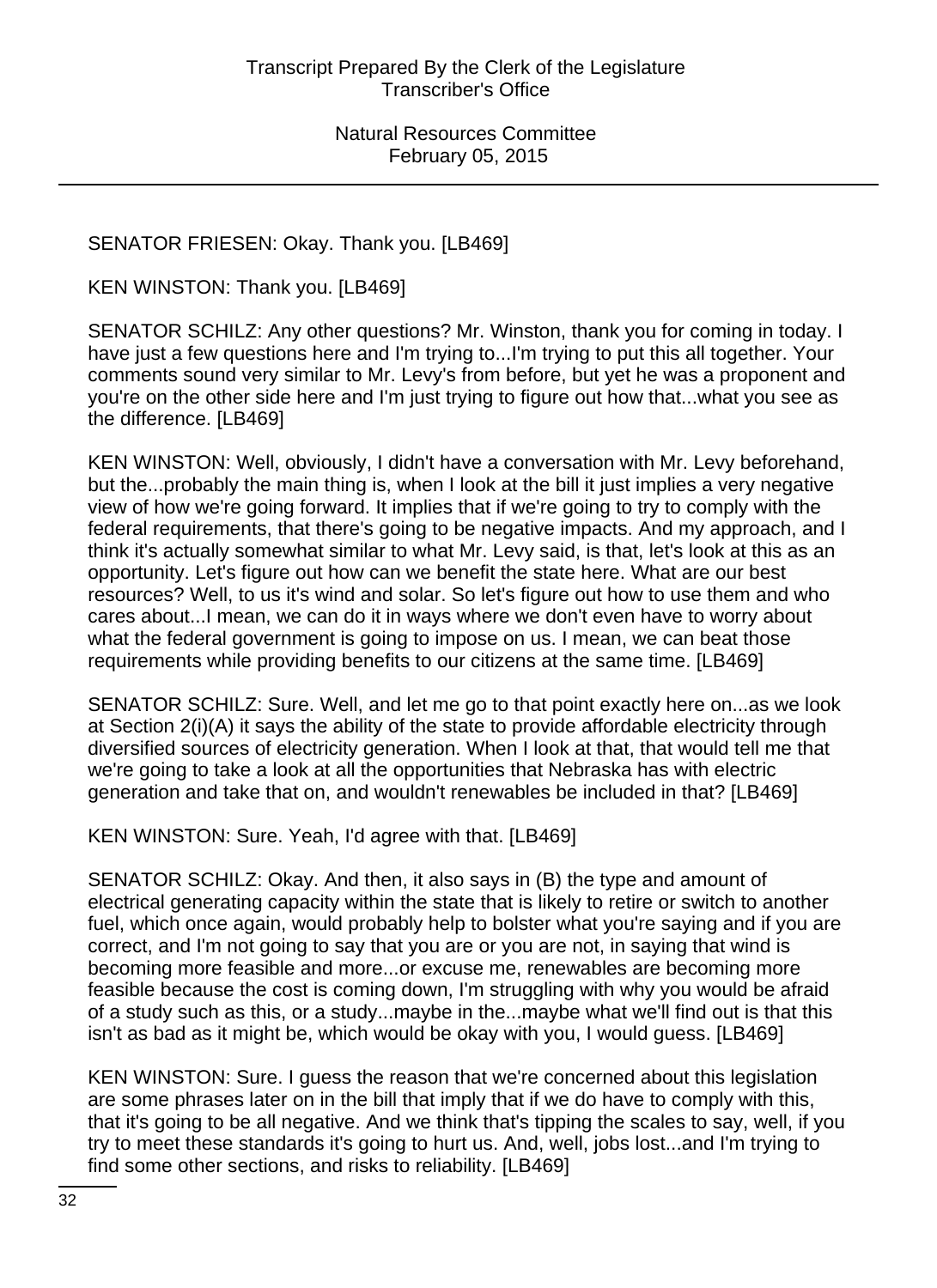# SENATOR FRIESEN: Okay. Thank you. [LB469]

KEN WINSTON: Thank you. [LB469]

SENATOR SCHILZ: Any other questions? Mr. Winston, thank you for coming in today. I have just a few questions here and I'm trying to...I'm trying to put this all together. Your comments sound very similar to Mr. Levy's from before, but yet he was a proponent and you're on the other side here and I'm just trying to figure out how that...what you see as the difference. [LB469]

KEN WINSTON: Well, obviously, I didn't have a conversation with Mr. Levy beforehand, but the...probably the main thing is, when I look at the bill it just implies a very negative view of how we're going forward. It implies that if we're going to try to comply with the federal requirements, that there's going to be negative impacts. And my approach, and I think it's actually somewhat similar to what Mr. Levy said, is that, let's look at this as an opportunity. Let's figure out how can we benefit the state here. What are our best resources? Well, to us it's wind and solar. So let's figure out how to use them and who cares about...I mean, we can do it in ways where we don't even have to worry about what the federal government is going to impose on us. I mean, we can beat those requirements while providing benefits to our citizens at the same time. [LB469]

SENATOR SCHILZ: Sure. Well, and let me go to that point exactly here on...as we look at Section 2(i)(A) it says the ability of the state to provide affordable electricity through diversified sources of electricity generation. When I look at that, that would tell me that we're going to take a look at all the opportunities that Nebraska has with electric generation and take that on, and wouldn't renewables be included in that? [LB469]

KEN WINSTON: Sure. Yeah, I'd agree with that. [LB469]

SENATOR SCHILZ: Okay. And then, it also says in (B) the type and amount of electrical generating capacity within the state that is likely to retire or switch to another fuel, which once again, would probably help to bolster what you're saying and if you are correct, and I'm not going to say that you are or you are not, in saying that wind is becoming more feasible and more...or excuse me, renewables are becoming more feasible because the cost is coming down, I'm struggling with why you would be afraid of a study such as this, or a study...maybe in the...maybe what we'll find out is that this isn't as bad as it might be, which would be okay with you, I would guess. [LB469]

KEN WINSTON: Sure. I guess the reason that we're concerned about this legislation are some phrases later on in the bill that imply that if we do have to comply with this, that it's going to be all negative. And we think that's tipping the scales to say, well, if you try to meet these standards it's going to hurt us. And, well, jobs lost...and I'm trying to find some other sections, and risks to reliability. [LB469]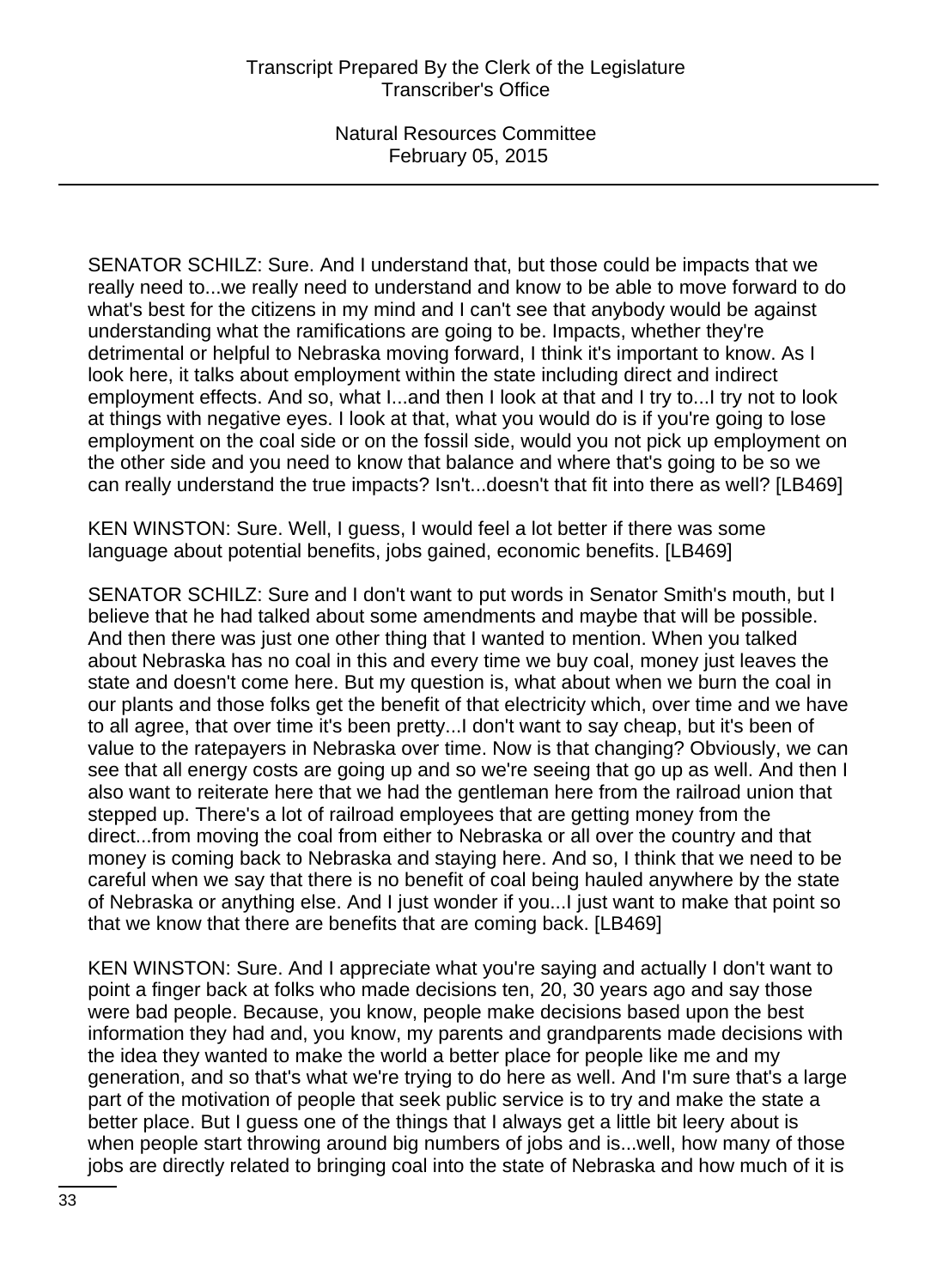SENATOR SCHILZ: Sure. And I understand that, but those could be impacts that we really need to...we really need to understand and know to be able to move forward to do what's best for the citizens in my mind and I can't see that anybody would be against understanding what the ramifications are going to be. Impacts, whether they're detrimental or helpful to Nebraska moving forward, I think it's important to know. As I look here, it talks about employment within the state including direct and indirect employment effects. And so, what I...and then I look at that and I try to...I try not to look at things with negative eyes. I look at that, what you would do is if you're going to lose employment on the coal side or on the fossil side, would you not pick up employment on the other side and you need to know that balance and where that's going to be so we can really understand the true impacts? Isn't...doesn't that fit into there as well? [LB469]

KEN WINSTON: Sure. Well, I guess, I would feel a lot better if there was some language about potential benefits, jobs gained, economic benefits. [LB469]

SENATOR SCHILZ: Sure and I don't want to put words in Senator Smith's mouth, but I believe that he had talked about some amendments and maybe that will be possible. And then there was just one other thing that I wanted to mention. When you talked about Nebraska has no coal in this and every time we buy coal, money just leaves the state and doesn't come here. But my question is, what about when we burn the coal in our plants and those folks get the benefit of that electricity which, over time and we have to all agree, that over time it's been pretty...I don't want to say cheap, but it's been of value to the ratepayers in Nebraska over time. Now is that changing? Obviously, we can see that all energy costs are going up and so we're seeing that go up as well. And then I also want to reiterate here that we had the gentleman here from the railroad union that stepped up. There's a lot of railroad employees that are getting money from the direct...from moving the coal from either to Nebraska or all over the country and that money is coming back to Nebraska and staying here. And so, I think that we need to be careful when we say that there is no benefit of coal being hauled anywhere by the state of Nebraska or anything else. And I just wonder if you...I just want to make that point so that we know that there are benefits that are coming back. [LB469]

KEN WINSTON: Sure. And I appreciate what you're saying and actually I don't want to point a finger back at folks who made decisions ten, 20, 30 years ago and say those were bad people. Because, you know, people make decisions based upon the best information they had and, you know, my parents and grandparents made decisions with the idea they wanted to make the world a better place for people like me and my generation, and so that's what we're trying to do here as well. And I'm sure that's a large part of the motivation of people that seek public service is to try and make the state a better place. But I guess one of the things that I always get a little bit leery about is when people start throwing around big numbers of jobs and is...well, how many of those jobs are directly related to bringing coal into the state of Nebraska and how much of it is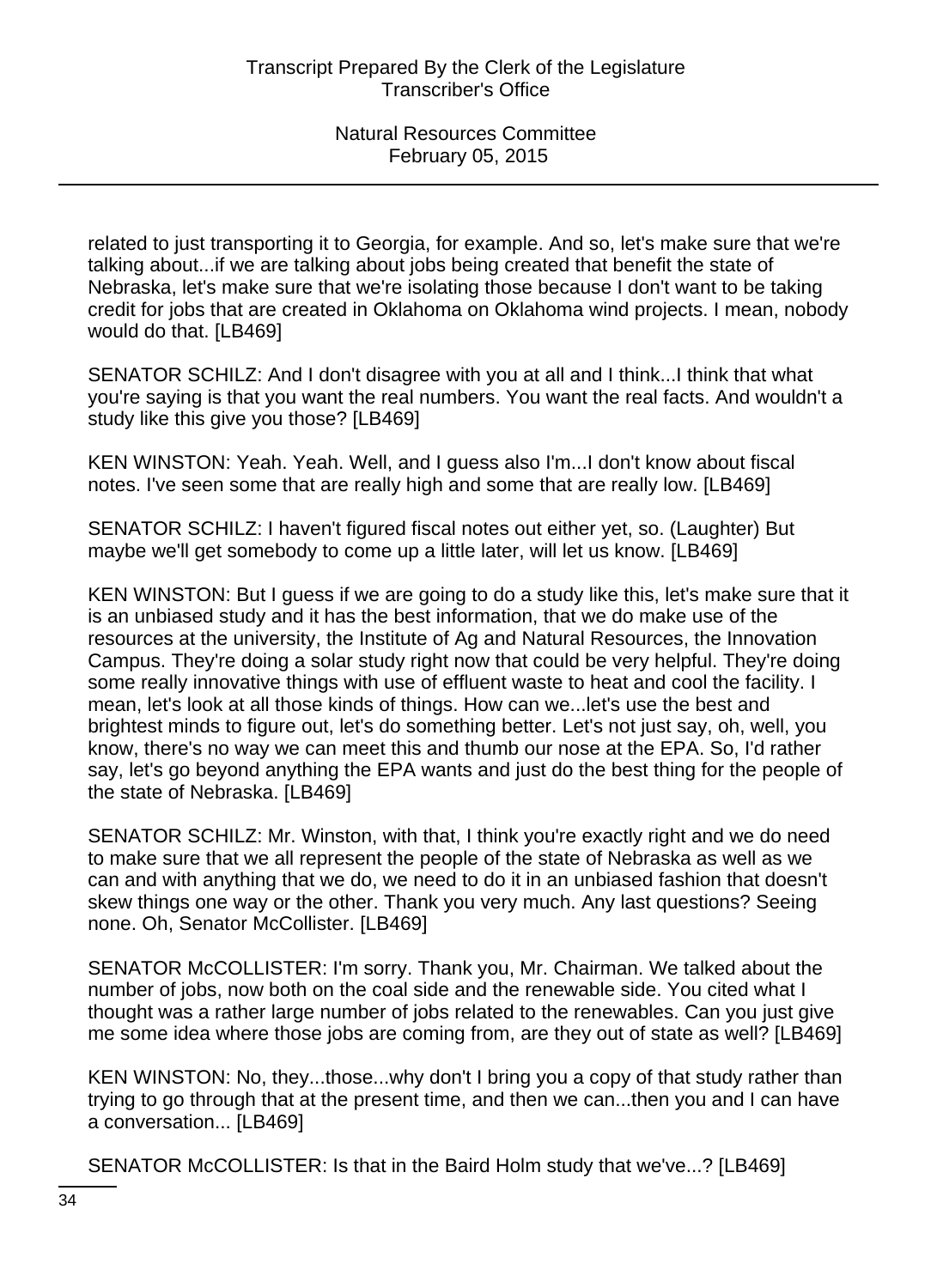related to just transporting it to Georgia, for example. And so, let's make sure that we're talking about...if we are talking about jobs being created that benefit the state of Nebraska, let's make sure that we're isolating those because I don't want to be taking credit for jobs that are created in Oklahoma on Oklahoma wind projects. I mean, nobody would do that. [LB469]

SENATOR SCHILZ: And I don't disagree with you at all and I think...I think that what you're saying is that you want the real numbers. You want the real facts. And wouldn't a study like this give you those? [LB469]

KEN WINSTON: Yeah. Yeah. Well, and I guess also I'm...I don't know about fiscal notes. I've seen some that are really high and some that are really low. [LB469]

SENATOR SCHILZ: I haven't figured fiscal notes out either yet, so. (Laughter) But maybe we'll get somebody to come up a little later, will let us know. [LB469]

KEN WINSTON: But I guess if we are going to do a study like this, let's make sure that it is an unbiased study and it has the best information, that we do make use of the resources at the university, the Institute of Ag and Natural Resources, the Innovation Campus. They're doing a solar study right now that could be very helpful. They're doing some really innovative things with use of effluent waste to heat and cool the facility. I mean, let's look at all those kinds of things. How can we...let's use the best and brightest minds to figure out, let's do something better. Let's not just say, oh, well, you know, there's no way we can meet this and thumb our nose at the EPA. So, I'd rather say, let's go beyond anything the EPA wants and just do the best thing for the people of the state of Nebraska. [LB469]

SENATOR SCHILZ: Mr. Winston, with that, I think you're exactly right and we do need to make sure that we all represent the people of the state of Nebraska as well as we can and with anything that we do, we need to do it in an unbiased fashion that doesn't skew things one way or the other. Thank you very much. Any last questions? Seeing none. Oh, Senator McCollister. [LB469]

SENATOR McCOLLISTER: I'm sorry. Thank you, Mr. Chairman. We talked about the number of jobs, now both on the coal side and the renewable side. You cited what I thought was a rather large number of jobs related to the renewables. Can you just give me some idea where those jobs are coming from, are they out of state as well? [LB469]

KEN WINSTON: No, they...those...why don't I bring you a copy of that study rather than trying to go through that at the present time, and then we can...then you and I can have a conversation... [LB469]

SENATOR McCOLLISTER: Is that in the Baird Holm study that we've...? [LB469]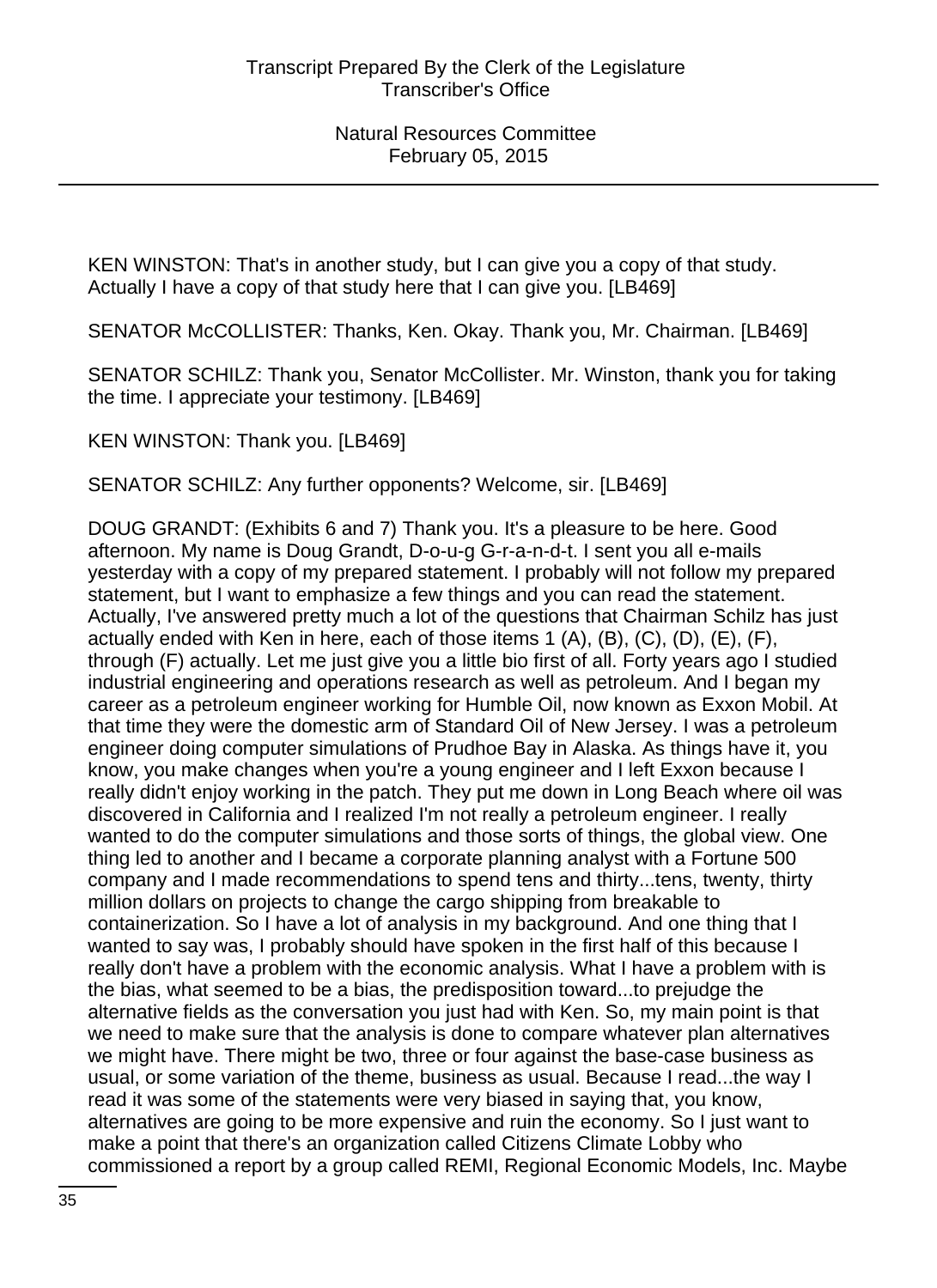KEN WINSTON: That's in another study, but I can give you a copy of that study. Actually I have a copy of that study here that I can give you. [LB469]

SENATOR McCOLLISTER: Thanks, Ken. Okay. Thank you, Mr. Chairman. [LB469]

SENATOR SCHILZ: Thank you, Senator McCollister. Mr. Winston, thank you for taking the time. I appreciate your testimony. [LB469]

KEN WINSTON: Thank you. [LB469]

SENATOR SCHILZ: Any further opponents? Welcome, sir. [LB469]

DOUG GRANDT: (Exhibits 6 and 7) Thank you. It's a pleasure to be here. Good afternoon. My name is Doug Grandt, D-o-u-g G-r-a-n-d-t. I sent you all e-mails yesterday with a copy of my prepared statement. I probably will not follow my prepared statement, but I want to emphasize a few things and you can read the statement. Actually, I've answered pretty much a lot of the questions that Chairman Schilz has just actually ended with Ken in here, each of those items 1 (A), (B), (C), (D), (E), (F), through (F) actually. Let me just give you a little bio first of all. Forty years ago I studied industrial engineering and operations research as well as petroleum. And I began my career as a petroleum engineer working for Humble Oil, now known as Exxon Mobil. At that time they were the domestic arm of Standard Oil of New Jersey. I was a petroleum engineer doing computer simulations of Prudhoe Bay in Alaska. As things have it, you know, you make changes when you're a young engineer and I left Exxon because I really didn't enjoy working in the patch. They put me down in Long Beach where oil was discovered in California and I realized I'm not really a petroleum engineer. I really wanted to do the computer simulations and those sorts of things, the global view. One thing led to another and I became a corporate planning analyst with a Fortune 500 company and I made recommendations to spend tens and thirty...tens, twenty, thirty million dollars on projects to change the cargo shipping from breakable to containerization. So I have a lot of analysis in my background. And one thing that I wanted to say was, I probably should have spoken in the first half of this because I really don't have a problem with the economic analysis. What I have a problem with is the bias, what seemed to be a bias, the predisposition toward...to prejudge the alternative fields as the conversation you just had with Ken. So, my main point is that we need to make sure that the analysis is done to compare whatever plan alternatives we might have. There might be two, three or four against the base-case business as usual, or some variation of the theme, business as usual. Because I read...the way I read it was some of the statements were very biased in saying that, you know, alternatives are going to be more expensive and ruin the economy. So I just want to make a point that there's an organization called Citizens Climate Lobby who commissioned a report by a group called REMI, Regional Economic Models, Inc. Maybe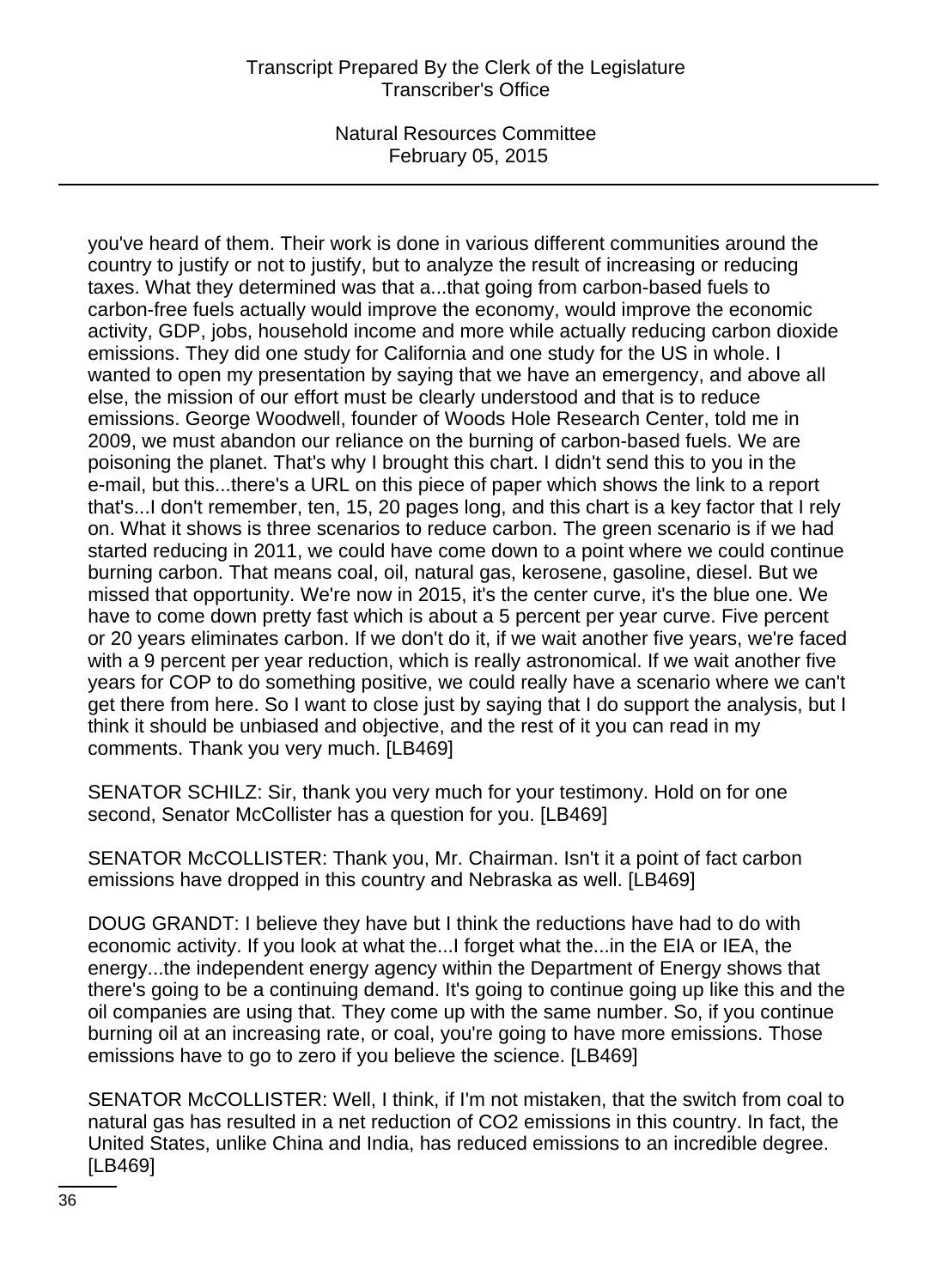# Transcript Prepared By the Clerk of the Legislature Transcriber's Office

Natural Resources Committee February 05, 2015

you've heard of them. Their work is done in various different communities around the country to justify or not to justify, but to analyze the result of increasing or reducing taxes. What they determined was that a...that going from carbon-based fuels to carbon-free fuels actually would improve the economy, would improve the economic activity, GDP, jobs, household income and more while actually reducing carbon dioxide emissions. They did one study for California and one study for the US in whole. I wanted to open my presentation by saying that we have an emergency, and above all else, the mission of our effort must be clearly understood and that is to reduce emissions. George Woodwell, founder of Woods Hole Research Center, told me in 2009, we must abandon our reliance on the burning of carbon-based fuels. We are poisoning the planet. That's why I brought this chart. I didn't send this to you in the e-mail, but this...there's a URL on this piece of paper which shows the link to a report that's...I don't remember, ten, 15, 20 pages long, and this chart is a key factor that I rely on. What it shows is three scenarios to reduce carbon. The green scenario is if we had started reducing in 2011, we could have come down to a point where we could continue burning carbon. That means coal, oil, natural gas, kerosene, gasoline, diesel. But we missed that opportunity. We're now in 2015, it's the center curve, it's the blue one. We have to come down pretty fast which is about a 5 percent per year curve. Five percent or 20 years eliminates carbon. If we don't do it, if we wait another five years, we're faced with a 9 percent per year reduction, which is really astronomical. If we wait another five years for COP to do something positive, we could really have a scenario where we can't get there from here. So I want to close just by saying that I do support the analysis, but I think it should be unbiased and objective, and the rest of it you can read in my comments. Thank you very much. [LB469]

SENATOR SCHILZ: Sir, thank you very much for your testimony. Hold on for one second, Senator McCollister has a question for you. [LB469]

SENATOR McCOLLISTER: Thank you, Mr. Chairman. Isn't it a point of fact carbon emissions have dropped in this country and Nebraska as well. [LB469]

DOUG GRANDT: I believe they have but I think the reductions have had to do with economic activity. If you look at what the...I forget what the...in the EIA or IEA, the energy...the independent energy agency within the Department of Energy shows that there's going to be a continuing demand. It's going to continue going up like this and the oil companies are using that. They come up with the same number. So, if you continue burning oil at an increasing rate, or coal, you're going to have more emissions. Those emissions have to go to zero if you believe the science. [LB469]

SENATOR McCOLLISTER: Well, I think, if I'm not mistaken, that the switch from coal to natural gas has resulted in a net reduction of CO2 emissions in this country. In fact, the United States, unlike China and India, has reduced emissions to an incredible degree. [LB469]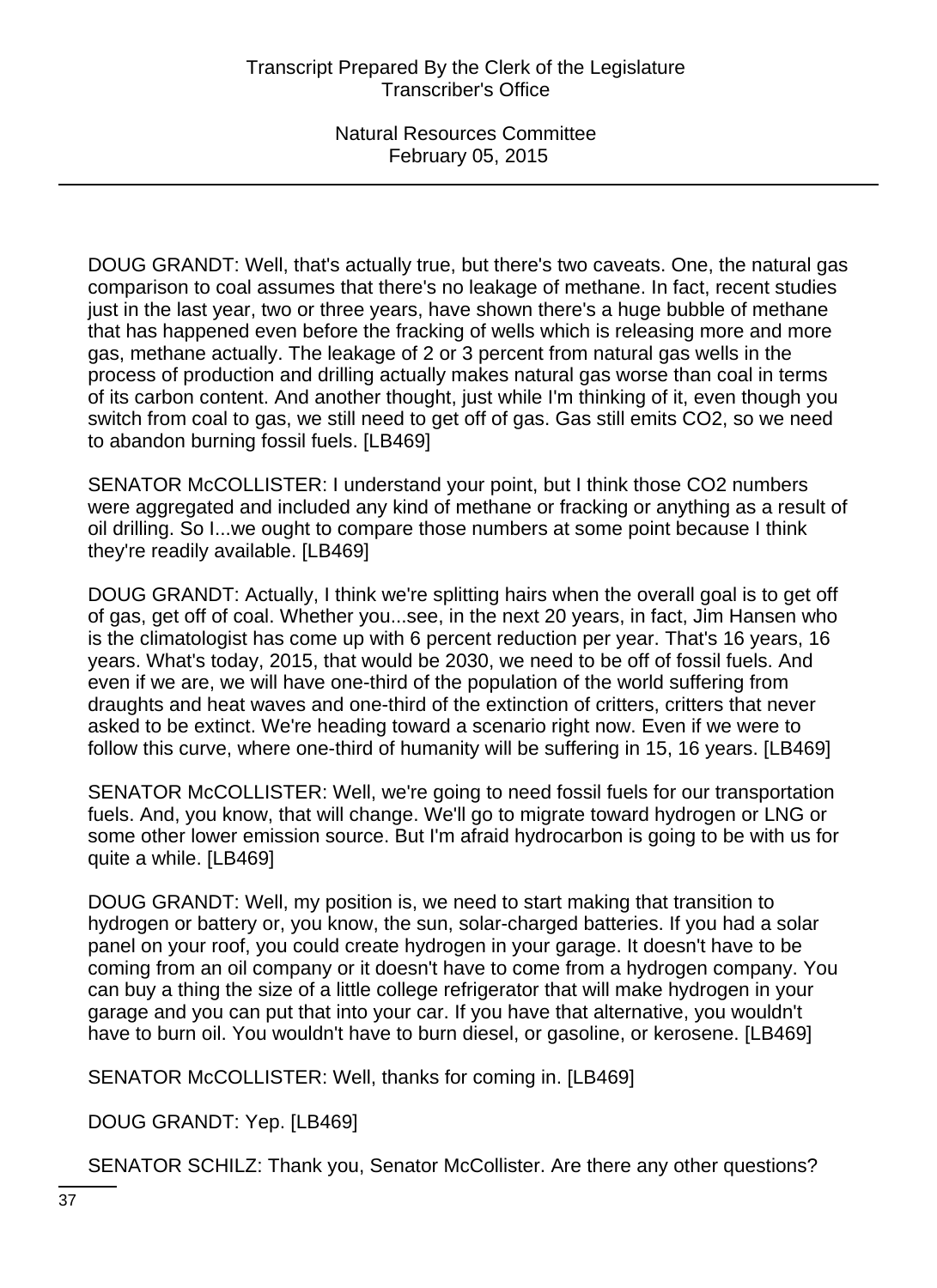DOUG GRANDT: Well, that's actually true, but there's two caveats. One, the natural gas comparison to coal assumes that there's no leakage of methane. In fact, recent studies just in the last year, two or three years, have shown there's a huge bubble of methane that has happened even before the fracking of wells which is releasing more and more gas, methane actually. The leakage of 2 or 3 percent from natural gas wells in the process of production and drilling actually makes natural gas worse than coal in terms of its carbon content. And another thought, just while I'm thinking of it, even though you switch from coal to gas, we still need to get off of gas. Gas still emits CO2, so we need to abandon burning fossil fuels. [LB469]

SENATOR McCOLLISTER: I understand your point, but I think those CO2 numbers were aggregated and included any kind of methane or fracking or anything as a result of oil drilling. So I...we ought to compare those numbers at some point because I think they're readily available. [LB469]

DOUG GRANDT: Actually, I think we're splitting hairs when the overall goal is to get off of gas, get off of coal. Whether you...see, in the next 20 years, in fact, Jim Hansen who is the climatologist has come up with 6 percent reduction per year. That's 16 years, 16 years. What's today, 2015, that would be 2030, we need to be off of fossil fuels. And even if we are, we will have one-third of the population of the world suffering from draughts and heat waves and one-third of the extinction of critters, critters that never asked to be extinct. We're heading toward a scenario right now. Even if we were to follow this curve, where one-third of humanity will be suffering in 15, 16 years. [LB469]

SENATOR McCOLLISTER: Well, we're going to need fossil fuels for our transportation fuels. And, you know, that will change. We'll go to migrate toward hydrogen or LNG or some other lower emission source. But I'm afraid hydrocarbon is going to be with us for quite a while. [LB469]

DOUG GRANDT: Well, my position is, we need to start making that transition to hydrogen or battery or, you know, the sun, solar-charged batteries. If you had a solar panel on your roof, you could create hydrogen in your garage. It doesn't have to be coming from an oil company or it doesn't have to come from a hydrogen company. You can buy a thing the size of a little college refrigerator that will make hydrogen in your garage and you can put that into your car. If you have that alternative, you wouldn't have to burn oil. You wouldn't have to burn diesel, or gasoline, or kerosene. [LB469]

SENATOR McCOLLISTER: Well, thanks for coming in. [LB469]

DOUG GRANDT: Yep. [LB469]

SENATOR SCHILZ: Thank you, Senator McCollister. Are there any other questions?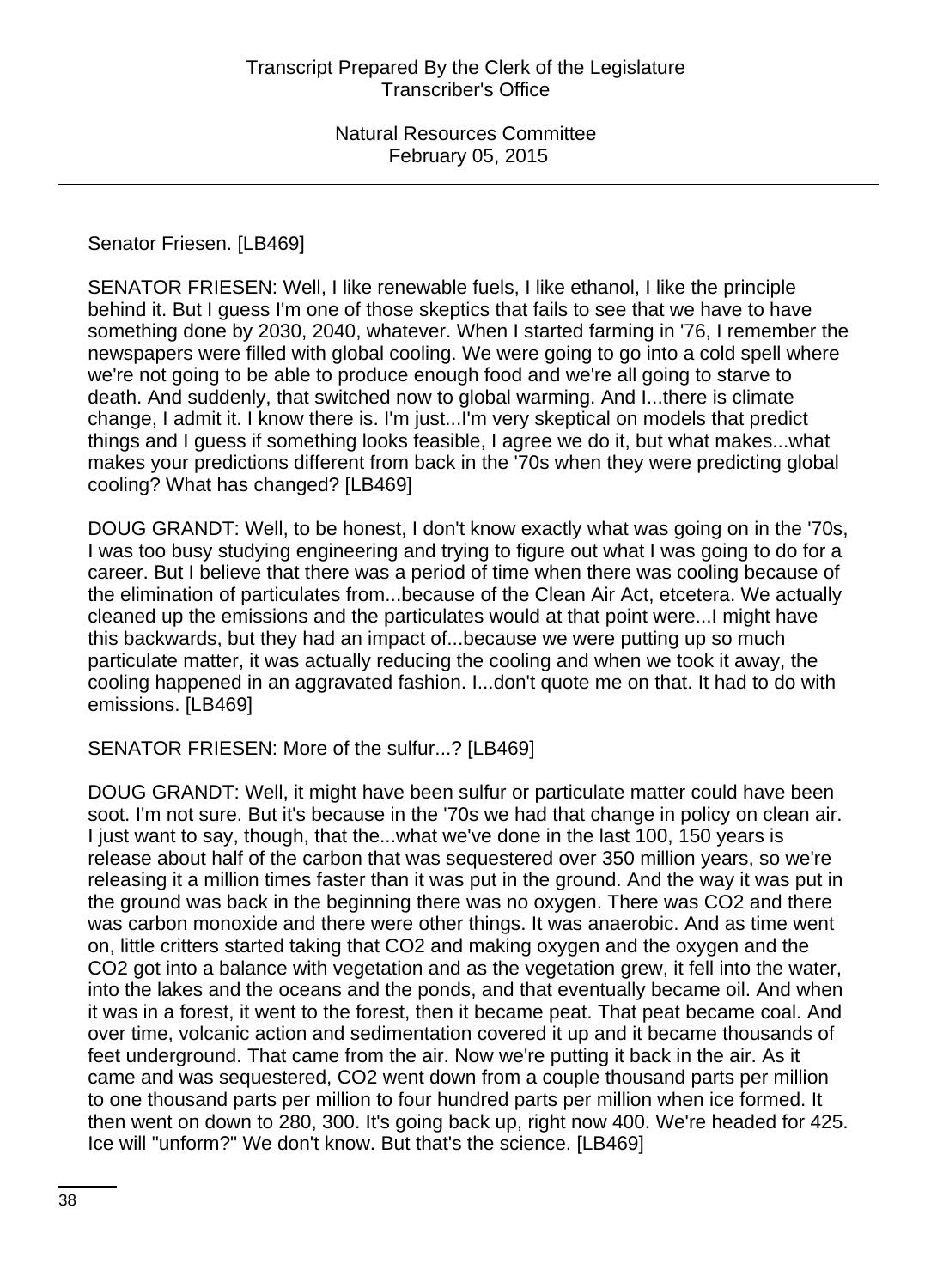Senator Friesen. [LB469]

SENATOR FRIESEN: Well, I like renewable fuels, I like ethanol, I like the principle behind it. But I guess I'm one of those skeptics that fails to see that we have to have something done by 2030, 2040, whatever. When I started farming in '76, I remember the newspapers were filled with global cooling. We were going to go into a cold spell where we're not going to be able to produce enough food and we're all going to starve to death. And suddenly, that switched now to global warming. And I...there is climate change, I admit it. I know there is. I'm just...I'm very skeptical on models that predict things and I guess if something looks feasible, I agree we do it, but what makes...what makes your predictions different from back in the '70s when they were predicting global cooling? What has changed? [LB469]

DOUG GRANDT: Well, to be honest, I don't know exactly what was going on in the '70s, I was too busy studying engineering and trying to figure out what I was going to do for a career. But I believe that there was a period of time when there was cooling because of the elimination of particulates from...because of the Clean Air Act, etcetera. We actually cleaned up the emissions and the particulates would at that point were...I might have this backwards, but they had an impact of...because we were putting up so much particulate matter, it was actually reducing the cooling and when we took it away, the cooling happened in an aggravated fashion. I...don't quote me on that. It had to do with emissions. [LB469]

SENATOR FRIESEN: More of the sulfur...? [LB469]

DOUG GRANDT: Well, it might have been sulfur or particulate matter could have been soot. I'm not sure. But it's because in the '70s we had that change in policy on clean air. I just want to say, though, that the...what we've done in the last 100, 150 years is release about half of the carbon that was sequestered over 350 million years, so we're releasing it a million times faster than it was put in the ground. And the way it was put in the ground was back in the beginning there was no oxygen. There was CO2 and there was carbon monoxide and there were other things. It was anaerobic. And as time went on, little critters started taking that CO2 and making oxygen and the oxygen and the CO2 got into a balance with vegetation and as the vegetation grew, it fell into the water, into the lakes and the oceans and the ponds, and that eventually became oil. And when it was in a forest, it went to the forest, then it became peat. That peat became coal. And over time, volcanic action and sedimentation covered it up and it became thousands of feet underground. That came from the air. Now we're putting it back in the air. As it came and was sequestered, CO2 went down from a couple thousand parts per million to one thousand parts per million to four hundred parts per million when ice formed. It then went on down to 280, 300. It's going back up, right now 400. We're headed for 425. Ice will "unform?" We don't know. But that's the science. [LB469]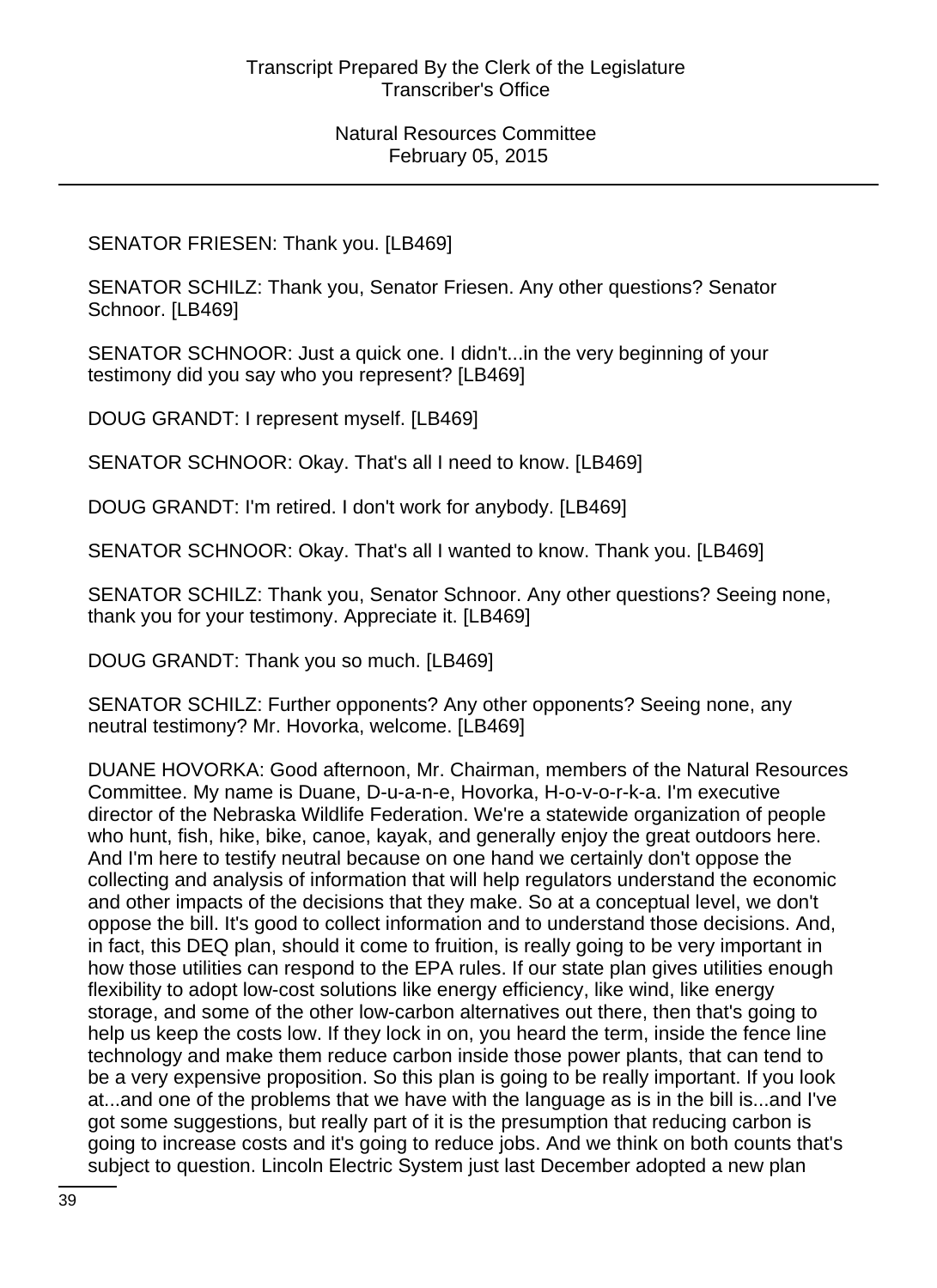# SENATOR FRIESEN: Thank you. [LB469]

SENATOR SCHILZ: Thank you, Senator Friesen. Any other questions? Senator Schnoor. [LB469]

SENATOR SCHNOOR: Just a quick one. I didn't...in the very beginning of your testimony did you say who you represent? [LB469]

DOUG GRANDT: I represent myself. [LB469]

SENATOR SCHNOOR: Okay. That's all I need to know. [LB469]

DOUG GRANDT: I'm retired. I don't work for anybody. [LB469]

SENATOR SCHNOOR: Okay. That's all I wanted to know. Thank you. [LB469]

SENATOR SCHILZ: Thank you, Senator Schnoor. Any other questions? Seeing none, thank you for your testimony. Appreciate it. [LB469]

DOUG GRANDT: Thank you so much. [LB469]

SENATOR SCHILZ: Further opponents? Any other opponents? Seeing none, any neutral testimony? Mr. Hovorka, welcome. [LB469]

DUANE HOVORKA: Good afternoon, Mr. Chairman, members of the Natural Resources Committee. My name is Duane, D-u-a-n-e, Hovorka, H-o-v-o-r-k-a. I'm executive director of the Nebraska Wildlife Federation. We're a statewide organization of people who hunt, fish, hike, bike, canoe, kayak, and generally enjoy the great outdoors here. And I'm here to testify neutral because on one hand we certainly don't oppose the collecting and analysis of information that will help regulators understand the economic and other impacts of the decisions that they make. So at a conceptual level, we don't oppose the bill. It's good to collect information and to understand those decisions. And, in fact, this DEQ plan, should it come to fruition, is really going to be very important in how those utilities can respond to the EPA rules. If our state plan gives utilities enough flexibility to adopt low-cost solutions like energy efficiency, like wind, like energy storage, and some of the other low-carbon alternatives out there, then that's going to help us keep the costs low. If they lock in on, you heard the term, inside the fence line technology and make them reduce carbon inside those power plants, that can tend to be a very expensive proposition. So this plan is going to be really important. If you look at...and one of the problems that we have with the language as is in the bill is...and I've got some suggestions, but really part of it is the presumption that reducing carbon is going to increase costs and it's going to reduce jobs. And we think on both counts that's subject to question. Lincoln Electric System just last December adopted a new plan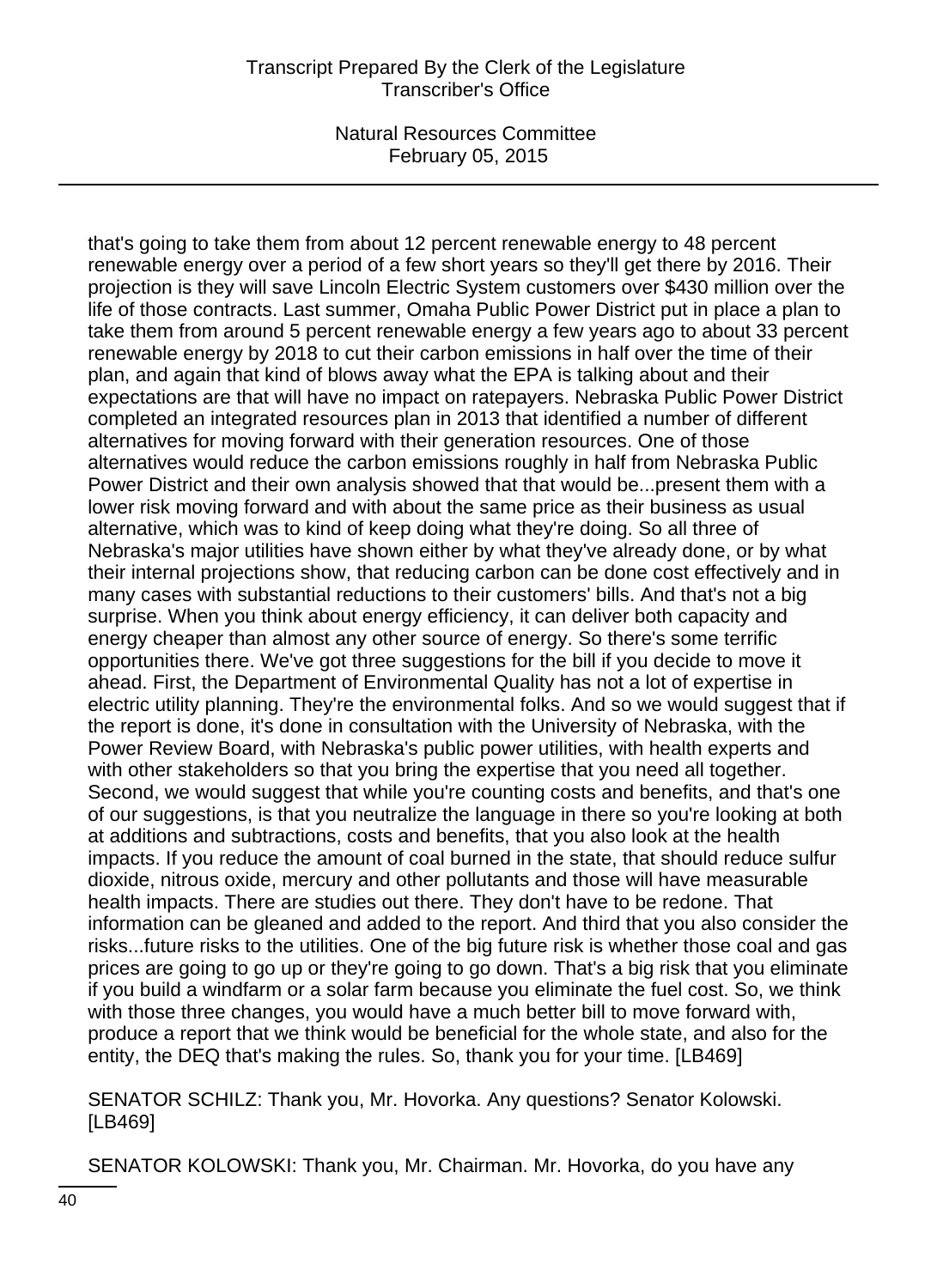that's going to take them from about 12 percent renewable energy to 48 percent renewable energy over a period of a few short years so they'll get there by 2016. Their projection is they will save Lincoln Electric System customers over \$430 million over the life of those contracts. Last summer, Omaha Public Power District put in place a plan to take them from around 5 percent renewable energy a few years ago to about 33 percent renewable energy by 2018 to cut their carbon emissions in half over the time of their plan, and again that kind of blows away what the EPA is talking about and their expectations are that will have no impact on ratepayers. Nebraska Public Power District completed an integrated resources plan in 2013 that identified a number of different alternatives for moving forward with their generation resources. One of those alternatives would reduce the carbon emissions roughly in half from Nebraska Public Power District and their own analysis showed that that would be...present them with a lower risk moving forward and with about the same price as their business as usual alternative, which was to kind of keep doing what they're doing. So all three of Nebraska's major utilities have shown either by what they've already done, or by what their internal projections show, that reducing carbon can be done cost effectively and in many cases with substantial reductions to their customers' bills. And that's not a big surprise. When you think about energy efficiency, it can deliver both capacity and energy cheaper than almost any other source of energy. So there's some terrific opportunities there. We've got three suggestions for the bill if you decide to move it ahead. First, the Department of Environmental Quality has not a lot of expertise in electric utility planning. They're the environmental folks. And so we would suggest that if the report is done, it's done in consultation with the University of Nebraska, with the Power Review Board, with Nebraska's public power utilities, with health experts and with other stakeholders so that you bring the expertise that you need all together. Second, we would suggest that while you're counting costs and benefits, and that's one of our suggestions, is that you neutralize the language in there so you're looking at both at additions and subtractions, costs and benefits, that you also look at the health impacts. If you reduce the amount of coal burned in the state, that should reduce sulfur dioxide, nitrous oxide, mercury and other pollutants and those will have measurable health impacts. There are studies out there. They don't have to be redone. That information can be gleaned and added to the report. And third that you also consider the risks...future risks to the utilities. One of the big future risk is whether those coal and gas prices are going to go up or they're going to go down. That's a big risk that you eliminate if you build a windfarm or a solar farm because you eliminate the fuel cost. So, we think with those three changes, you would have a much better bill to move forward with, produce a report that we think would be beneficial for the whole state, and also for the entity, the DEQ that's making the rules. So, thank you for your time. [LB469]

SENATOR SCHILZ: Thank you, Mr. Hovorka. Any questions? Senator Kolowski. [LB469]

SENATOR KOLOWSKI: Thank you, Mr. Chairman. Mr. Hovorka, do you have any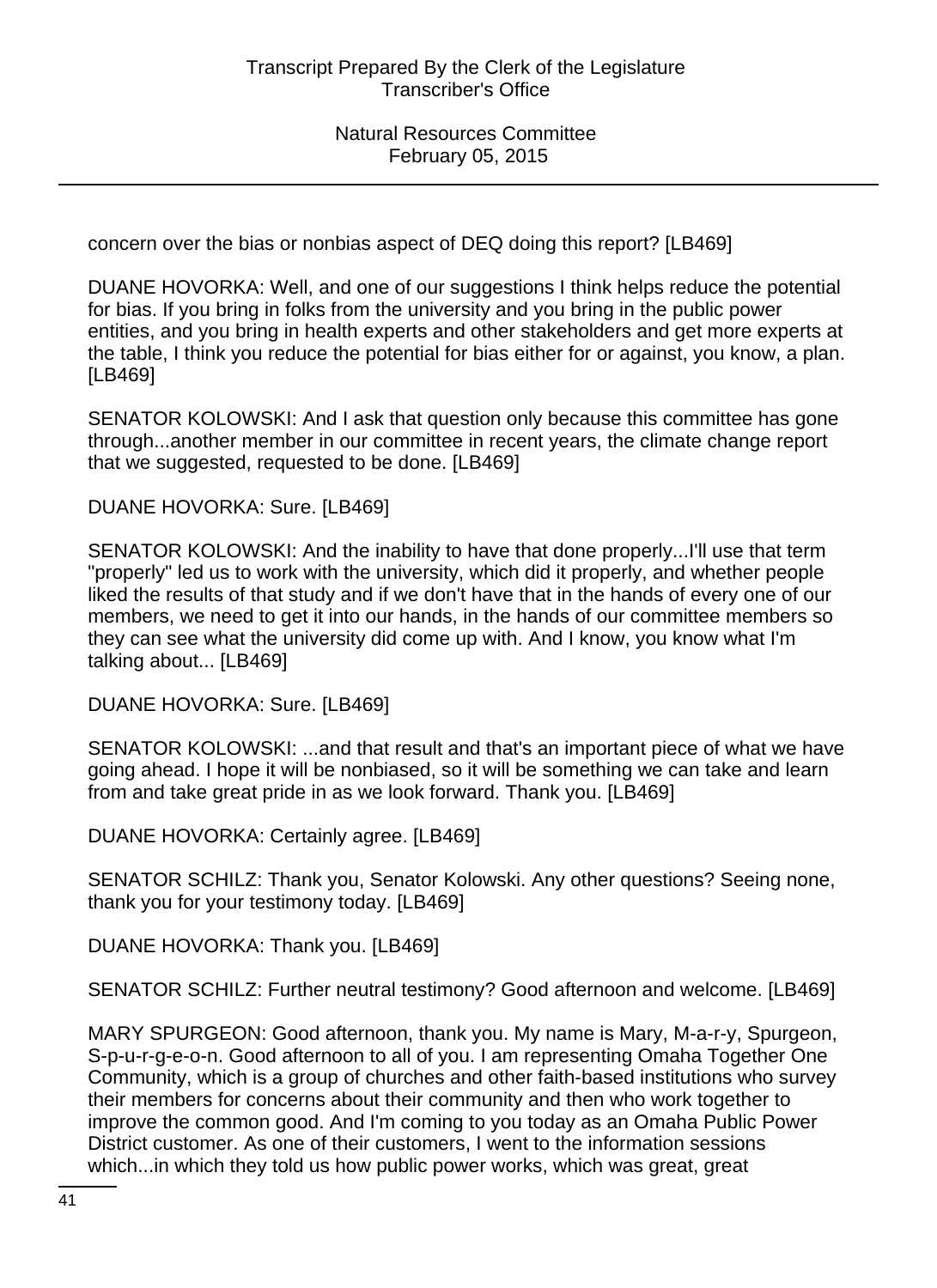concern over the bias or nonbias aspect of DEQ doing this report? [LB469]

DUANE HOVORKA: Well, and one of our suggestions I think helps reduce the potential for bias. If you bring in folks from the university and you bring in the public power entities, and you bring in health experts and other stakeholders and get more experts at the table, I think you reduce the potential for bias either for or against, you know, a plan. [LB469]

SENATOR KOLOWSKI: And I ask that question only because this committee has gone through...another member in our committee in recent years, the climate change report that we suggested, requested to be done. [LB469]

DUANE HOVORKA: Sure. [LB469]

SENATOR KOLOWSKI: And the inability to have that done properly...I'll use that term "properly" led us to work with the university, which did it properly, and whether people liked the results of that study and if we don't have that in the hands of every one of our members, we need to get it into our hands, in the hands of our committee members so they can see what the university did come up with. And I know, you know what I'm talking about... [LB469]

DUANE HOVORKA: Sure. [LB469]

SENATOR KOLOWSKI: ...and that result and that's an important piece of what we have going ahead. I hope it will be nonbiased, so it will be something we can take and learn from and take great pride in as we look forward. Thank you. [LB469]

DUANE HOVORKA: Certainly agree. [LB469]

SENATOR SCHILZ: Thank you, Senator Kolowski. Any other questions? Seeing none, thank you for your testimony today. [LB469]

DUANE HOVORKA: Thank you. [LB469]

SENATOR SCHILZ: Further neutral testimony? Good afternoon and welcome. [LB469]

MARY SPURGEON: Good afternoon, thank you. My name is Mary, M-a-r-y, Spurgeon, S-p-u-r-g-e-o-n. Good afternoon to all of you. I am representing Omaha Together One Community, which is a group of churches and other faith-based institutions who survey their members for concerns about their community and then who work together to improve the common good. And I'm coming to you today as an Omaha Public Power District customer. As one of their customers, I went to the information sessions which...in which they told us how public power works, which was great, great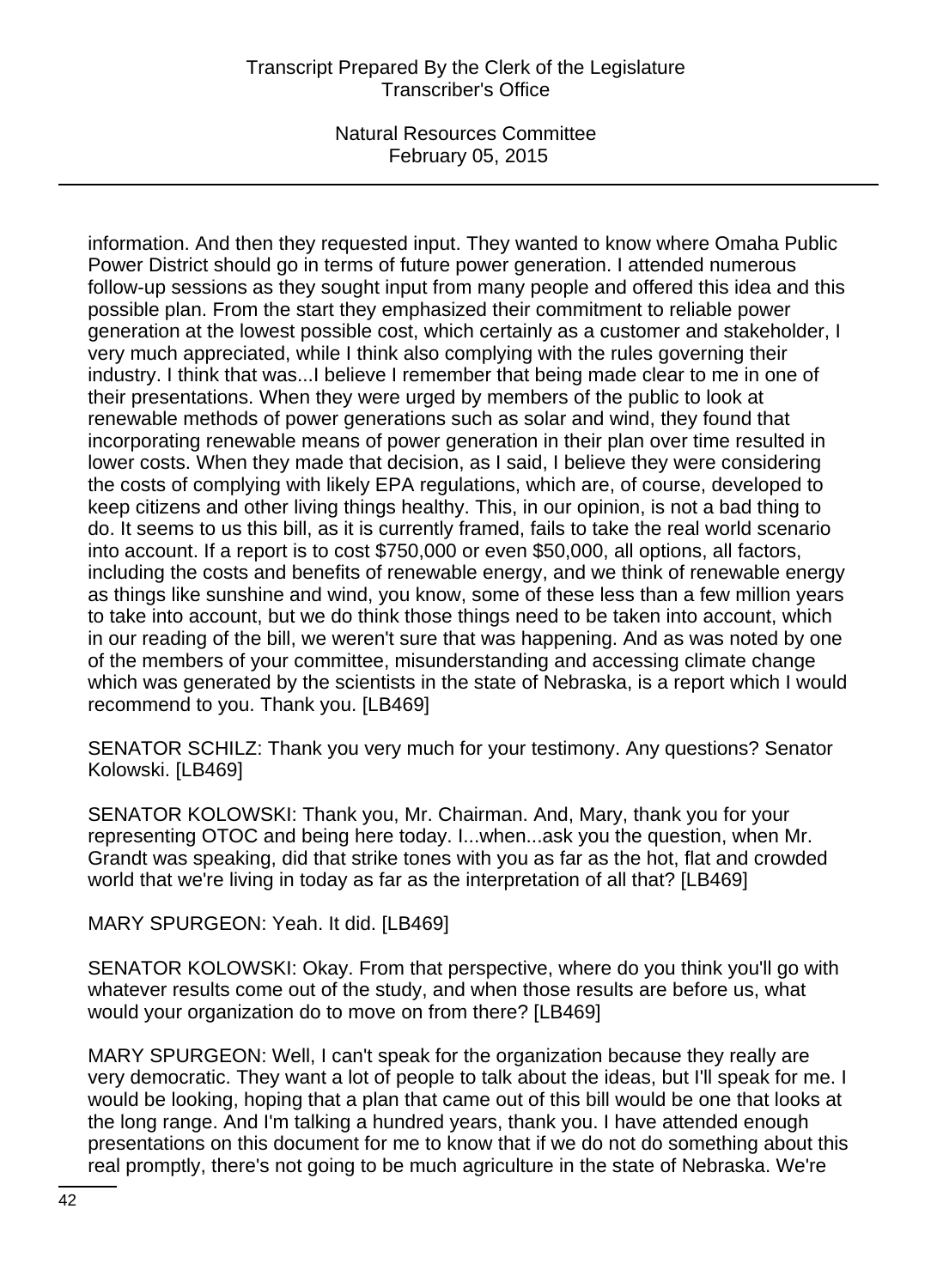information. And then they requested input. They wanted to know where Omaha Public Power District should go in terms of future power generation. I attended numerous follow-up sessions as they sought input from many people and offered this idea and this possible plan. From the start they emphasized their commitment to reliable power generation at the lowest possible cost, which certainly as a customer and stakeholder, I very much appreciated, while I think also complying with the rules governing their industry. I think that was...I believe I remember that being made clear to me in one of their presentations. When they were urged by members of the public to look at renewable methods of power generations such as solar and wind, they found that incorporating renewable means of power generation in their plan over time resulted in lower costs. When they made that decision, as I said, I believe they were considering the costs of complying with likely EPA regulations, which are, of course, developed to keep citizens and other living things healthy. This, in our opinion, is not a bad thing to do. It seems to us this bill, as it is currently framed, fails to take the real world scenario into account. If a report is to cost \$750,000 or even \$50,000, all options, all factors, including the costs and benefits of renewable energy, and we think of renewable energy as things like sunshine and wind, you know, some of these less than a few million years to take into account, but we do think those things need to be taken into account, which in our reading of the bill, we weren't sure that was happening. And as was noted by one of the members of your committee, misunderstanding and accessing climate change which was generated by the scientists in the state of Nebraska, is a report which I would recommend to you. Thank you. [LB469]

SENATOR SCHILZ: Thank you very much for your testimony. Any questions? Senator Kolowski. [LB469]

SENATOR KOLOWSKI: Thank you, Mr. Chairman. And, Mary, thank you for your representing OTOC and being here today. I...when...ask you the question, when Mr. Grandt was speaking, did that strike tones with you as far as the hot, flat and crowded world that we're living in today as far as the interpretation of all that? [LB469]

MARY SPURGEON: Yeah. It did. [LB469]

SENATOR KOLOWSKI: Okay. From that perspective, where do you think you'll go with whatever results come out of the study, and when those results are before us, what would your organization do to move on from there? [LB469]

MARY SPURGEON: Well, I can't speak for the organization because they really are very democratic. They want a lot of people to talk about the ideas, but I'll speak for me. I would be looking, hoping that a plan that came out of this bill would be one that looks at the long range. And I'm talking a hundred years, thank you. I have attended enough presentations on this document for me to know that if we do not do something about this real promptly, there's not going to be much agriculture in the state of Nebraska. We're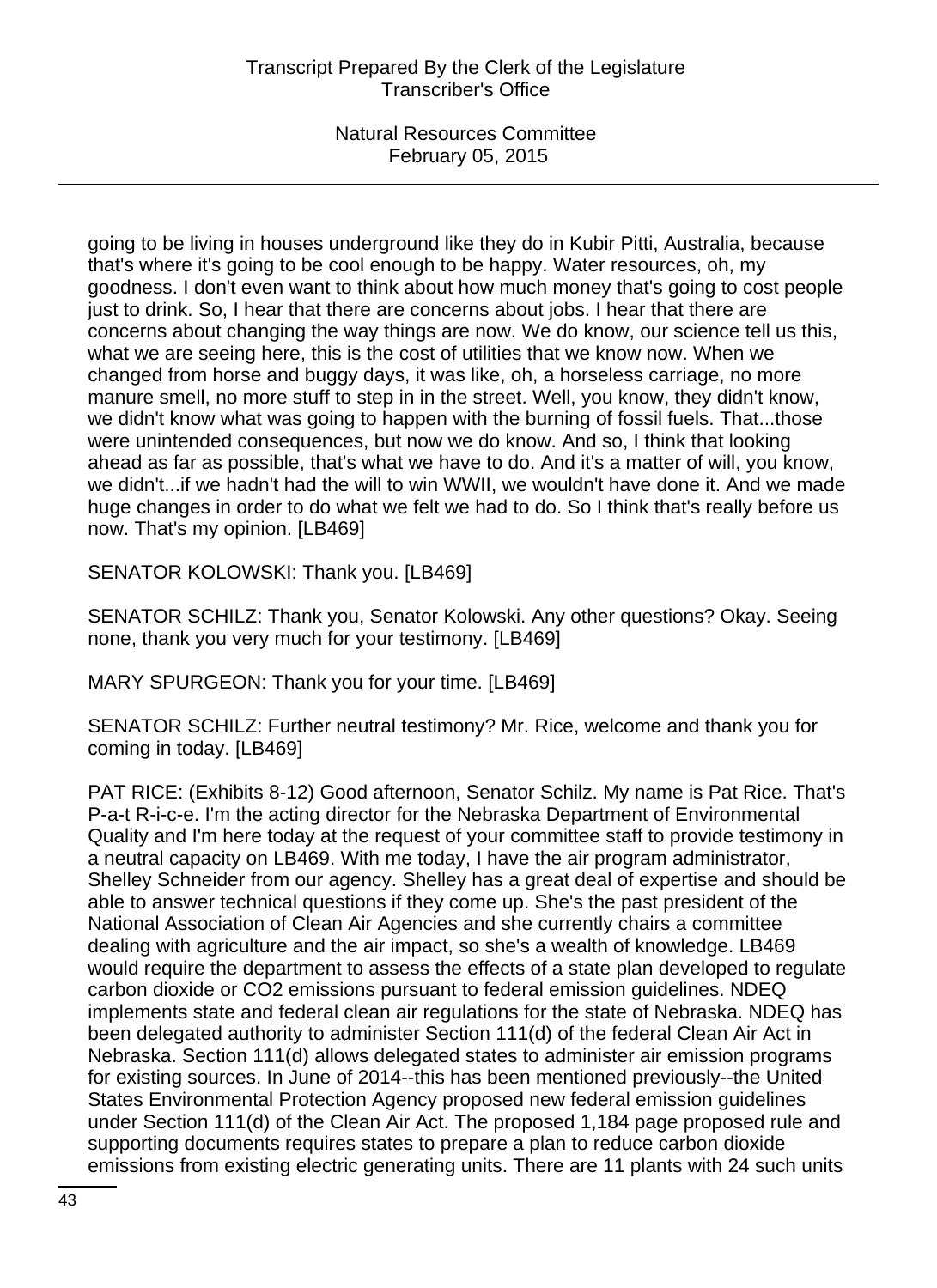going to be living in houses underground like they do in Kubir Pitti, Australia, because that's where it's going to be cool enough to be happy. Water resources, oh, my goodness. I don't even want to think about how much money that's going to cost people just to drink. So, I hear that there are concerns about jobs. I hear that there are concerns about changing the way things are now. We do know, our science tell us this, what we are seeing here, this is the cost of utilities that we know now. When we changed from horse and buggy days, it was like, oh, a horseless carriage, no more manure smell, no more stuff to step in in the street. Well, you know, they didn't know, we didn't know what was going to happen with the burning of fossil fuels. That...those were unintended consequences, but now we do know. And so, I think that looking ahead as far as possible, that's what we have to do. And it's a matter of will, you know, we didn't...if we hadn't had the will to win WWII, we wouldn't have done it. And we made huge changes in order to do what we felt we had to do. So I think that's really before us now. That's my opinion. [LB469]

SENATOR KOLOWSKI: Thank you. [LB469]

SENATOR SCHILZ: Thank you, Senator Kolowski. Any other questions? Okay. Seeing none, thank you very much for your testimony. [LB469]

MARY SPURGEON: Thank you for your time. [LB469]

SENATOR SCHILZ: Further neutral testimony? Mr. Rice, welcome and thank you for coming in today. [LB469]

PAT RICE: (Exhibits 8-12) Good afternoon, Senator Schilz. My name is Pat Rice. That's P-a-t R-i-c-e. I'm the acting director for the Nebraska Department of Environmental Quality and I'm here today at the request of your committee staff to provide testimony in a neutral capacity on LB469. With me today, I have the air program administrator, Shelley Schneider from our agency. Shelley has a great deal of expertise and should be able to answer technical questions if they come up. She's the past president of the National Association of Clean Air Agencies and she currently chairs a committee dealing with agriculture and the air impact, so she's a wealth of knowledge. LB469 would require the department to assess the effects of a state plan developed to regulate carbon dioxide or CO2 emissions pursuant to federal emission guidelines. NDEQ implements state and federal clean air regulations for the state of Nebraska. NDEQ has been delegated authority to administer Section 111(d) of the federal Clean Air Act in Nebraska. Section 111(d) allows delegated states to administer air emission programs for existing sources. In June of 2014--this has been mentioned previously--the United States Environmental Protection Agency proposed new federal emission guidelines under Section 111(d) of the Clean Air Act. The proposed 1,184 page proposed rule and supporting documents requires states to prepare a plan to reduce carbon dioxide emissions from existing electric generating units. There are 11 plants with 24 such units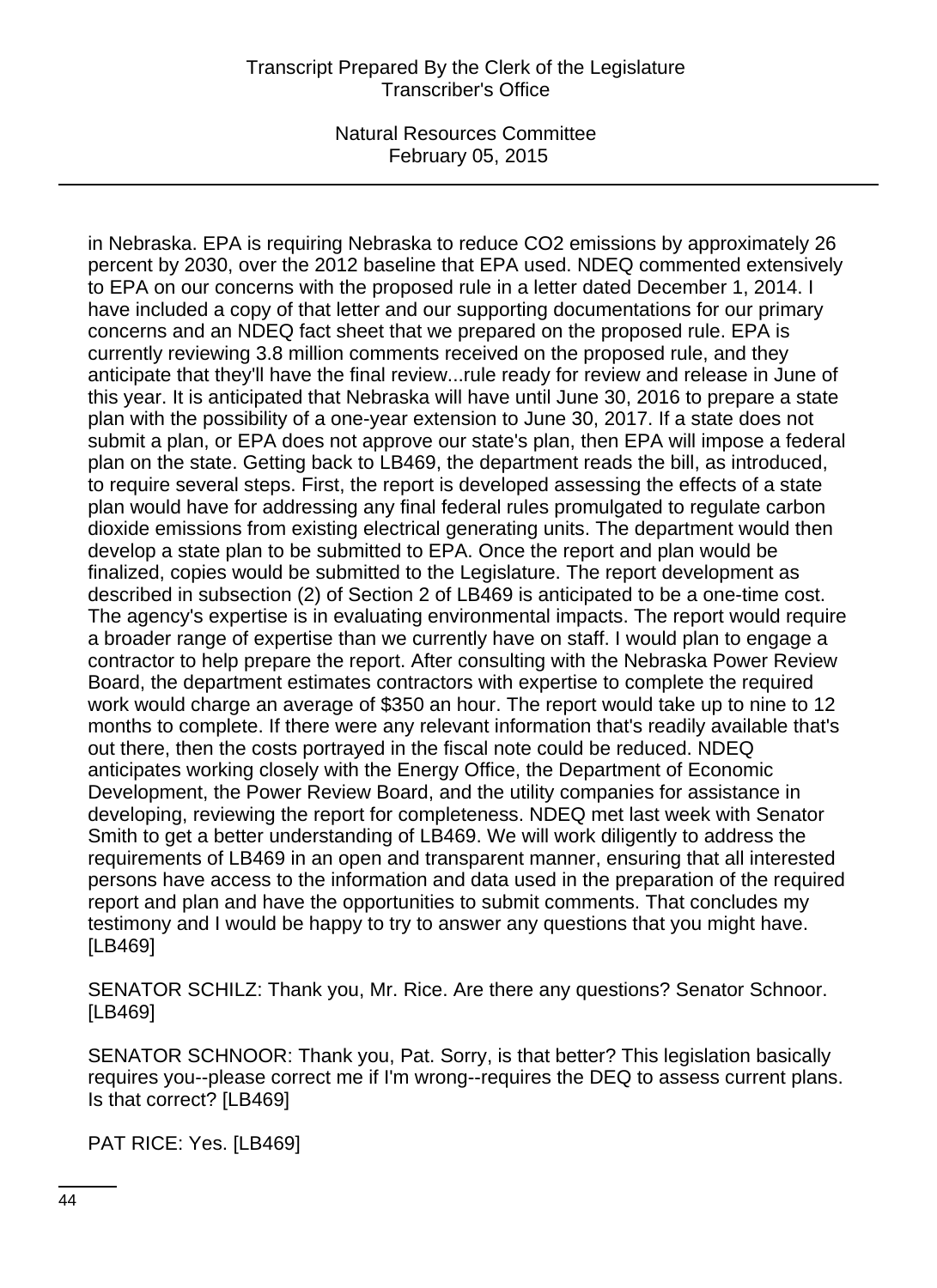in Nebraska. EPA is requiring Nebraska to reduce CO2 emissions by approximately 26 percent by 2030, over the 2012 baseline that EPA used. NDEQ commented extensively to EPA on our concerns with the proposed rule in a letter dated December 1, 2014. I have included a copy of that letter and our supporting documentations for our primary concerns and an NDEQ fact sheet that we prepared on the proposed rule. EPA is currently reviewing 3.8 million comments received on the proposed rule, and they anticipate that they'll have the final review...rule ready for review and release in June of this year. It is anticipated that Nebraska will have until June 30, 2016 to prepare a state plan with the possibility of a one-year extension to June 30, 2017. If a state does not submit a plan, or EPA does not approve our state's plan, then EPA will impose a federal plan on the state. Getting back to LB469, the department reads the bill, as introduced, to require several steps. First, the report is developed assessing the effects of a state plan would have for addressing any final federal rules promulgated to regulate carbon dioxide emissions from existing electrical generating units. The department would then develop a state plan to be submitted to EPA. Once the report and plan would be finalized, copies would be submitted to the Legislature. The report development as described in subsection (2) of Section 2 of LB469 is anticipated to be a one-time cost. The agency's expertise is in evaluating environmental impacts. The report would require a broader range of expertise than we currently have on staff. I would plan to engage a contractor to help prepare the report. After consulting with the Nebraska Power Review Board, the department estimates contractors with expertise to complete the required work would charge an average of \$350 an hour. The report would take up to nine to 12 months to complete. If there were any relevant information that's readily available that's out there, then the costs portrayed in the fiscal note could be reduced. NDEQ anticipates working closely with the Energy Office, the Department of Economic Development, the Power Review Board, and the utility companies for assistance in developing, reviewing the report for completeness. NDEQ met last week with Senator Smith to get a better understanding of LB469. We will work diligently to address the requirements of LB469 in an open and transparent manner, ensuring that all interested persons have access to the information and data used in the preparation of the required report and plan and have the opportunities to submit comments. That concludes my testimony and I would be happy to try to answer any questions that you might have. [LB469]

SENATOR SCHILZ: Thank you, Mr. Rice. Are there any questions? Senator Schnoor. [LB469]

SENATOR SCHNOOR: Thank you, Pat. Sorry, is that better? This legislation basically requires you--please correct me if I'm wrong--requires the DEQ to assess current plans. Is that correct? [LB469]

PAT RICE: Yes. [LB469]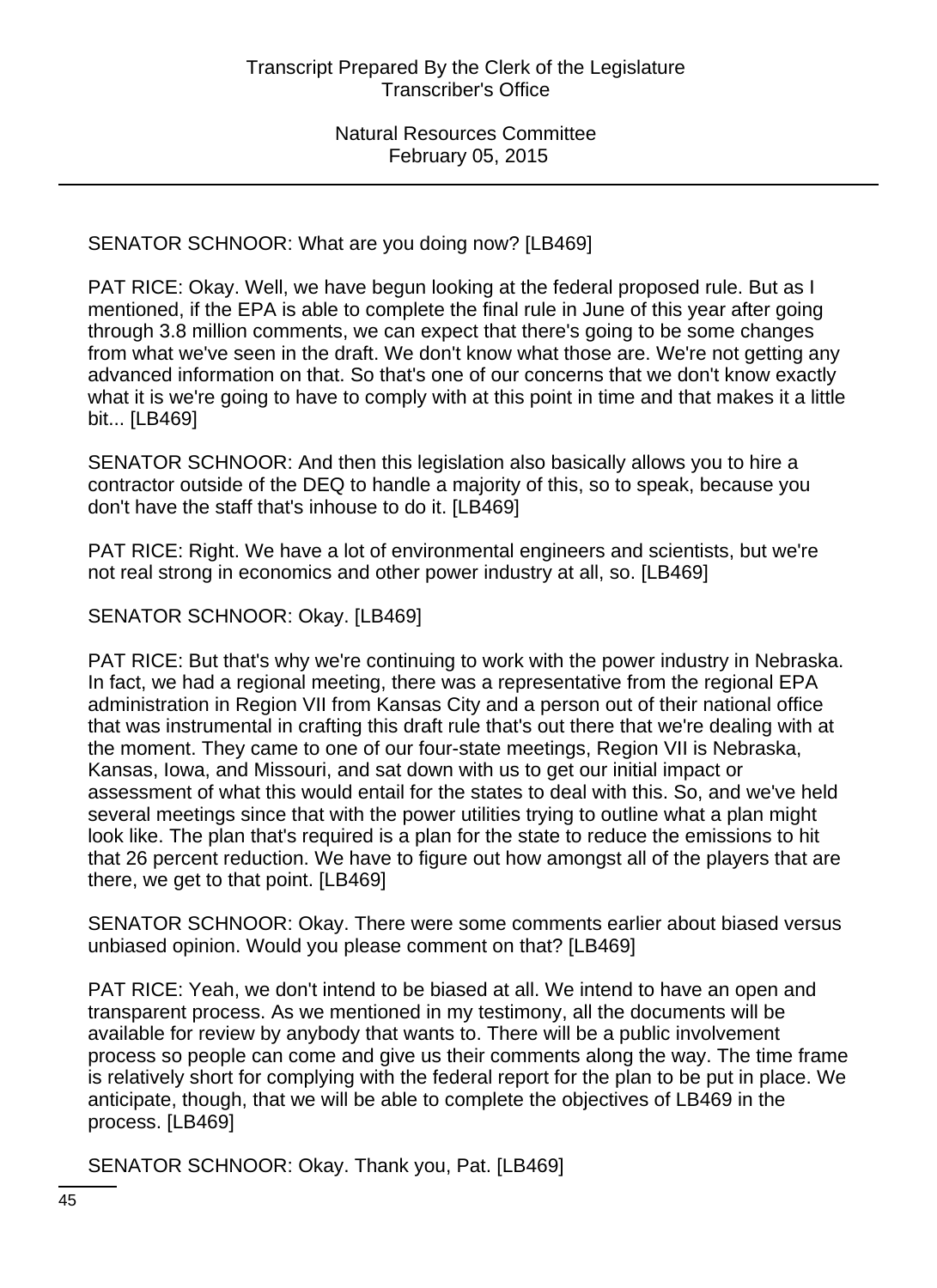SENATOR SCHNOOR: What are you doing now? [LB469]

PAT RICE: Okay. Well, we have begun looking at the federal proposed rule. But as I mentioned, if the EPA is able to complete the final rule in June of this year after going through 3.8 million comments, we can expect that there's going to be some changes from what we've seen in the draft. We don't know what those are. We're not getting any advanced information on that. So that's one of our concerns that we don't know exactly what it is we're going to have to comply with at this point in time and that makes it a little bit... [LB469]

SENATOR SCHNOOR: And then this legislation also basically allows you to hire a contractor outside of the DEQ to handle a majority of this, so to speak, because you don't have the staff that's inhouse to do it. [LB469]

PAT RICE: Right. We have a lot of environmental engineers and scientists, but we're not real strong in economics and other power industry at all, so. [LB469]

SENATOR SCHNOOR: Okay. [LB469]

PAT RICE: But that's why we're continuing to work with the power industry in Nebraska. In fact, we had a regional meeting, there was a representative from the regional EPA administration in Region VII from Kansas City and a person out of their national office that was instrumental in crafting this draft rule that's out there that we're dealing with at the moment. They came to one of our four-state meetings, Region VII is Nebraska, Kansas, Iowa, and Missouri, and sat down with us to get our initial impact or assessment of what this would entail for the states to deal with this. So, and we've held several meetings since that with the power utilities trying to outline what a plan might look like. The plan that's required is a plan for the state to reduce the emissions to hit that 26 percent reduction. We have to figure out how amongst all of the players that are there, we get to that point. [LB469]

SENATOR SCHNOOR: Okay. There were some comments earlier about biased versus unbiased opinion. Would you please comment on that? [LB469]

PAT RICE: Yeah, we don't intend to be biased at all. We intend to have an open and transparent process. As we mentioned in my testimony, all the documents will be available for review by anybody that wants to. There will be a public involvement process so people can come and give us their comments along the way. The time frame is relatively short for complying with the federal report for the plan to be put in place. We anticipate, though, that we will be able to complete the objectives of LB469 in the process. [LB469]

SENATOR SCHNOOR: Okay. Thank you, Pat. [LB469]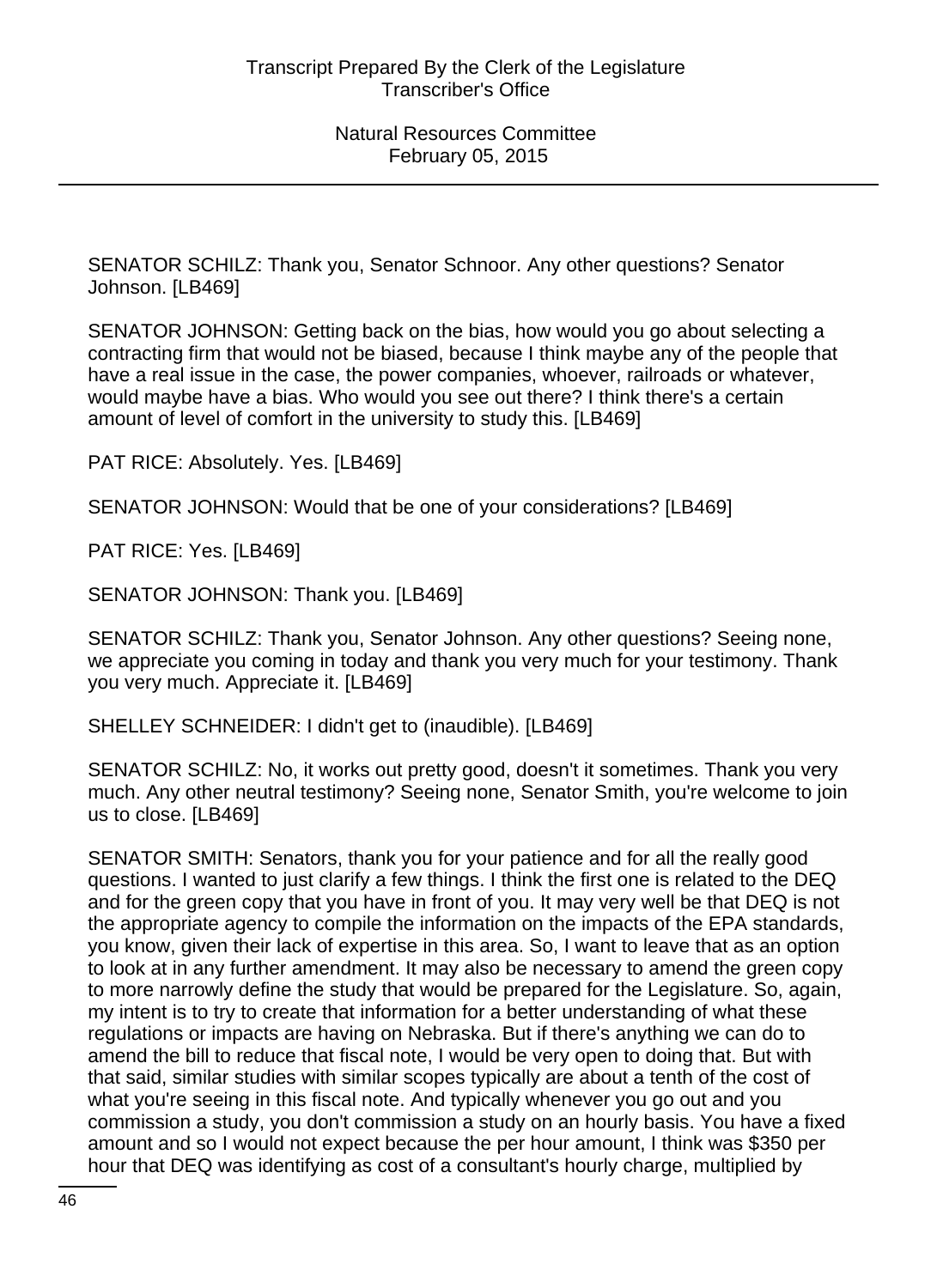SENATOR SCHILZ: Thank you, Senator Schnoor. Any other questions? Senator Johnson. [LB469]

SENATOR JOHNSON: Getting back on the bias, how would you go about selecting a contracting firm that would not be biased, because I think maybe any of the people that have a real issue in the case, the power companies, whoever, railroads or whatever, would maybe have a bias. Who would you see out there? I think there's a certain amount of level of comfort in the university to study this. [LB469]

PAT RICE: Absolutely. Yes. [LB469]

SENATOR JOHNSON: Would that be one of your considerations? [LB469]

PAT RICE: Yes. [LB469]

SENATOR JOHNSON: Thank you. [LB469]

SENATOR SCHILZ: Thank you, Senator Johnson. Any other questions? Seeing none, we appreciate you coming in today and thank you very much for your testimony. Thank you very much. Appreciate it. [LB469]

SHELLEY SCHNEIDER: I didn't get to (inaudible). [LB469]

SENATOR SCHILZ: No, it works out pretty good, doesn't it sometimes. Thank you very much. Any other neutral testimony? Seeing none, Senator Smith, you're welcome to join us to close. [LB469]

SENATOR SMITH: Senators, thank you for your patience and for all the really good questions. I wanted to just clarify a few things. I think the first one is related to the DEQ and for the green copy that you have in front of you. It may very well be that DEQ is not the appropriate agency to compile the information on the impacts of the EPA standards, you know, given their lack of expertise in this area. So, I want to leave that as an option to look at in any further amendment. It may also be necessary to amend the green copy to more narrowly define the study that would be prepared for the Legislature. So, again, my intent is to try to create that information for a better understanding of what these regulations or impacts are having on Nebraska. But if there's anything we can do to amend the bill to reduce that fiscal note, I would be very open to doing that. But with that said, similar studies with similar scopes typically are about a tenth of the cost of what you're seeing in this fiscal note. And typically whenever you go out and you commission a study, you don't commission a study on an hourly basis. You have a fixed amount and so I would not expect because the per hour amount, I think was \$350 per hour that DEQ was identifying as cost of a consultant's hourly charge, multiplied by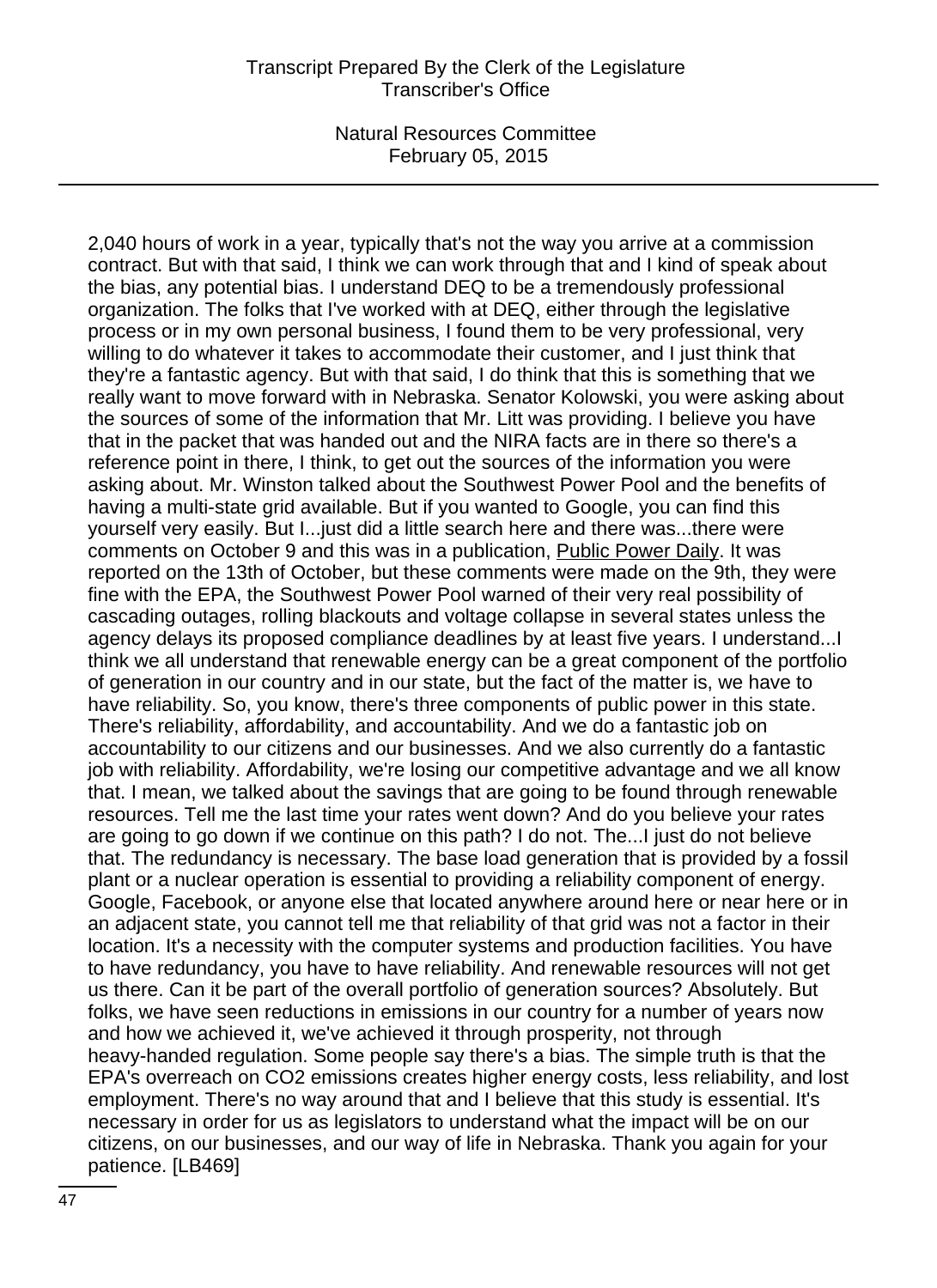2,040 hours of work in a year, typically that's not the way you arrive at a commission contract. But with that said, I think we can work through that and I kind of speak about the bias, any potential bias. I understand DEQ to be a tremendously professional organization. The folks that I've worked with at DEQ, either through the legislative process or in my own personal business, I found them to be very professional, very willing to do whatever it takes to accommodate their customer, and I just think that they're a fantastic agency. But with that said, I do think that this is something that we really want to move forward with in Nebraska. Senator Kolowski, you were asking about the sources of some of the information that Mr. Litt was providing. I believe you have that in the packet that was handed out and the NIRA facts are in there so there's a reference point in there, I think, to get out the sources of the information you were asking about. Mr. Winston talked about the Southwest Power Pool and the benefits of having a multi-state grid available. But if you wanted to Google, you can find this yourself very easily. But I...just did a little search here and there was...there were comments on October 9 and this was in a publication, **Public Power Daily.** It was reported on the 13th of October, but these comments were made on the 9th, they were fine with the EPA, the Southwest Power Pool warned of their very real possibility of cascading outages, rolling blackouts and voltage collapse in several states unless the agency delays its proposed compliance deadlines by at least five years. I understand...I think we all understand that renewable energy can be a great component of the portfolio of generation in our country and in our state, but the fact of the matter is, we have to have reliability. So, you know, there's three components of public power in this state. There's reliability, affordability, and accountability. And we do a fantastic job on accountability to our citizens and our businesses. And we also currently do a fantastic job with reliability. Affordability, we're losing our competitive advantage and we all know that. I mean, we talked about the savings that are going to be found through renewable resources. Tell me the last time your rates went down? And do you believe your rates are going to go down if we continue on this path? I do not. The...I just do not believe that. The redundancy is necessary. The base load generation that is provided by a fossil plant or a nuclear operation is essential to providing a reliability component of energy. Google, Facebook, or anyone else that located anywhere around here or near here or in an adjacent state, you cannot tell me that reliability of that grid was not a factor in their location. It's a necessity with the computer systems and production facilities. You have to have redundancy, you have to have reliability. And renewable resources will not get us there. Can it be part of the overall portfolio of generation sources? Absolutely. But folks, we have seen reductions in emissions in our country for a number of years now and how we achieved it, we've achieved it through prosperity, not through heavy-handed regulation. Some people say there's a bias. The simple truth is that the EPA's overreach on CO2 emissions creates higher energy costs, less reliability, and lost employment. There's no way around that and I believe that this study is essential. It's necessary in order for us as legislators to understand what the impact will be on our citizens, on our businesses, and our way of life in Nebraska. Thank you again for your patience. [LB469]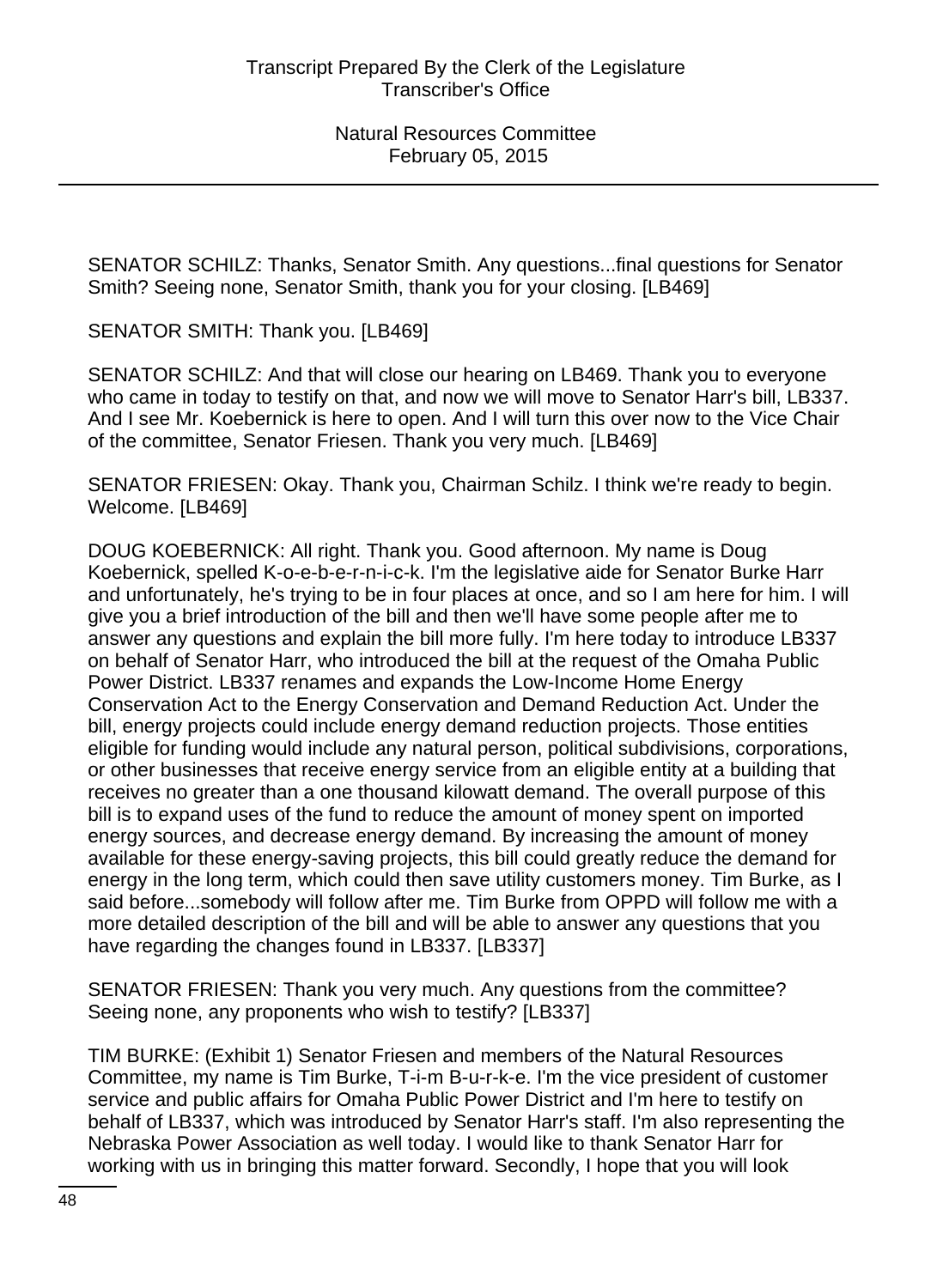SENATOR SCHILZ: Thanks, Senator Smith. Any questions...final questions for Senator Smith? Seeing none, Senator Smith, thank you for your closing. [LB469]

SENATOR SMITH: Thank you. [LB469]

SENATOR SCHILZ: And that will close our hearing on LB469. Thank you to everyone who came in today to testify on that, and now we will move to Senator Harr's bill, LB337. And I see Mr. Koebernick is here to open. And I will turn this over now to the Vice Chair of the committee, Senator Friesen. Thank you very much. [LB469]

SENATOR FRIESEN: Okay. Thank you, Chairman Schilz. I think we're ready to begin. Welcome. [LB469]

DOUG KOEBERNICK: All right. Thank you. Good afternoon. My name is Doug Koebernick, spelled K-o-e-b-e-r-n-i-c-k. I'm the legislative aide for Senator Burke Harr and unfortunately, he's trying to be in four places at once, and so I am here for him. I will give you a brief introduction of the bill and then we'll have some people after me to answer any questions and explain the bill more fully. I'm here today to introduce LB337 on behalf of Senator Harr, who introduced the bill at the request of the Omaha Public Power District. LB337 renames and expands the Low-Income Home Energy Conservation Act to the Energy Conservation and Demand Reduction Act. Under the bill, energy projects could include energy demand reduction projects. Those entities eligible for funding would include any natural person, political subdivisions, corporations, or other businesses that receive energy service from an eligible entity at a building that receives no greater than a one thousand kilowatt demand. The overall purpose of this bill is to expand uses of the fund to reduce the amount of money spent on imported energy sources, and decrease energy demand. By increasing the amount of money available for these energy-saving projects, this bill could greatly reduce the demand for energy in the long term, which could then save utility customers money. Tim Burke, as I said before...somebody will follow after me. Tim Burke from OPPD will follow me with a more detailed description of the bill and will be able to answer any questions that you have regarding the changes found in LB337. [LB337]

SENATOR FRIESEN: Thank you very much. Any questions from the committee? Seeing none, any proponents who wish to testify? [LB337]

TIM BURKE: (Exhibit 1) Senator Friesen and members of the Natural Resources Committee, my name is Tim Burke, T-i-m B-u-r-k-e. I'm the vice president of customer service and public affairs for Omaha Public Power District and I'm here to testify on behalf of LB337, which was introduced by Senator Harr's staff. I'm also representing the Nebraska Power Association as well today. I would like to thank Senator Harr for working with us in bringing this matter forward. Secondly, I hope that you will look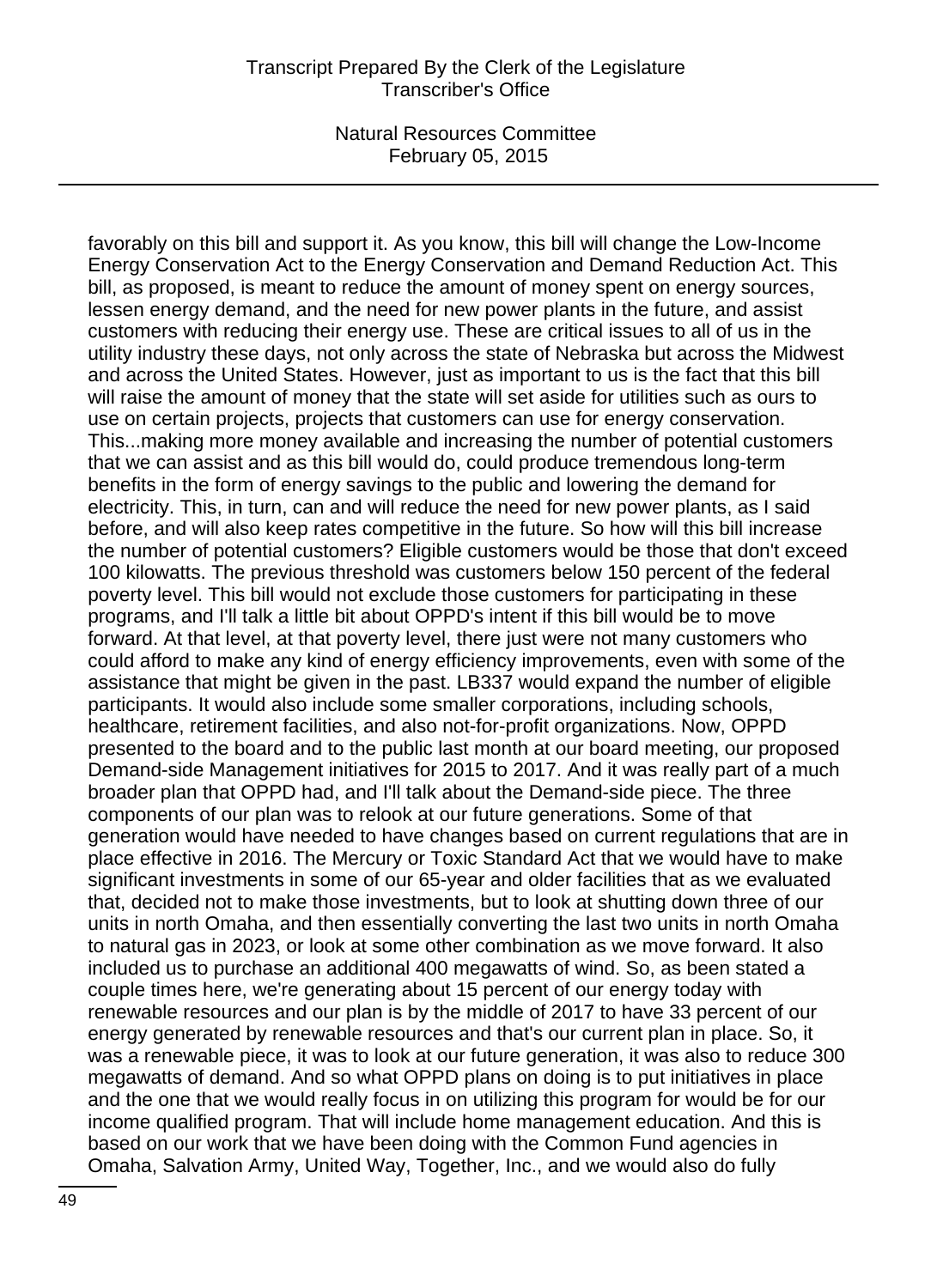favorably on this bill and support it. As you know, this bill will change the Low-Income Energy Conservation Act to the Energy Conservation and Demand Reduction Act. This bill, as proposed, is meant to reduce the amount of money spent on energy sources, lessen energy demand, and the need for new power plants in the future, and assist customers with reducing their energy use. These are critical issues to all of us in the utility industry these days, not only across the state of Nebraska but across the Midwest and across the United States. However, just as important to us is the fact that this bill will raise the amount of money that the state will set aside for utilities such as ours to use on certain projects, projects that customers can use for energy conservation. This...making more money available and increasing the number of potential customers that we can assist and as this bill would do, could produce tremendous long-term benefits in the form of energy savings to the public and lowering the demand for electricity. This, in turn, can and will reduce the need for new power plants, as I said before, and will also keep rates competitive in the future. So how will this bill increase the number of potential customers? Eligible customers would be those that don't exceed 100 kilowatts. The previous threshold was customers below 150 percent of the federal poverty level. This bill would not exclude those customers for participating in these programs, and I'll talk a little bit about OPPD's intent if this bill would be to move forward. At that level, at that poverty level, there just were not many customers who could afford to make any kind of energy efficiency improvements, even with some of the assistance that might be given in the past. LB337 would expand the number of eligible participants. It would also include some smaller corporations, including schools, healthcare, retirement facilities, and also not-for-profit organizations. Now, OPPD presented to the board and to the public last month at our board meeting, our proposed Demand-side Management initiatives for 2015 to 2017. And it was really part of a much broader plan that OPPD had, and I'll talk about the Demand-side piece. The three components of our plan was to relook at our future generations. Some of that generation would have needed to have changes based on current regulations that are in place effective in 2016. The Mercury or Toxic Standard Act that we would have to make significant investments in some of our 65-year and older facilities that as we evaluated that, decided not to make those investments, but to look at shutting down three of our units in north Omaha, and then essentially converting the last two units in north Omaha to natural gas in 2023, or look at some other combination as we move forward. It also included us to purchase an additional 400 megawatts of wind. So, as been stated a couple times here, we're generating about 15 percent of our energy today with renewable resources and our plan is by the middle of 2017 to have 33 percent of our energy generated by renewable resources and that's our current plan in place. So, it was a renewable piece, it was to look at our future generation, it was also to reduce 300 megawatts of demand. And so what OPPD plans on doing is to put initiatives in place and the one that we would really focus in on utilizing this program for would be for our income qualified program. That will include home management education. And this is based on our work that we have been doing with the Common Fund agencies in Omaha, Salvation Army, United Way, Together, Inc., and we would also do fully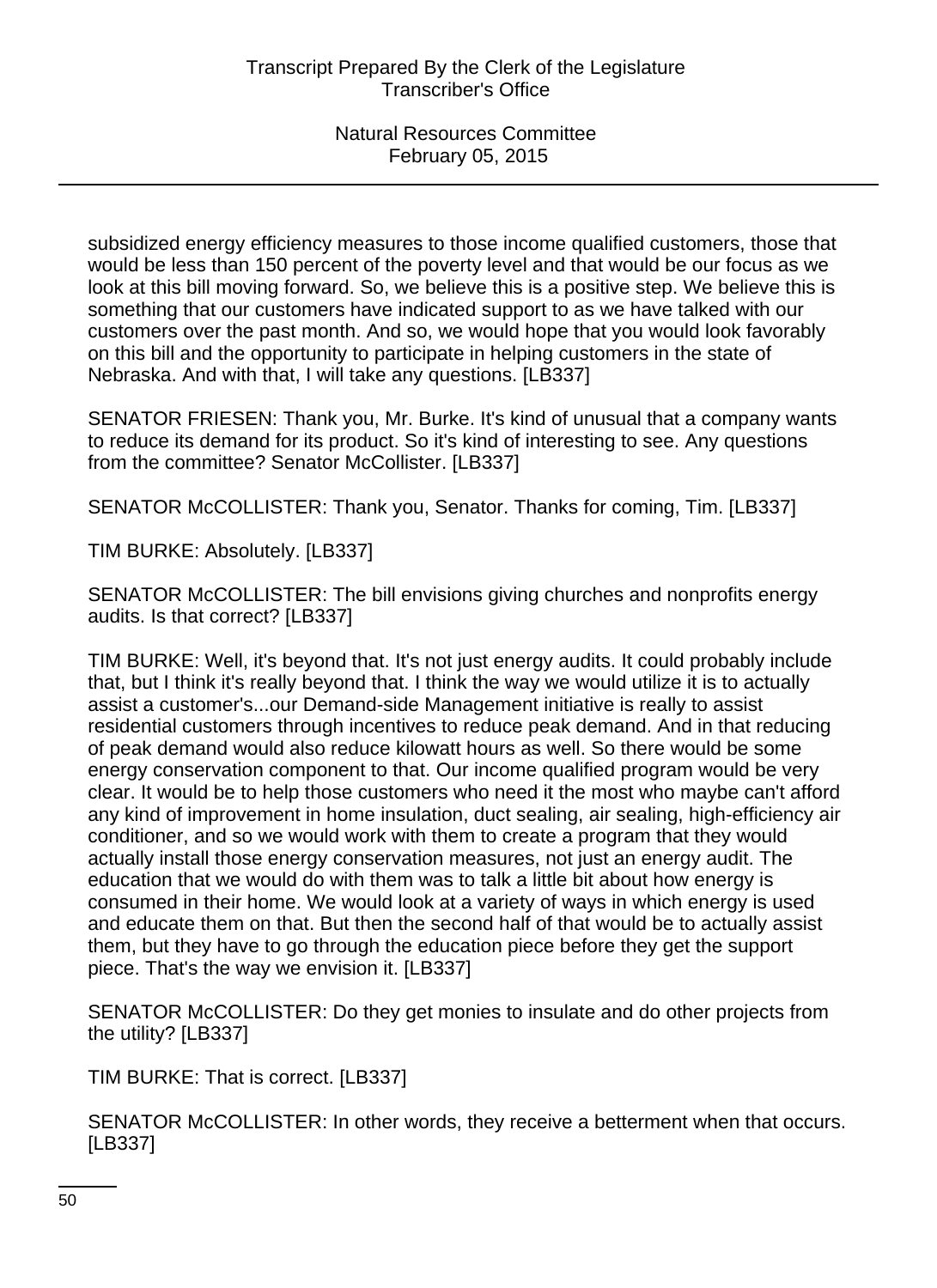subsidized energy efficiency measures to those income qualified customers, those that would be less than 150 percent of the poverty level and that would be our focus as we look at this bill moving forward. So, we believe this is a positive step. We believe this is something that our customers have indicated support to as we have talked with our customers over the past month. And so, we would hope that you would look favorably on this bill and the opportunity to participate in helping customers in the state of Nebraska. And with that, I will take any questions. [LB337]

SENATOR FRIESEN: Thank you, Mr. Burke. It's kind of unusual that a company wants to reduce its demand for its product. So it's kind of interesting to see. Any questions from the committee? Senator McCollister. [LB337]

SENATOR McCOLLISTER: Thank you, Senator. Thanks for coming, Tim. [LB337]

TIM BURKE: Absolutely. [LB337]

SENATOR McCOLLISTER: The bill envisions giving churches and nonprofits energy audits. Is that correct? [LB337]

TIM BURKE: Well, it's beyond that. It's not just energy audits. It could probably include that, but I think it's really beyond that. I think the way we would utilize it is to actually assist a customer's...our Demand-side Management initiative is really to assist residential customers through incentives to reduce peak demand. And in that reducing of peak demand would also reduce kilowatt hours as well. So there would be some energy conservation component to that. Our income qualified program would be very clear. It would be to help those customers who need it the most who maybe can't afford any kind of improvement in home insulation, duct sealing, air sealing, high-efficiency air conditioner, and so we would work with them to create a program that they would actually install those energy conservation measures, not just an energy audit. The education that we would do with them was to talk a little bit about how energy is consumed in their home. We would look at a variety of ways in which energy is used and educate them on that. But then the second half of that would be to actually assist them, but they have to go through the education piece before they get the support piece. That's the way we envision it. [LB337]

SENATOR McCOLLISTER: Do they get monies to insulate and do other projects from the utility? [LB337]

TIM BURKE: That is correct. [LB337]

SENATOR McCOLLISTER: In other words, they receive a betterment when that occurs. [LB337]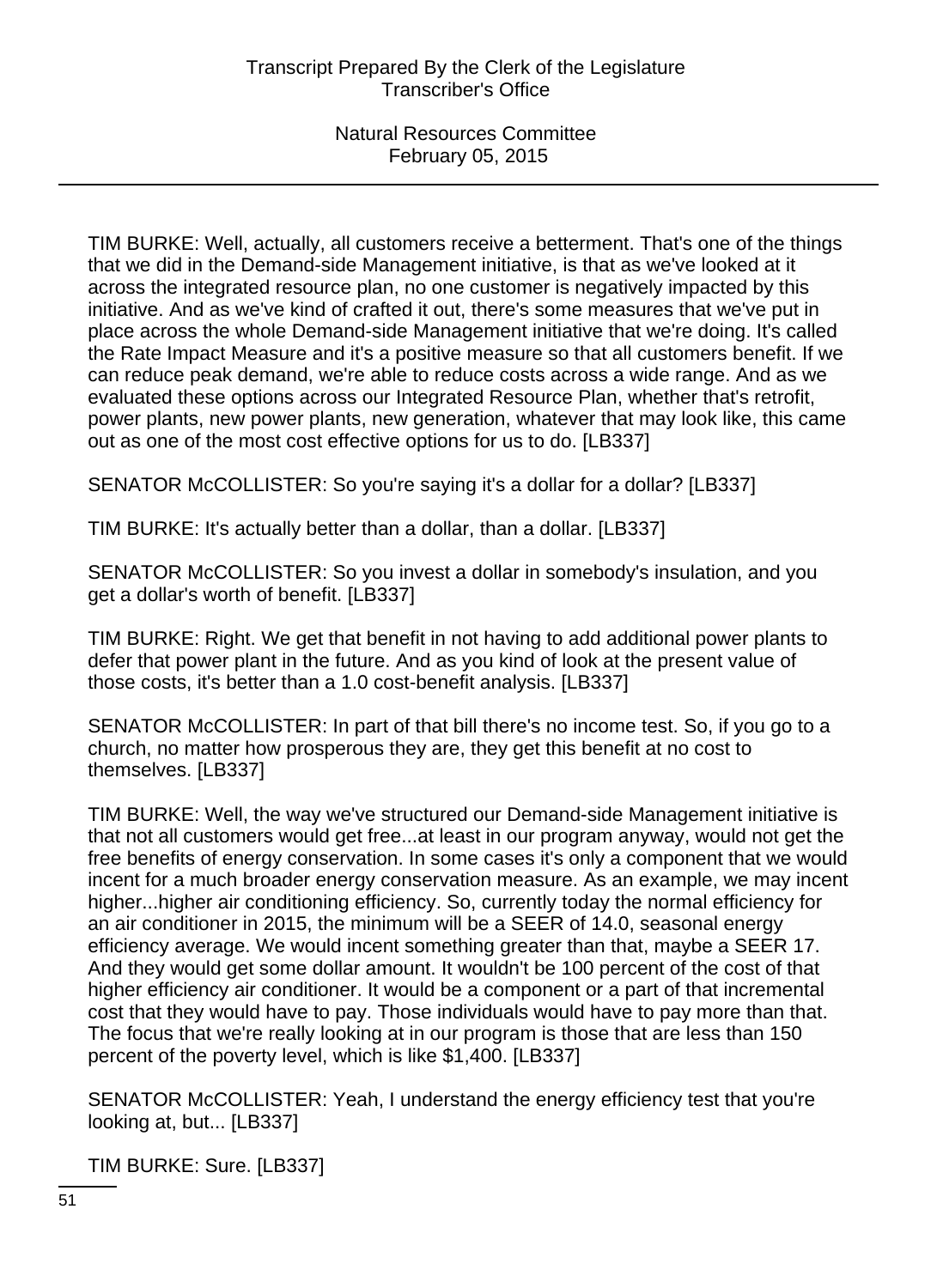TIM BURKE: Well, actually, all customers receive a betterment. That's one of the things that we did in the Demand-side Management initiative, is that as we've looked at it across the integrated resource plan, no one customer is negatively impacted by this initiative. And as we've kind of crafted it out, there's some measures that we've put in place across the whole Demand-side Management initiative that we're doing. It's called the Rate Impact Measure and it's a positive measure so that all customers benefit. If we can reduce peak demand, we're able to reduce costs across a wide range. And as we evaluated these options across our Integrated Resource Plan, whether that's retrofit, power plants, new power plants, new generation, whatever that may look like, this came out as one of the most cost effective options for us to do. [LB337]

SENATOR McCOLLISTER: So you're saying it's a dollar for a dollar? [LB337]

TIM BURKE: It's actually better than a dollar, than a dollar. [LB337]

SENATOR McCOLLISTER: So you invest a dollar in somebody's insulation, and you get a dollar's worth of benefit. [LB337]

TIM BURKE: Right. We get that benefit in not having to add additional power plants to defer that power plant in the future. And as you kind of look at the present value of those costs, it's better than a 1.0 cost-benefit analysis. [LB337]

SENATOR McCOLLISTER: In part of that bill there's no income test. So, if you go to a church, no matter how prosperous they are, they get this benefit at no cost to themselves. [LB337]

TIM BURKE: Well, the way we've structured our Demand-side Management initiative is that not all customers would get free...at least in our program anyway, would not get the free benefits of energy conservation. In some cases it's only a component that we would incent for a much broader energy conservation measure. As an example, we may incent higher...higher air conditioning efficiency. So, currently today the normal efficiency for an air conditioner in 2015, the minimum will be a SEER of 14.0, seasonal energy efficiency average. We would incent something greater than that, maybe a SEER 17. And they would get some dollar amount. It wouldn't be 100 percent of the cost of that higher efficiency air conditioner. It would be a component or a part of that incremental cost that they would have to pay. Those individuals would have to pay more than that. The focus that we're really looking at in our program is those that are less than 150 percent of the poverty level, which is like \$1,400. [LB337]

SENATOR McCOLLISTER: Yeah, I understand the energy efficiency test that you're looking at, but... [LB337]

TIM BURKE: Sure. [LB337]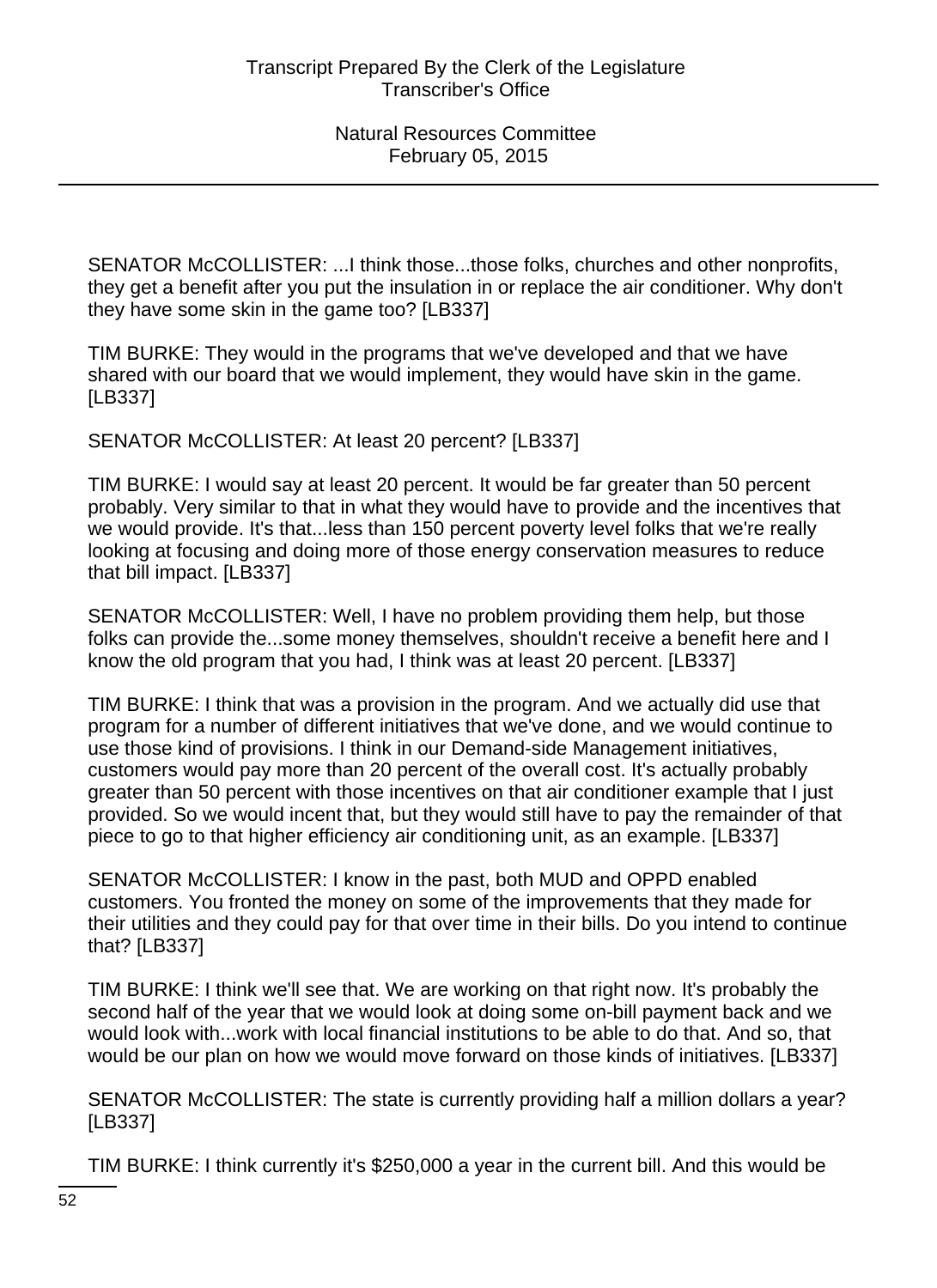SENATOR McCOLLISTER: ...I think those...those folks, churches and other nonprofits, they get a benefit after you put the insulation in or replace the air conditioner. Why don't they have some skin in the game too? [LB337]

TIM BURKE: They would in the programs that we've developed and that we have shared with our board that we would implement, they would have skin in the game. [LB337]

SENATOR McCOLLISTER: At least 20 percent? [LB337]

TIM BURKE: I would say at least 20 percent. It would be far greater than 50 percent probably. Very similar to that in what they would have to provide and the incentives that we would provide. It's that...less than 150 percent poverty level folks that we're really looking at focusing and doing more of those energy conservation measures to reduce that bill impact. [LB337]

SENATOR McCOLLISTER: Well, I have no problem providing them help, but those folks can provide the...some money themselves, shouldn't receive a benefit here and I know the old program that you had, I think was at least 20 percent. [LB337]

TIM BURKE: I think that was a provision in the program. And we actually did use that program for a number of different initiatives that we've done, and we would continue to use those kind of provisions. I think in our Demand-side Management initiatives, customers would pay more than 20 percent of the overall cost. It's actually probably greater than 50 percent with those incentives on that air conditioner example that I just provided. So we would incent that, but they would still have to pay the remainder of that piece to go to that higher efficiency air conditioning unit, as an example. [LB337]

SENATOR McCOLLISTER: I know in the past, both MUD and OPPD enabled customers. You fronted the money on some of the improvements that they made for their utilities and they could pay for that over time in their bills. Do you intend to continue that? [LB337]

TIM BURKE: I think we'll see that. We are working on that right now. It's probably the second half of the year that we would look at doing some on-bill payment back and we would look with...work with local financial institutions to be able to do that. And so, that would be our plan on how we would move forward on those kinds of initiatives. [LB337]

SENATOR McCOLLISTER: The state is currently providing half a million dollars a year? [LB337]

TIM BURKE: I think currently it's \$250,000 a year in the current bill. And this would be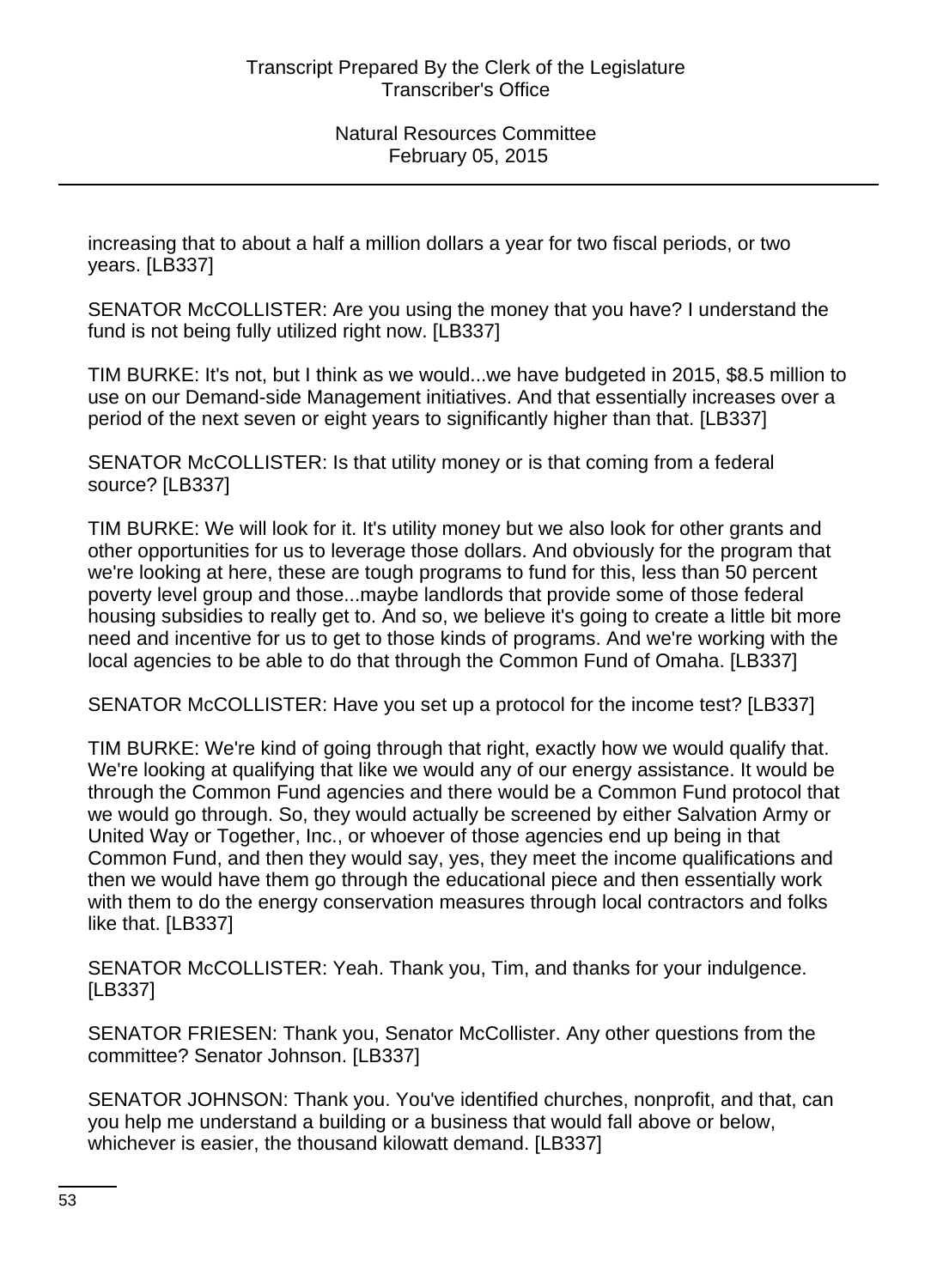increasing that to about a half a million dollars a year for two fiscal periods, or two years. [LB337]

SENATOR McCOLLISTER: Are you using the money that you have? I understand the fund is not being fully utilized right now. [LB337]

TIM BURKE: It's not, but I think as we would...we have budgeted in 2015, \$8.5 million to use on our Demand-side Management initiatives. And that essentially increases over a period of the next seven or eight years to significantly higher than that. [LB337]

SENATOR McCOLLISTER: Is that utility money or is that coming from a federal source? [LB337]

TIM BURKE: We will look for it. It's utility money but we also look for other grants and other opportunities for us to leverage those dollars. And obviously for the program that we're looking at here, these are tough programs to fund for this, less than 50 percent poverty level group and those...maybe landlords that provide some of those federal housing subsidies to really get to. And so, we believe it's going to create a little bit more need and incentive for us to get to those kinds of programs. And we're working with the local agencies to be able to do that through the Common Fund of Omaha. [LB337]

SENATOR McCOLLISTER: Have you set up a protocol for the income test? [LB337]

TIM BURKE: We're kind of going through that right, exactly how we would qualify that. We're looking at qualifying that like we would any of our energy assistance. It would be through the Common Fund agencies and there would be a Common Fund protocol that we would go through. So, they would actually be screened by either Salvation Army or United Way or Together, Inc., or whoever of those agencies end up being in that Common Fund, and then they would say, yes, they meet the income qualifications and then we would have them go through the educational piece and then essentially work with them to do the energy conservation measures through local contractors and folks like that. [LB337]

SENATOR McCOLLISTER: Yeah. Thank you, Tim, and thanks for your indulgence. [LB337]

SENATOR FRIESEN: Thank you, Senator McCollister. Any other questions from the committee? Senator Johnson. [LB337]

SENATOR JOHNSON: Thank you. You've identified churches, nonprofit, and that, can you help me understand a building or a business that would fall above or below, whichever is easier, the thousand kilowatt demand. [LB337]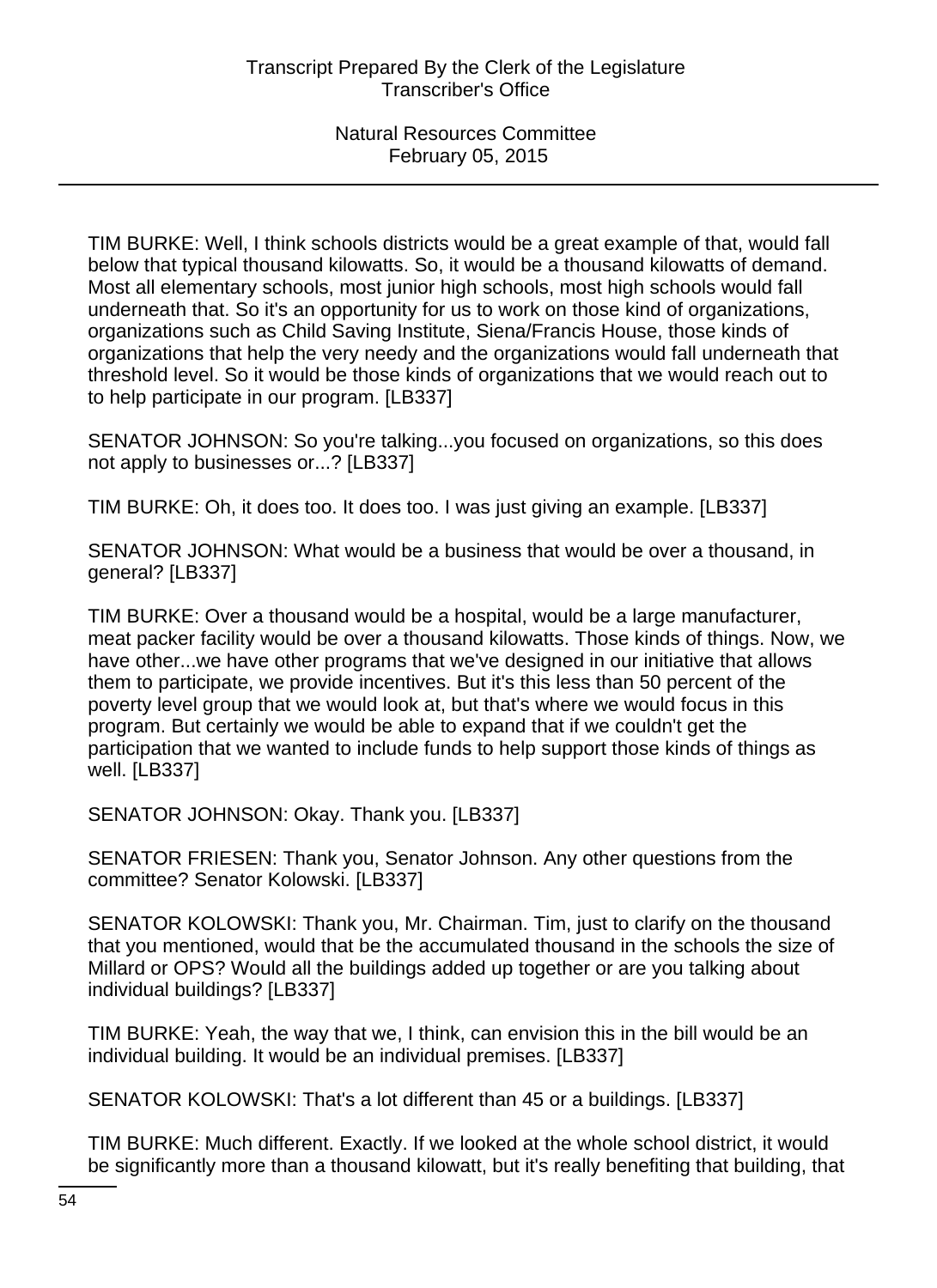TIM BURKE: Well, I think schools districts would be a great example of that, would fall below that typical thousand kilowatts. So, it would be a thousand kilowatts of demand. Most all elementary schools, most junior high schools, most high schools would fall underneath that. So it's an opportunity for us to work on those kind of organizations, organizations such as Child Saving Institute, Siena/Francis House, those kinds of organizations that help the very needy and the organizations would fall underneath that threshold level. So it would be those kinds of organizations that we would reach out to to help participate in our program. [LB337]

SENATOR JOHNSON: So you're talking...you focused on organizations, so this does not apply to businesses or...? [LB337]

TIM BURKE: Oh, it does too. It does too. I was just giving an example. [LB337]

SENATOR JOHNSON: What would be a business that would be over a thousand, in general? [LB337]

TIM BURKE: Over a thousand would be a hospital, would be a large manufacturer, meat packer facility would be over a thousand kilowatts. Those kinds of things. Now, we have other...we have other programs that we've designed in our initiative that allows them to participate, we provide incentives. But it's this less than 50 percent of the poverty level group that we would look at, but that's where we would focus in this program. But certainly we would be able to expand that if we couldn't get the participation that we wanted to include funds to help support those kinds of things as well. [LB337]

SENATOR JOHNSON: Okay. Thank you. [LB337]

SENATOR FRIESEN: Thank you, Senator Johnson. Any other questions from the committee? Senator Kolowski. [LB337]

SENATOR KOLOWSKI: Thank you, Mr. Chairman. Tim, just to clarify on the thousand that you mentioned, would that be the accumulated thousand in the schools the size of Millard or OPS? Would all the buildings added up together or are you talking about individual buildings? [LB337]

TIM BURKE: Yeah, the way that we, I think, can envision this in the bill would be an individual building. It would be an individual premises. [LB337]

SENATOR KOLOWSKI: That's a lot different than 45 or a buildings. [LB337]

TIM BURKE: Much different. Exactly. If we looked at the whole school district, it would be significantly more than a thousand kilowatt, but it's really benefiting that building, that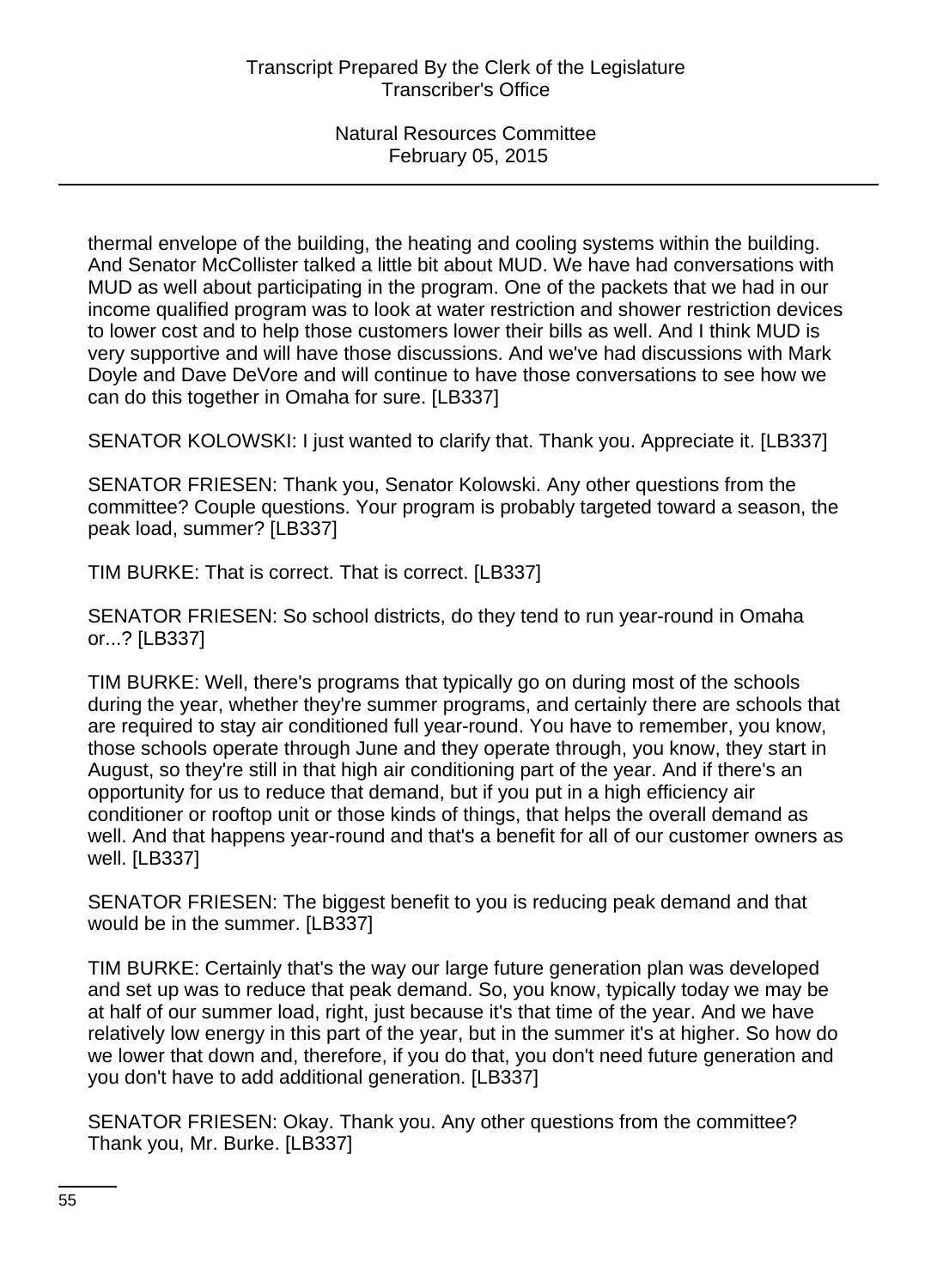thermal envelope of the building, the heating and cooling systems within the building. And Senator McCollister talked a little bit about MUD. We have had conversations with MUD as well about participating in the program. One of the packets that we had in our income qualified program was to look at water restriction and shower restriction devices to lower cost and to help those customers lower their bills as well. And I think MUD is very supportive and will have those discussions. And we've had discussions with Mark Doyle and Dave DeVore and will continue to have those conversations to see how we can do this together in Omaha for sure. [LB337]

SENATOR KOLOWSKI: I just wanted to clarify that. Thank you. Appreciate it. [LB337]

SENATOR FRIESEN: Thank you, Senator Kolowski. Any other questions from the committee? Couple questions. Your program is probably targeted toward a season, the peak load, summer? [LB337]

TIM BURKE: That is correct. That is correct. [LB337]

SENATOR FRIESEN: So school districts, do they tend to run year-round in Omaha or...? [LB337]

TIM BURKE: Well, there's programs that typically go on during most of the schools during the year, whether they're summer programs, and certainly there are schools that are required to stay air conditioned full year-round. You have to remember, you know, those schools operate through June and they operate through, you know, they start in August, so they're still in that high air conditioning part of the year. And if there's an opportunity for us to reduce that demand, but if you put in a high efficiency air conditioner or rooftop unit or those kinds of things, that helps the overall demand as well. And that happens year-round and that's a benefit for all of our customer owners as well. [LB337]

SENATOR FRIESEN: The biggest benefit to you is reducing peak demand and that would be in the summer. [LB337]

TIM BURKE: Certainly that's the way our large future generation plan was developed and set up was to reduce that peak demand. So, you know, typically today we may be at half of our summer load, right, just because it's that time of the year. And we have relatively low energy in this part of the year, but in the summer it's at higher. So how do we lower that down and, therefore, if you do that, you don't need future generation and you don't have to add additional generation. [LB337]

SENATOR FRIESEN: Okay. Thank you. Any other questions from the committee? Thank you, Mr. Burke. [LB337]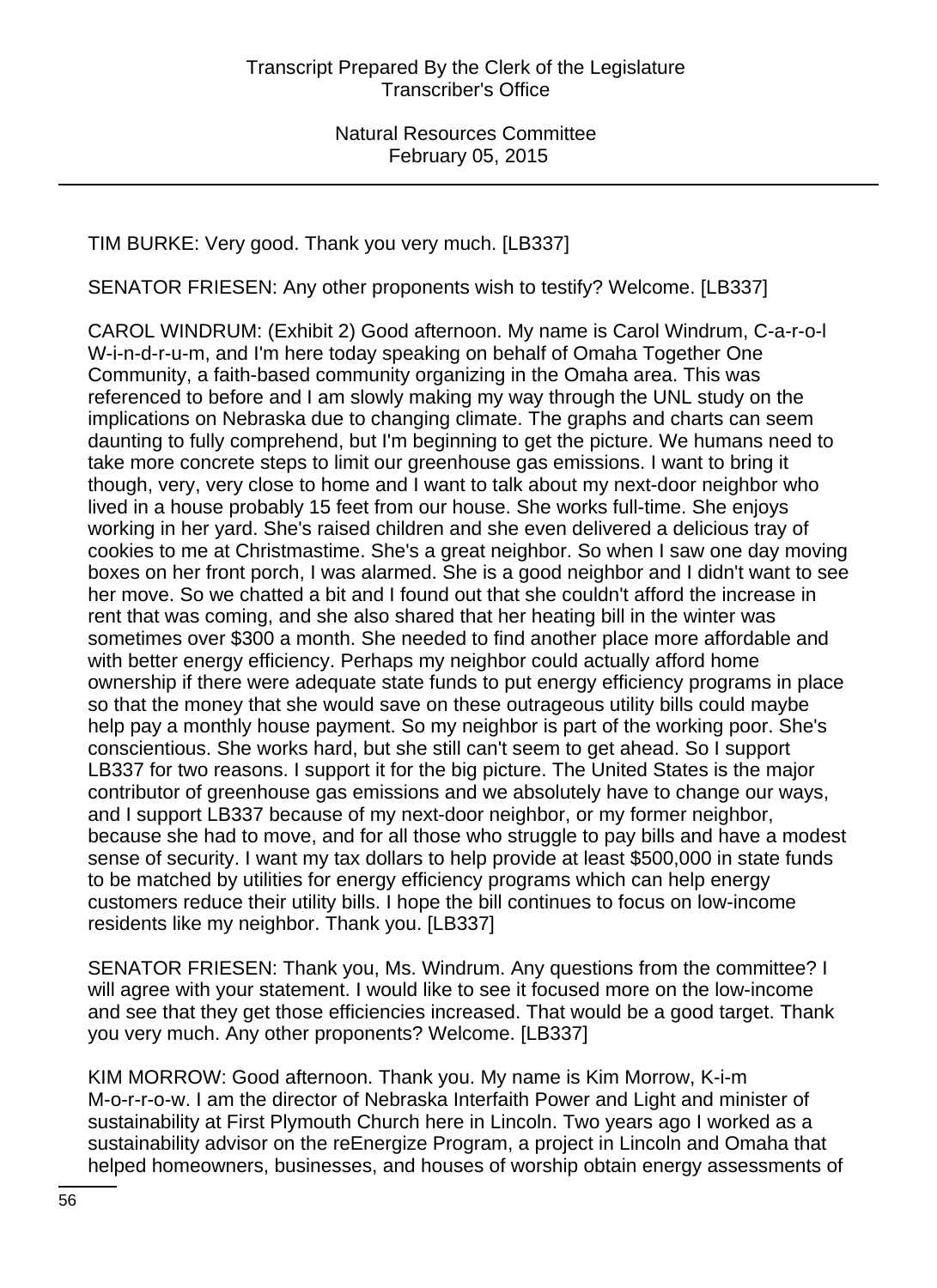TIM BURKE: Very good. Thank you very much. [LB337]

SENATOR FRIESEN: Any other proponents wish to testify? Welcome. [LB337]

CAROL WINDRUM: (Exhibit 2) Good afternoon. My name is Carol Windrum, C-a-r-o-l W-i-n-d-r-u-m, and I'm here today speaking on behalf of Omaha Together One Community, a faith-based community organizing in the Omaha area. This was referenced to before and I am slowly making my way through the UNL study on the implications on Nebraska due to changing climate. The graphs and charts can seem daunting to fully comprehend, but I'm beginning to get the picture. We humans need to take more concrete steps to limit our greenhouse gas emissions. I want to bring it though, very, very close to home and I want to talk about my next-door neighbor who lived in a house probably 15 feet from our house. She works full-time. She enjoys working in her yard. She's raised children and she even delivered a delicious tray of cookies to me at Christmastime. She's a great neighbor. So when I saw one day moving boxes on her front porch, I was alarmed. She is a good neighbor and I didn't want to see her move. So we chatted a bit and I found out that she couldn't afford the increase in rent that was coming, and she also shared that her heating bill in the winter was sometimes over \$300 a month. She needed to find another place more affordable and with better energy efficiency. Perhaps my neighbor could actually afford home ownership if there were adequate state funds to put energy efficiency programs in place so that the money that she would save on these outrageous utility bills could maybe help pay a monthly house payment. So my neighbor is part of the working poor. She's conscientious. She works hard, but she still can't seem to get ahead. So I support LB337 for two reasons. I support it for the big picture. The United States is the major contributor of greenhouse gas emissions and we absolutely have to change our ways, and I support LB337 because of my next-door neighbor, or my former neighbor, because she had to move, and for all those who struggle to pay bills and have a modest sense of security. I want my tax dollars to help provide at least \$500,000 in state funds to be matched by utilities for energy efficiency programs which can help energy customers reduce their utility bills. I hope the bill continues to focus on low-income residents like my neighbor. Thank you. [LB337]

SENATOR FRIESEN: Thank you, Ms. Windrum. Any questions from the committee? I will agree with your statement. I would like to see it focused more on the low-income and see that they get those efficiencies increased. That would be a good target. Thank you very much. Any other proponents? Welcome. [LB337]

KIM MORROW: Good afternoon. Thank you. My name is Kim Morrow, K-i-m M-o-r-r-o-w. I am the director of Nebraska Interfaith Power and Light and minister of sustainability at First Plymouth Church here in Lincoln. Two years ago I worked as a sustainability advisor on the reEnergize Program, a project in Lincoln and Omaha that helped homeowners, businesses, and houses of worship obtain energy assessments of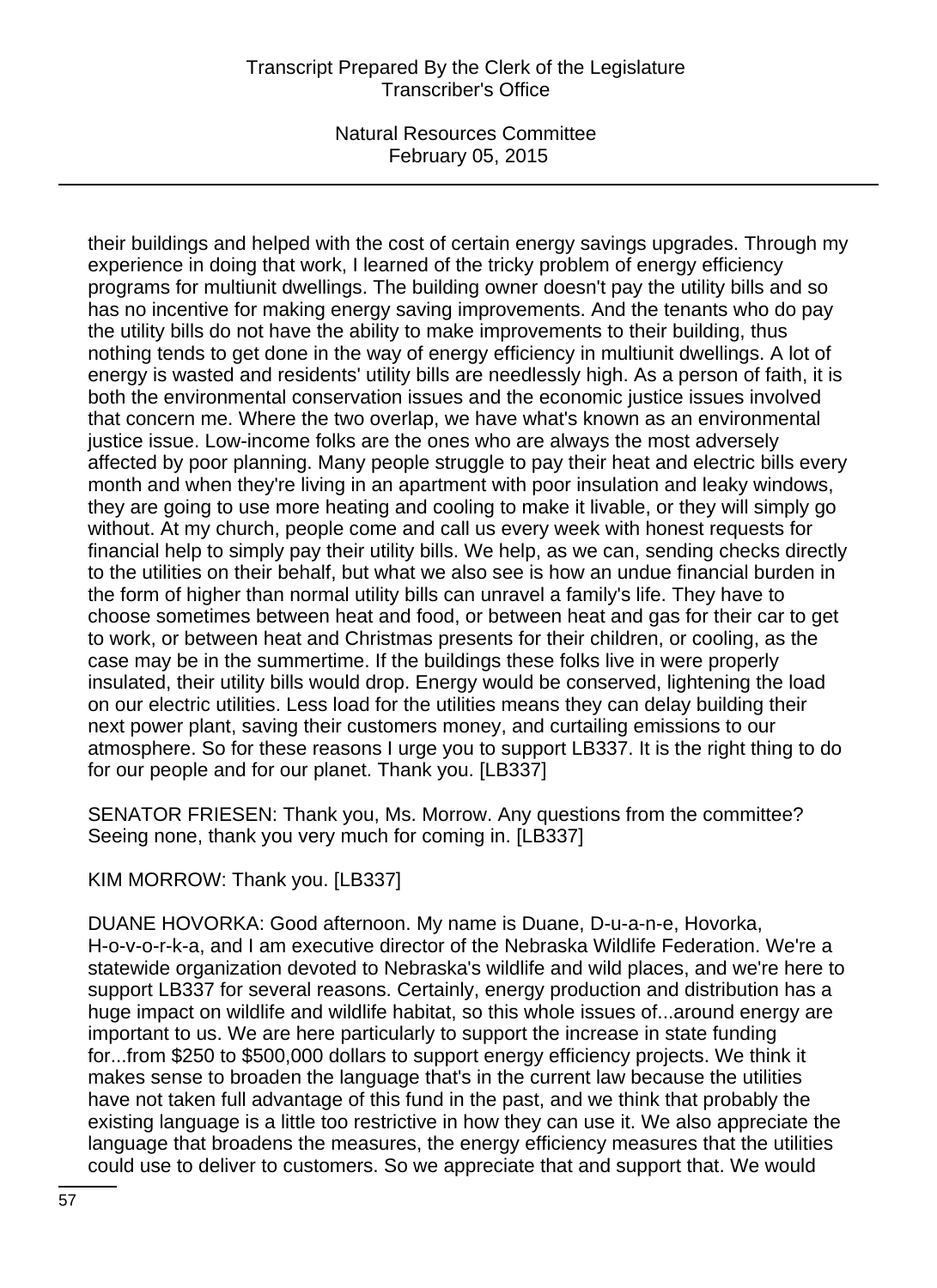# Transcript Prepared By the Clerk of the Legislature Transcriber's Office

Natural Resources Committee February 05, 2015

their buildings and helped with the cost of certain energy savings upgrades. Through my experience in doing that work, I learned of the tricky problem of energy efficiency programs for multiunit dwellings. The building owner doesn't pay the utility bills and so has no incentive for making energy saving improvements. And the tenants who do pay the utility bills do not have the ability to make improvements to their building, thus nothing tends to get done in the way of energy efficiency in multiunit dwellings. A lot of energy is wasted and residents' utility bills are needlessly high. As a person of faith, it is both the environmental conservation issues and the economic justice issues involved that concern me. Where the two overlap, we have what's known as an environmental justice issue. Low-income folks are the ones who are always the most adversely affected by poor planning. Many people struggle to pay their heat and electric bills every month and when they're living in an apartment with poor insulation and leaky windows, they are going to use more heating and cooling to make it livable, or they will simply go without. At my church, people come and call us every week with honest requests for financial help to simply pay their utility bills. We help, as we can, sending checks directly to the utilities on their behalf, but what we also see is how an undue financial burden in the form of higher than normal utility bills can unravel a family's life. They have to choose sometimes between heat and food, or between heat and gas for their car to get to work, or between heat and Christmas presents for their children, or cooling, as the case may be in the summertime. If the buildings these folks live in were properly insulated, their utility bills would drop. Energy would be conserved, lightening the load on our electric utilities. Less load for the utilities means they can delay building their next power plant, saving their customers money, and curtailing emissions to our atmosphere. So for these reasons I urge you to support LB337. It is the right thing to do for our people and for our planet. Thank you. [LB337]

SENATOR FRIESEN: Thank you, Ms. Morrow. Any questions from the committee? Seeing none, thank you very much for coming in. [LB337]

KIM MORROW: Thank you. [LB337]

DUANE HOVORKA: Good afternoon. My name is Duane, D-u-a-n-e, Hovorka, H-o-v-o-r-k-a, and I am executive director of the Nebraska Wildlife Federation. We're a statewide organization devoted to Nebraska's wildlife and wild places, and we're here to support LB337 for several reasons. Certainly, energy production and distribution has a huge impact on wildlife and wildlife habitat, so this whole issues of...around energy are important to us. We are here particularly to support the increase in state funding for...from \$250 to \$500,000 dollars to support energy efficiency projects. We think it makes sense to broaden the language that's in the current law because the utilities have not taken full advantage of this fund in the past, and we think that probably the existing language is a little too restrictive in how they can use it. We also appreciate the language that broadens the measures, the energy efficiency measures that the utilities could use to deliver to customers. So we appreciate that and support that. We would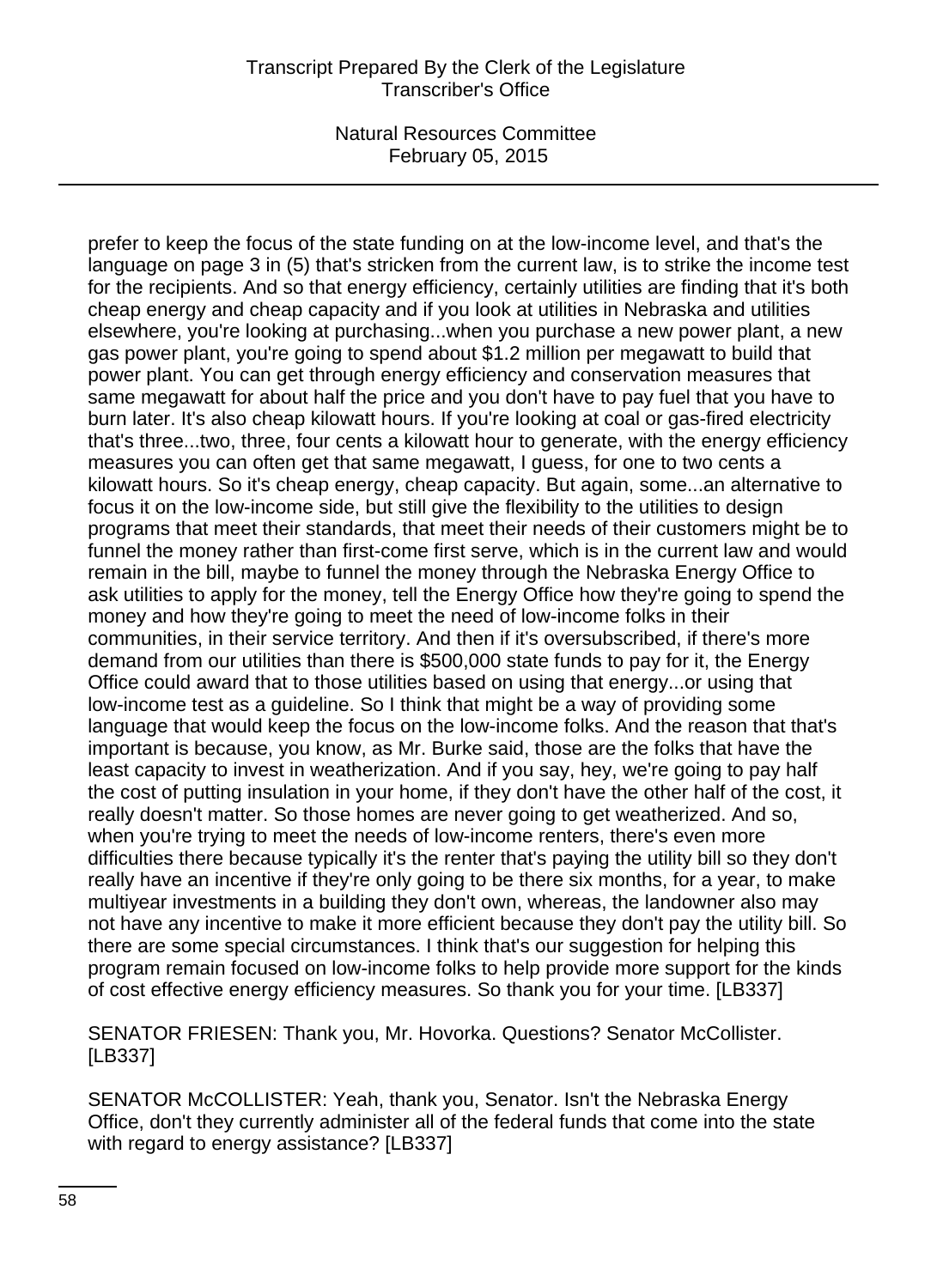prefer to keep the focus of the state funding on at the low-income level, and that's the language on page 3 in (5) that's stricken from the current law, is to strike the income test for the recipients. And so that energy efficiency, certainly utilities are finding that it's both cheap energy and cheap capacity and if you look at utilities in Nebraska and utilities elsewhere, you're looking at purchasing...when you purchase a new power plant, a new gas power plant, you're going to spend about \$1.2 million per megawatt to build that power plant. You can get through energy efficiency and conservation measures that same megawatt for about half the price and you don't have to pay fuel that you have to burn later. It's also cheap kilowatt hours. If you're looking at coal or gas-fired electricity that's three...two, three, four cents a kilowatt hour to generate, with the energy efficiency measures you can often get that same megawatt, I guess, for one to two cents a kilowatt hours. So it's cheap energy, cheap capacity. But again, some...an alternative to focus it on the low-income side, but still give the flexibility to the utilities to design programs that meet their standards, that meet their needs of their customers might be to funnel the money rather than first-come first serve, which is in the current law and would remain in the bill, maybe to funnel the money through the Nebraska Energy Office to ask utilities to apply for the money, tell the Energy Office how they're going to spend the money and how they're going to meet the need of low-income folks in their communities, in their service territory. And then if it's oversubscribed, if there's more demand from our utilities than there is \$500,000 state funds to pay for it, the Energy Office could award that to those utilities based on using that energy...or using that low-income test as a guideline. So I think that might be a way of providing some language that would keep the focus on the low-income folks. And the reason that that's important is because, you know, as Mr. Burke said, those are the folks that have the least capacity to invest in weatherization. And if you say, hey, we're going to pay half the cost of putting insulation in your home, if they don't have the other half of the cost, it really doesn't matter. So those homes are never going to get weatherized. And so, when you're trying to meet the needs of low-income renters, there's even more difficulties there because typically it's the renter that's paying the utility bill so they don't really have an incentive if they're only going to be there six months, for a year, to make multiyear investments in a building they don't own, whereas, the landowner also may not have any incentive to make it more efficient because they don't pay the utility bill. So there are some special circumstances. I think that's our suggestion for helping this program remain focused on low-income folks to help provide more support for the kinds of cost effective energy efficiency measures. So thank you for your time. [LB337]

SENATOR FRIESEN: Thank you, Mr. Hovorka. Questions? Senator McCollister. [LB337]

SENATOR McCOLLISTER: Yeah, thank you, Senator. Isn't the Nebraska Energy Office, don't they currently administer all of the federal funds that come into the state with regard to energy assistance? [LB337]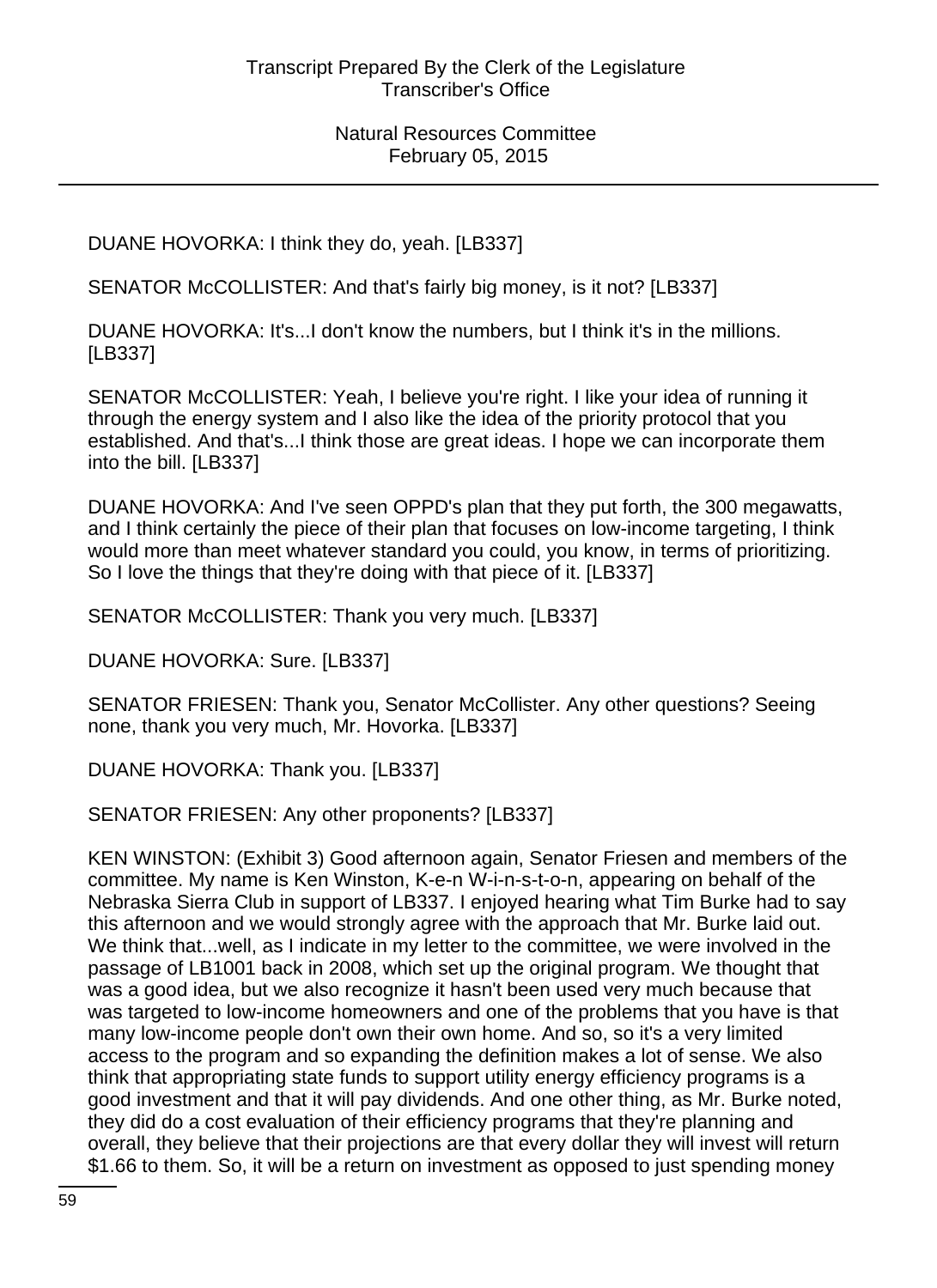DUANE HOVORKA: I think they do, yeah. [LB337]

SENATOR McCOLLISTER: And that's fairly big money, is it not? [LB337]

DUANE HOVORKA: It's...I don't know the numbers, but I think it's in the millions. [LB337]

SENATOR McCOLLISTER: Yeah, I believe you're right. I like your idea of running it through the energy system and I also like the idea of the priority protocol that you established. And that's...I think those are great ideas. I hope we can incorporate them into the bill. [LB337]

DUANE HOVORKA: And I've seen OPPD's plan that they put forth, the 300 megawatts, and I think certainly the piece of their plan that focuses on low-income targeting, I think would more than meet whatever standard you could, you know, in terms of prioritizing. So I love the things that they're doing with that piece of it. [LB337]

SENATOR McCOLLISTER: Thank you very much. [LB337]

DUANE HOVORKA: Sure. [LB337]

SENATOR FRIESEN: Thank you, Senator McCollister. Any other questions? Seeing none, thank you very much, Mr. Hovorka. [LB337]

DUANE HOVORKA: Thank you. [LB337]

SENATOR FRIESEN: Any other proponents? [LB337]

KEN WINSTON: (Exhibit 3) Good afternoon again, Senator Friesen and members of the committee. My name is Ken Winston, K-e-n W-i-n-s-t-o-n, appearing on behalf of the Nebraska Sierra Club in support of LB337. I enjoyed hearing what Tim Burke had to say this afternoon and we would strongly agree with the approach that Mr. Burke laid out. We think that...well, as I indicate in my letter to the committee, we were involved in the passage of LB1001 back in 2008, which set up the original program. We thought that was a good idea, but we also recognize it hasn't been used very much because that was targeted to low-income homeowners and one of the problems that you have is that many low-income people don't own their own home. And so, so it's a very limited access to the program and so expanding the definition makes a lot of sense. We also think that appropriating state funds to support utility energy efficiency programs is a good investment and that it will pay dividends. And one other thing, as Mr. Burke noted, they did do a cost evaluation of their efficiency programs that they're planning and overall, they believe that their projections are that every dollar they will invest will return \$1.66 to them. So, it will be a return on investment as opposed to just spending money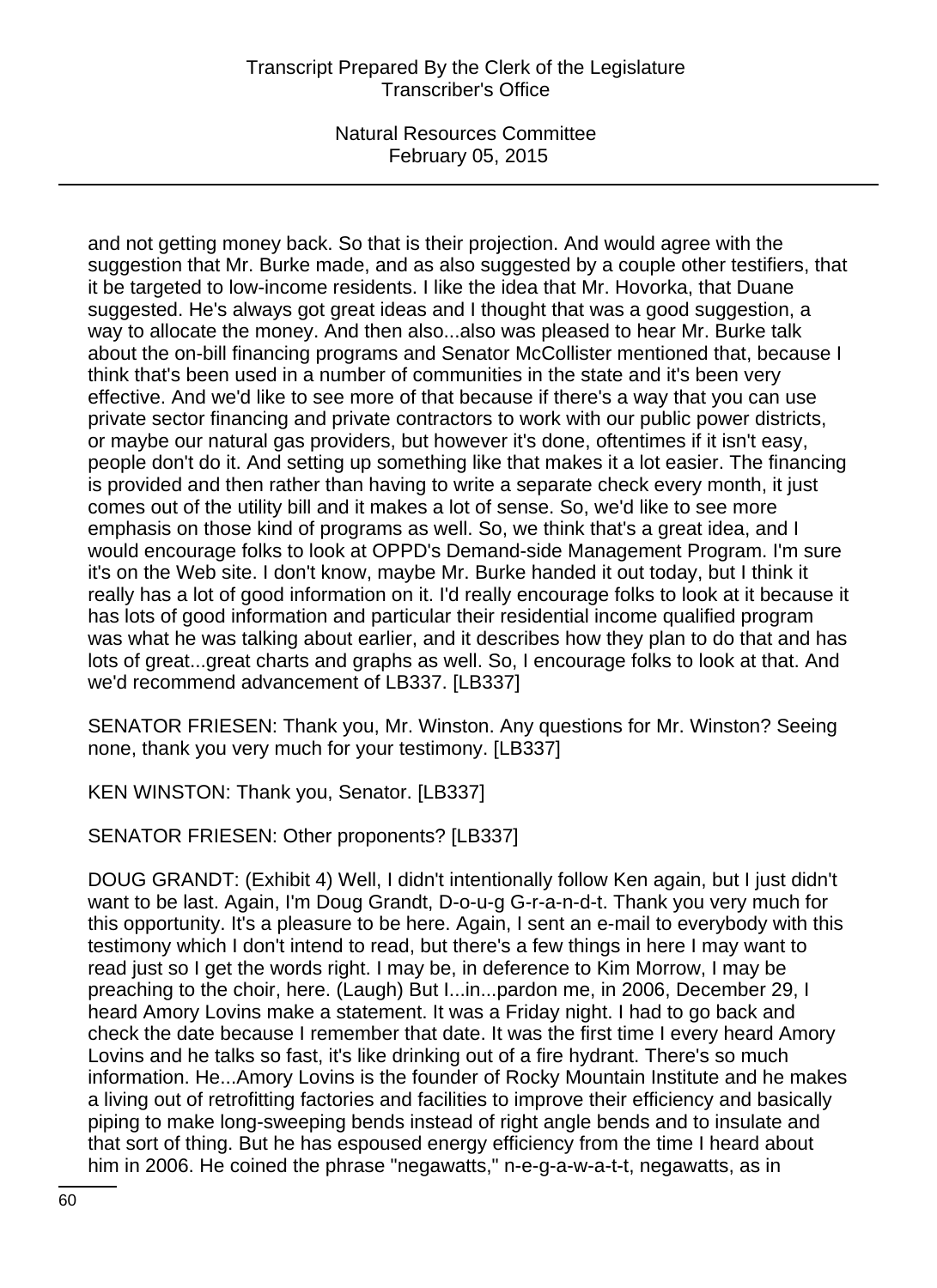# Transcript Prepared By the Clerk of the Legislature Transcriber's Office

Natural Resources Committee February 05, 2015

and not getting money back. So that is their projection. And would agree with the suggestion that Mr. Burke made, and as also suggested by a couple other testifiers, that it be targeted to low-income residents. I like the idea that Mr. Hovorka, that Duane suggested. He's always got great ideas and I thought that was a good suggestion, a way to allocate the money. And then also...also was pleased to hear Mr. Burke talk about the on-bill financing programs and Senator McCollister mentioned that, because I think that's been used in a number of communities in the state and it's been very effective. And we'd like to see more of that because if there's a way that you can use private sector financing and private contractors to work with our public power districts, or maybe our natural gas providers, but however it's done, oftentimes if it isn't easy, people don't do it. And setting up something like that makes it a lot easier. The financing is provided and then rather than having to write a separate check every month, it just comes out of the utility bill and it makes a lot of sense. So, we'd like to see more emphasis on those kind of programs as well. So, we think that's a great idea, and I would encourage folks to look at OPPD's Demand-side Management Program. I'm sure it's on the Web site. I don't know, maybe Mr. Burke handed it out today, but I think it really has a lot of good information on it. I'd really encourage folks to look at it because it has lots of good information and particular their residential income qualified program was what he was talking about earlier, and it describes how they plan to do that and has lots of great...great charts and graphs as well. So, I encourage folks to look at that. And we'd recommend advancement of LB337. [LB337]

SENATOR FRIESEN: Thank you, Mr. Winston. Any questions for Mr. Winston? Seeing none, thank you very much for your testimony. [LB337]

KEN WINSTON: Thank you, Senator. [LB337]

SENATOR FRIESEN: Other proponents? [LB337]

DOUG GRANDT: (Exhibit 4) Well, I didn't intentionally follow Ken again, but I just didn't want to be last. Again, I'm Doug Grandt, D-o-u-g G-r-a-n-d-t. Thank you very much for this opportunity. It's a pleasure to be here. Again, I sent an e-mail to everybody with this testimony which I don't intend to read, but there's a few things in here I may want to read just so I get the words right. I may be, in deference to Kim Morrow, I may be preaching to the choir, here. (Laugh) But I...in...pardon me, in 2006, December 29, I heard Amory Lovins make a statement. It was a Friday night. I had to go back and check the date because I remember that date. It was the first time I every heard Amory Lovins and he talks so fast, it's like drinking out of a fire hydrant. There's so much information. He...Amory Lovins is the founder of Rocky Mountain Institute and he makes a living out of retrofitting factories and facilities to improve their efficiency and basically piping to make long-sweeping bends instead of right angle bends and to insulate and that sort of thing. But he has espoused energy efficiency from the time I heard about him in 2006. He coined the phrase "negawatts," n-e-g-a-w-a-t-t, negawatts, as in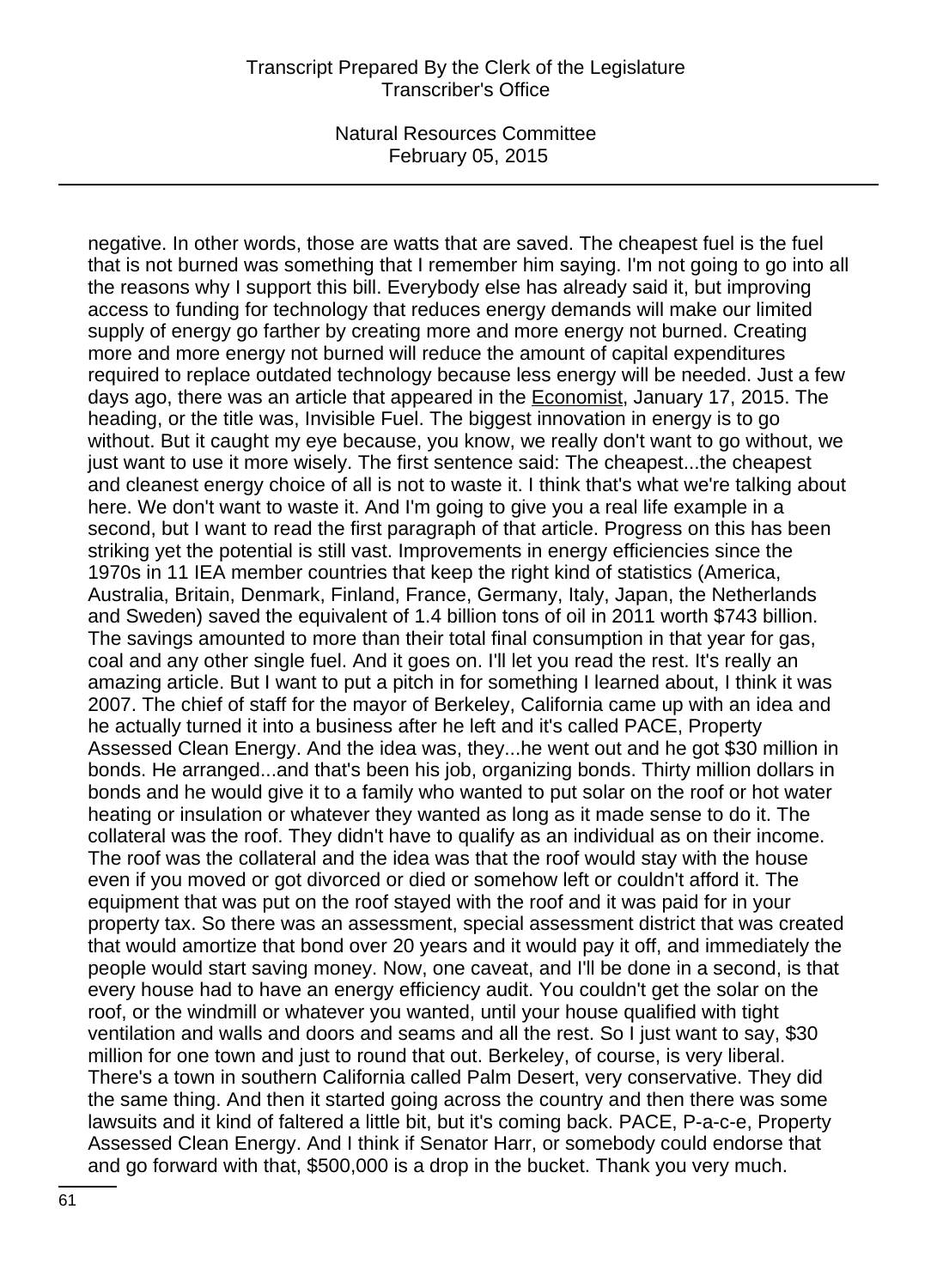negative. In other words, those are watts that are saved. The cheapest fuel is the fuel that is not burned was something that I remember him saying. I'm not going to go into all the reasons why I support this bill. Everybody else has already said it, but improving access to funding for technology that reduces energy demands will make our limited supply of energy go farther by creating more and more energy not burned. Creating more and more energy not burned will reduce the amount of capital expenditures required to replace outdated technology because less energy will be needed. Just a few days ago, there was an article that appeared in the Economist, January 17, 2015. The heading, or the title was, Invisible Fuel. The biggest innovation in energy is to go without. But it caught my eye because, you know, we really don't want to go without, we just want to use it more wisely. The first sentence said: The cheapest...the cheapest and cleanest energy choice of all is not to waste it. I think that's what we're talking about here. We don't want to waste it. And I'm going to give you a real life example in a second, but I want to read the first paragraph of that article. Progress on this has been striking yet the potential is still vast. Improvements in energy efficiencies since the 1970s in 11 IEA member countries that keep the right kind of statistics (America, Australia, Britain, Denmark, Finland, France, Germany, Italy, Japan, the Netherlands and Sweden) saved the equivalent of 1.4 billion tons of oil in 2011 worth \$743 billion. The savings amounted to more than their total final consumption in that year for gas, coal and any other single fuel. And it goes on. I'll let you read the rest. It's really an amazing article. But I want to put a pitch in for something I learned about, I think it was 2007. The chief of staff for the mayor of Berkeley, California came up with an idea and he actually turned it into a business after he left and it's called PACE, Property Assessed Clean Energy. And the idea was, they...he went out and he got \$30 million in bonds. He arranged...and that's been his job, organizing bonds. Thirty million dollars in bonds and he would give it to a family who wanted to put solar on the roof or hot water heating or insulation or whatever they wanted as long as it made sense to do it. The collateral was the roof. They didn't have to qualify as an individual as on their income. The roof was the collateral and the idea was that the roof would stay with the house even if you moved or got divorced or died or somehow left or couldn't afford it. The equipment that was put on the roof stayed with the roof and it was paid for in your property tax. So there was an assessment, special assessment district that was created that would amortize that bond over 20 years and it would pay it off, and immediately the people would start saving money. Now, one caveat, and I'll be done in a second, is that every house had to have an energy efficiency audit. You couldn't get the solar on the roof, or the windmill or whatever you wanted, until your house qualified with tight ventilation and walls and doors and seams and all the rest. So I just want to say, \$30 million for one town and just to round that out. Berkeley, of course, is very liberal. There's a town in southern California called Palm Desert, very conservative. They did the same thing. And then it started going across the country and then there was some lawsuits and it kind of faltered a little bit, but it's coming back. PACE, P-a-c-e, Property Assessed Clean Energy. And I think if Senator Harr, or somebody could endorse that and go forward with that, \$500,000 is a drop in the bucket. Thank you very much.